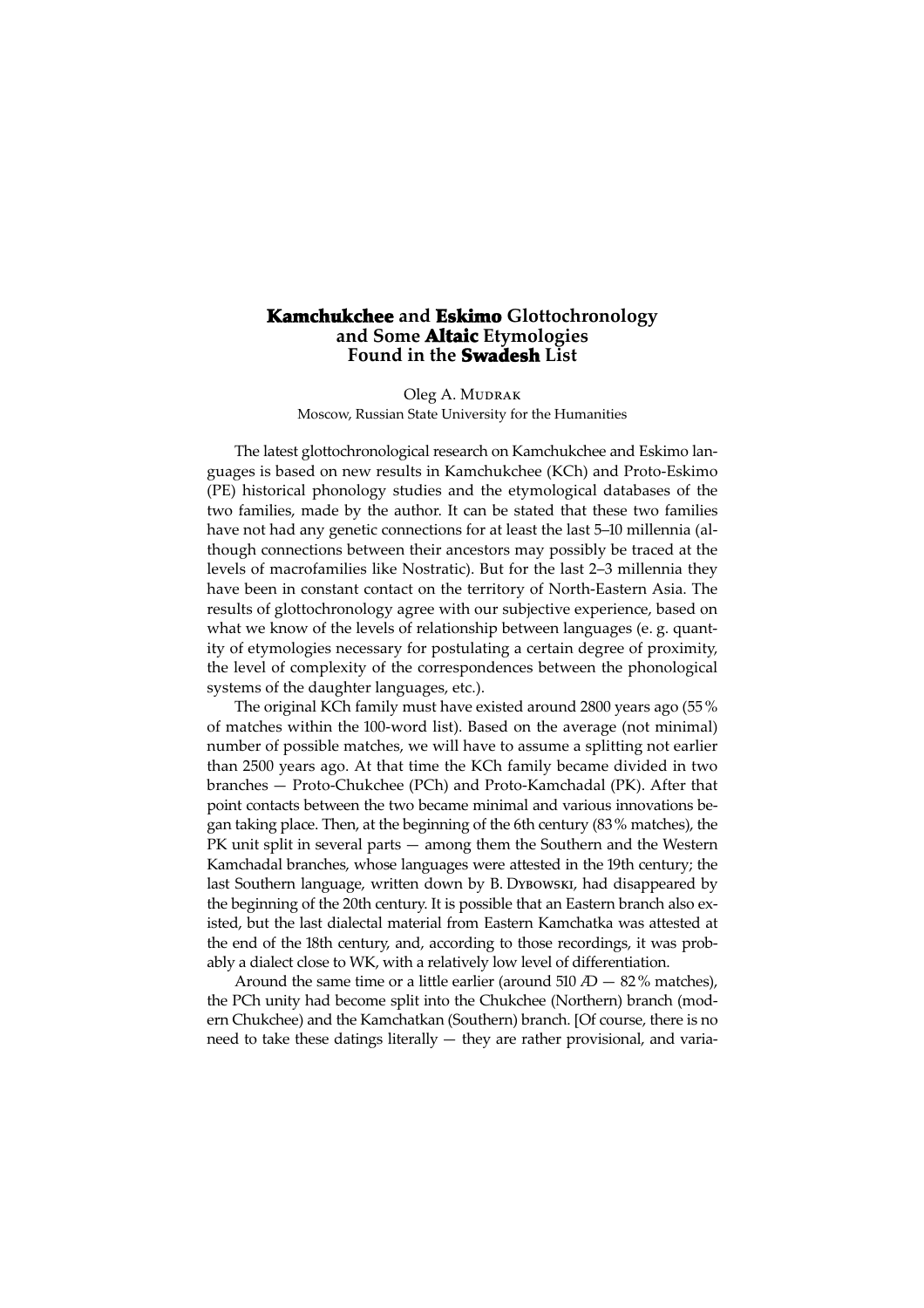## Kamchukchee and Eskimo Glottochronology and Some Altaic Etymologies Found in the Swadesh List

Oleg A. MUDRAK Moscow, Russian State University for the Humanities

The latest glottochronological research on Kamchukchee and Eskimo languages is based on new results in Kamchukchee (KCh) and Proto-Eskimo (PE) historical phonology studies and the etymological databases of the two families, made by the author. It can be stated that these two families have not had any genetic connections for at least the last 5–0 millennia (although connections between their ancestors may possibly be traced at the levels of macrofamilies like Nostratic). But for the last 2–3 millennia they have been in constant contact on the territory of North-Eastern Asia. The results of glottochronology agree with our subjective experience, based on what we know of the levels of relationship between languages (e. g. quantity of etymologies necessary for postulating a certain degree of proximity, the level of complexity of the correspondences between the phonological systems of the daughter languages, etc.).

The original KCh family must have existed around 2800 years ago (55 % of matches within the 00-word list). Based on the average (not minimal) number of possible matches, we will have to assume a splitting not earlier than 2500 years ago. At that time the KCh family became divided in two branches — Proto-Chukchee (PCh) and Proto-Kamchadal (PK). After that point contacts between the two became minimal and various innovations began taking place. Then, at the beginning of the 6th century (83% matches), the PK unit split in several parts — among them the Southern and the Western Kamchadal branches, whose languages were attested in the 19th century; the last Southern language, written down by B. Dy Bowski, had disappeared by the beginning of the 20th century. It is possible that an Eastern branch also existed, but the last dialectal material from Eastern Kamchatka was attested at the end of the 18th century, and, according to those recordings, it was probably a dialect close to WK, with a relatively low level of differentiation.

Around the same time or a little earlier (around  $510 \text{ }$   $\text{ }$   $\text{ }$   $\text{ }$   $\text{ }$   $\text{ }$   $\text{ }$   $\text{ }$   $\text{ }$   $\text{ }$   $\text{ }$   $\text{ }$   $\text{ }$   $\text{ }$   $\text{ }$   $\text{ }$   $\text{ }$   $\text{ }$   $\text{ }$   $\text{ }$   $\text{ }$   $\text{ }$   $\text{ }$   $\text{ }$  the PCh unity had become split into the Chukchee (Northern) branch (modern Chukchee) and the Kamchatkan (Southern) branch. [Of course, there is no need to take these datings literally — they are rather provisional, and varia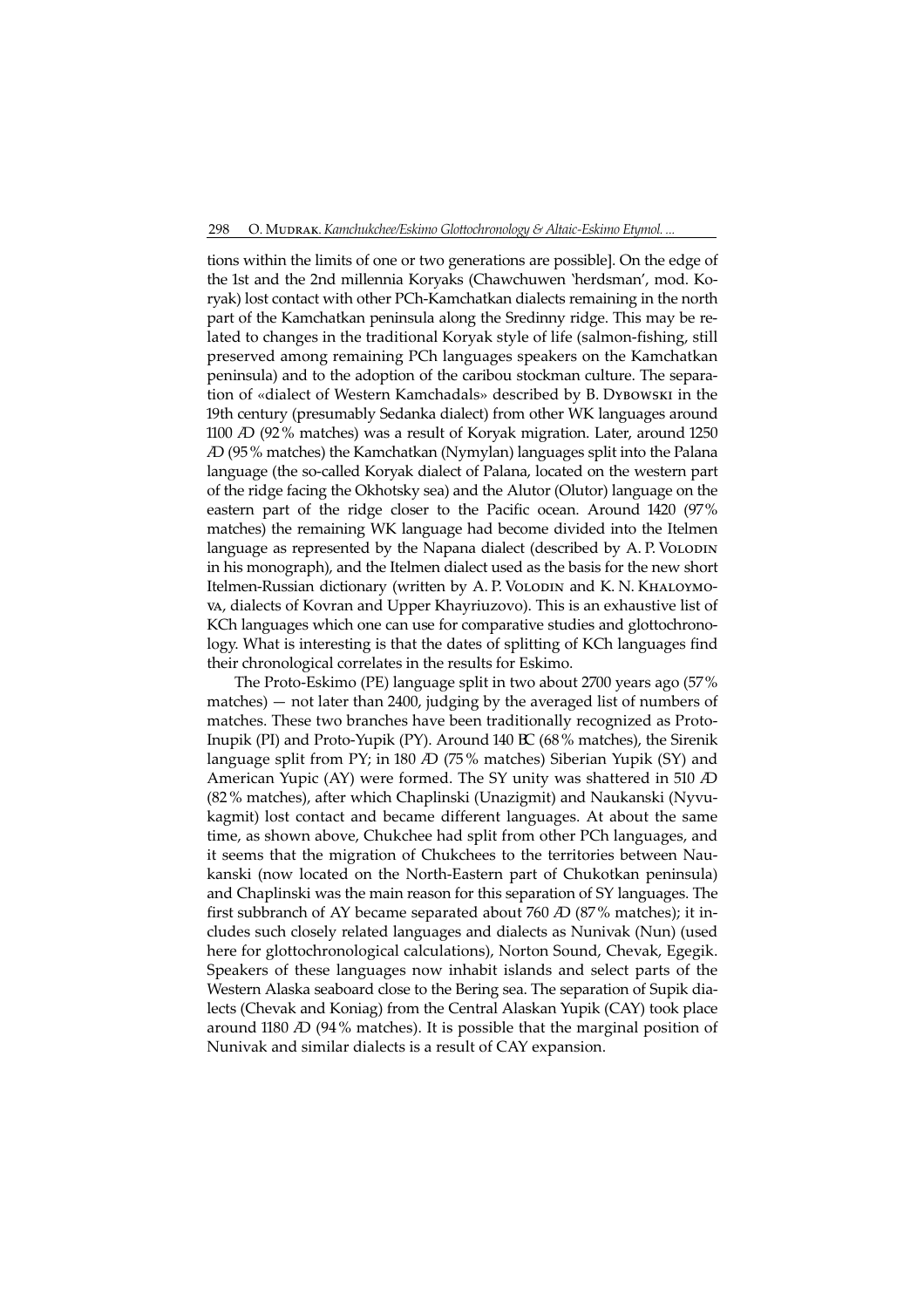tions within the limits of one or two generations are possible]. On the edge of the 1st and the 2nd millennia Koryaks (Chawchuwen 'herdsman', mod. Koryak) lost contact with other PCh-Kamchatkan dialects remaining in the north part of the Kamchatkan peninsula along the Sredinny ridge. This may be related to changes in the traditional Koryak style of life (salmon-fishing, still preserved among remaining PCh languages speakers on the Kamchatkan peninsula) and to the adoption of the caribou stockman culture. The separation of «dialect of Western Kamchadals» described by B. DYBOWSKI in the 9th century (presumably Sedanka dialect) from other WK languages around 1100 *A*D (92% matches) was a result of Koryak migration. Later, around 1250 (95% matches) the Kamchatkan (Nymylan) languages split into the Palana language (the so-called Koryak dialect of Palana, located on the western part of the ridge facing the Okhotsky sea) and the Alutor (Olutor) language on the eastern part of the ridge closer to the Pacific ocean. Around 1420 (97% matches) the remaining WK language had become divided into the Itelmen language as represented by the Napana dialect (described by A. P. VOLODIN in his monograph), and the Itelmen dialect used as the basis for the new short Itelmen-Russian dictionary (written by A. P. VOLODIN and K. N. KHALOYMOva, dialects of Kovran and Upper Khayriuzovo). This is an exhaustive list of KCh languages which one can use for comparative studies and glottochronology. What is interesting is that the dates of splitting of KCh languages find their chronological correlates in the results for Eskimo.

The Proto-Eskimo (PE) language split in two about 2700 years ago (57%  $m$ atches)  $-$  not later than 2400, judging by the averaged list of numbers of matches. These two branches have been traditionally recognized as Proto-Inupik (PI) and Proto-Yupik (PY). Around 140 BC (68% matches), the Sirenik language split from PY; in 180  $AD$  (75% matches) Siberian Yupik (SY) and American Yupic (AY) were formed. The SY unity was shattered in 510 AD (82% matches), after which Chaplinski (Unazigmit) and Naukanski (Nyvukagmit) lost contact and became different languages. At about the same time, as shown above, Chukchee had split from other PCh languages, and it seems that the migration of Chukchees to the territories between Naukanski (now located on the North-Eastern part of Chukotkan peninsula) and Chaplinski was the main reason for this separation of SY languages. The first subbranch of AY became separated about 760  $\overline{AD}$  (87% matches); it includes such closely related languages and dialects as Nunivak (Nun) (used here for glottochronological calculations), Norton Sound, Chevak, Egegik. Speakers of these languages now inhabit islands and select parts of the Western Alaska seaboard close to the Bering sea. The separation of Supik dialects (Chevak and Koniag) from the Central Alaskan Yupik (CAY) took place around 1180 *A* (94% matches). It is possible that the marginal position of Nunivak and similar dialects is a result of CAY expansion.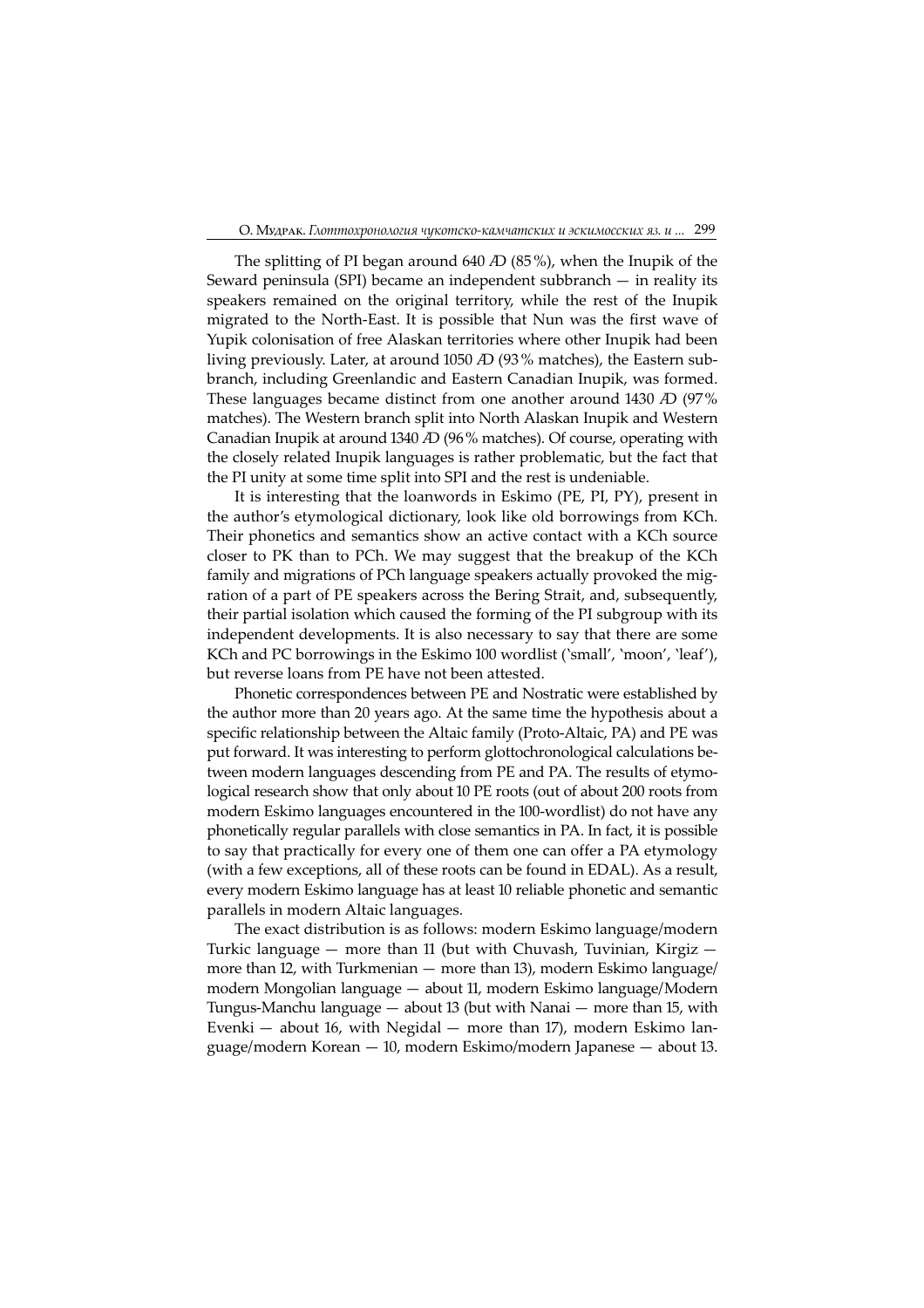The splitting of PI began around  $640$   $AD$   $(85\%)$ , when the Inupik of the Seward peninsula (SPI) became an independent subbranch — in reality its speakers remained on the original territory, while the rest of the Inupik migrated to the North-East. It is possible that Nun was the first wave of Yupik colonisation of free Alaskan territories where other Inupik had been living previously. Later, at around 1050  $AD$  (93% matches), the Eastern subbranch, including Greenlandic and Eastern Canadian Inupik, was formed. These languages became distinct from one another around 1430  $\Delta D$  (97%) matches). The Western branch split into North Alaskan Inupik and Western Canadian Inupik at around 1340  $\overline{AD}$  (96% matches). Of course, operating with the closely related Inupik languages is rather problematic, but the fact that the PI unity at some time split into SPI and the rest is undeniable.

It is interesting that the loanwords in Eskimo (PE, PI, PY), present in the author's etymological dictionary, look like old borrowings from KCh. Their phonetics and semantics show an active contact with a KCh source closer to PK than to PCh. We may suggest that the breakup of the KCh family and migrations of PCh language speakers actually provoked the migration of a part of PE speakers across the Bering Strait, and, subsequently, their partial isolation which caused the forming of the PI subgroup with its independent developments. It is also necessary to say that there are some KCh and PC borrowings in the Eskimo 100 wordlist ('small', 'moon', 'leaf'), but reverse loans from PE have not been attested.

Phonetic correspondences between PE and Nostratic were established by the author more than 20 years ago. At the same time the hypothesis about a specific relationship between the Altaic family (Proto-Altaic, PA) and PE was put forward. It was interesting to perform glottochronological calculations between modern languages descending from PE and PA. The results of etymological research show that only about 0 PE roots (out of about 200 roots from modern Eskimo languages encountered in the 100-wordlist) do not have any phonetically regular parallels with close semantics in PA. In fact, it is possible to say that practically for every one of them one can offer a PA etymology (with a few exceptions, all of these roots can be found in EDAL). As a result, every modern Eskimo language has at least 10 reliable phonetic and semantic parallels in modern Altaic languages.

The exact distribution is as follows: modern Eskimo language/modern Turkic language  $-$  more than 11 (but with Chuvash, Tuvinian, Kirgiz  $$ more than 2, with Turkmenian — more than 3), modern Eskimo language/ modern Mongolian language — about 11, modern Eskimo language/Modern Tungus-Manchu language  $-$  about 13 (but with Nanai  $-$  more than 15, with Evenki  $-$  about 16, with Negidal  $-$  more than 17), modern Eskimo language/modern Korean — 10, modern Eskimo/modern Japanese — about 13.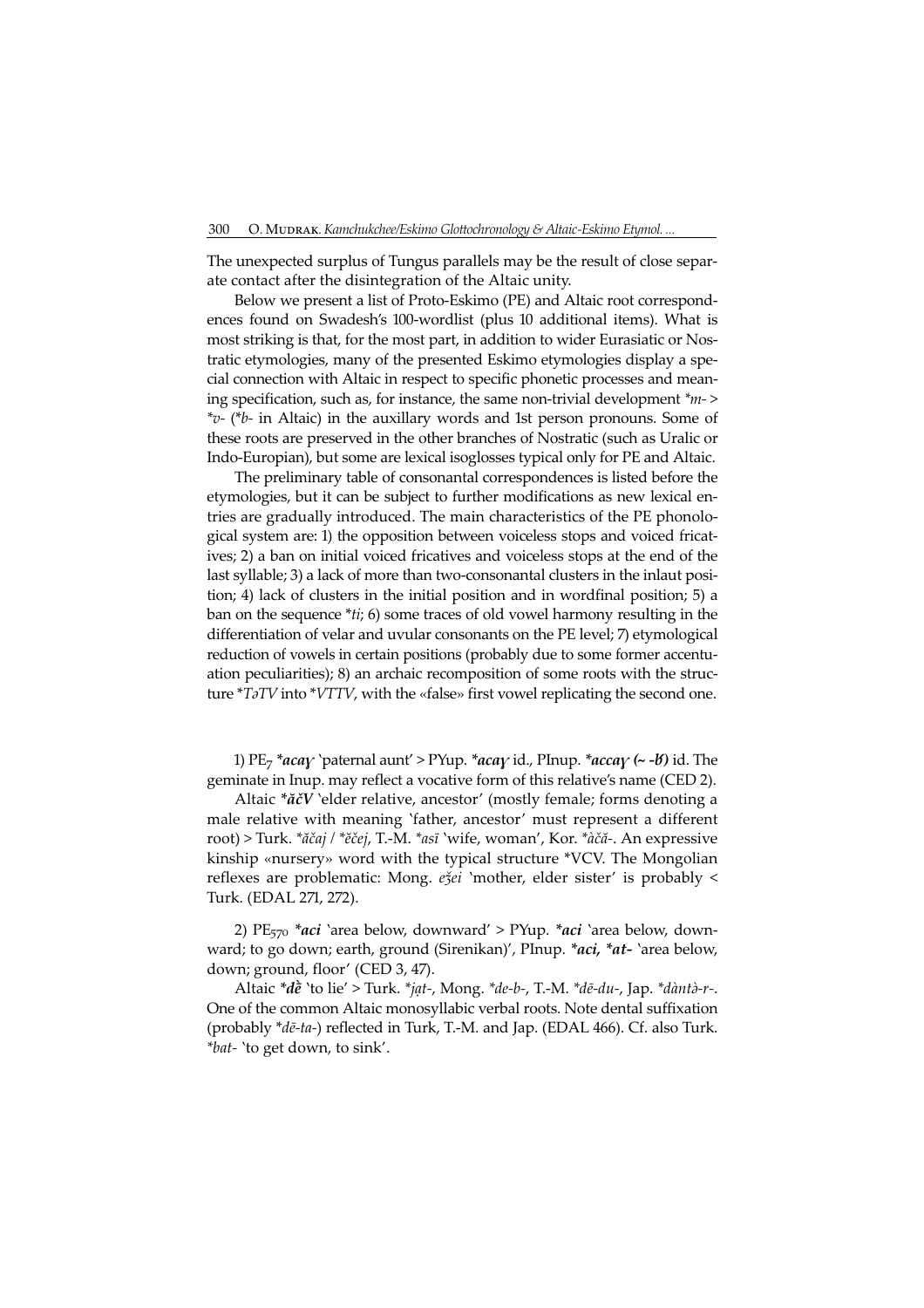The unexpected surplus of Tungus parallels may be the result of close separate contact after the disintegration of the Altaic unity.

Below we present a list of Proto-Eskimo (PE) and Altaic root correspondences found on Swadesh's 100-wordlist (plus 10 additional items). What is most striking is that, for the most part, in addition to wider Eurasiatic or Nostratic etymologies, many of the presented Eskimo etymologies display a special connection with Altaic in respect to specific phonetic processes and meaning specification, such as, for instance, the same non-trivial development \*m-<sup>&</sup>gt;  $*_{v}$ - (\*b- in Altaic) in the auxillary words and 1st person pronouns. Some of these roots are preserved in the other branches of Nostratic (such as Uralic or Indo-Europian), but some are lexical isoglosses typical only for PE and Altaic.

The preliminary table of consonantal correspondences is listed before the etymologies, but it can be subject to further modifications as new lexical entries are gradually introduced. The main characteristics of the PE phonological system are: 1) the opposition between voiceless stops and voiced fricatives; 2) a ban on initial voiced fricatives and voiceless stops at the end of the last syllable; 3) a lack of more than two-consonantal clusters in the inlaut position; 4) lack of clusters in the initial position and in wordfinal position; 5) a ban on the sequence \**ti*; 6) some traces of old vowel harmony resulting in the differentiation of velar and uvular consonants on the PE level; 7) etymological reduction of vowels in certain positions (probably due to some former accentuation peculiarities); 8) an archaic recomposition of some roots with the structure  $*T\partial TV$  into  $*VTTV$ , with the «false» first vowel replicating the second one.

1)  $PE_7$  \*aca $\gamma$  `paternal aunt' > PYup. \*aca $\gamma$  id., PInup. \*acca $\gamma$  (~ - $b$ ) id. The geminate in Inup. may reflect a vocative form of this relative's name (CED 2).

Altaic \* $\check{a}\check{c}V$  'elder relative, ancestor' (mostly female; forms denoting a male relative with meaning 'father, ancestor' must represent a different root) > Turk. \*ăčaj / \*ĕčej, T.-M. \*asī 'wife, woman', Kor. \*àčă-. An expressive kinship «nursery» word with the typical structure \*VCV. The Mongolian reflexes are problematic: Mong. eǯei 'mother, elder sister' is probably < Turk. (EDAL 271, 272).

2)  $PE_{570}$  \*aci 'area below, downward' > PYup. \*aci 'area below, downward; to go down; earth, ground (Sirenikan)', PInup. \*aci, \*at- `area below, down; ground, floor' (CED 3, 47).

Altaic  $*d\vec{e}$  'to lie' > Turk. \**jat-*, Mong. \**de-b-*, T.-M. \**dē-du-*, Jap. \**dàntà-r-*. One of the common Altaic monosyllabic verbal roots. Note dental suffixation (probably \*dē-ta-) reflected in Turk, T.-M. and Jap. (EDAL 466). Cf. also Turk. \*bat- 'to get down, to sink'.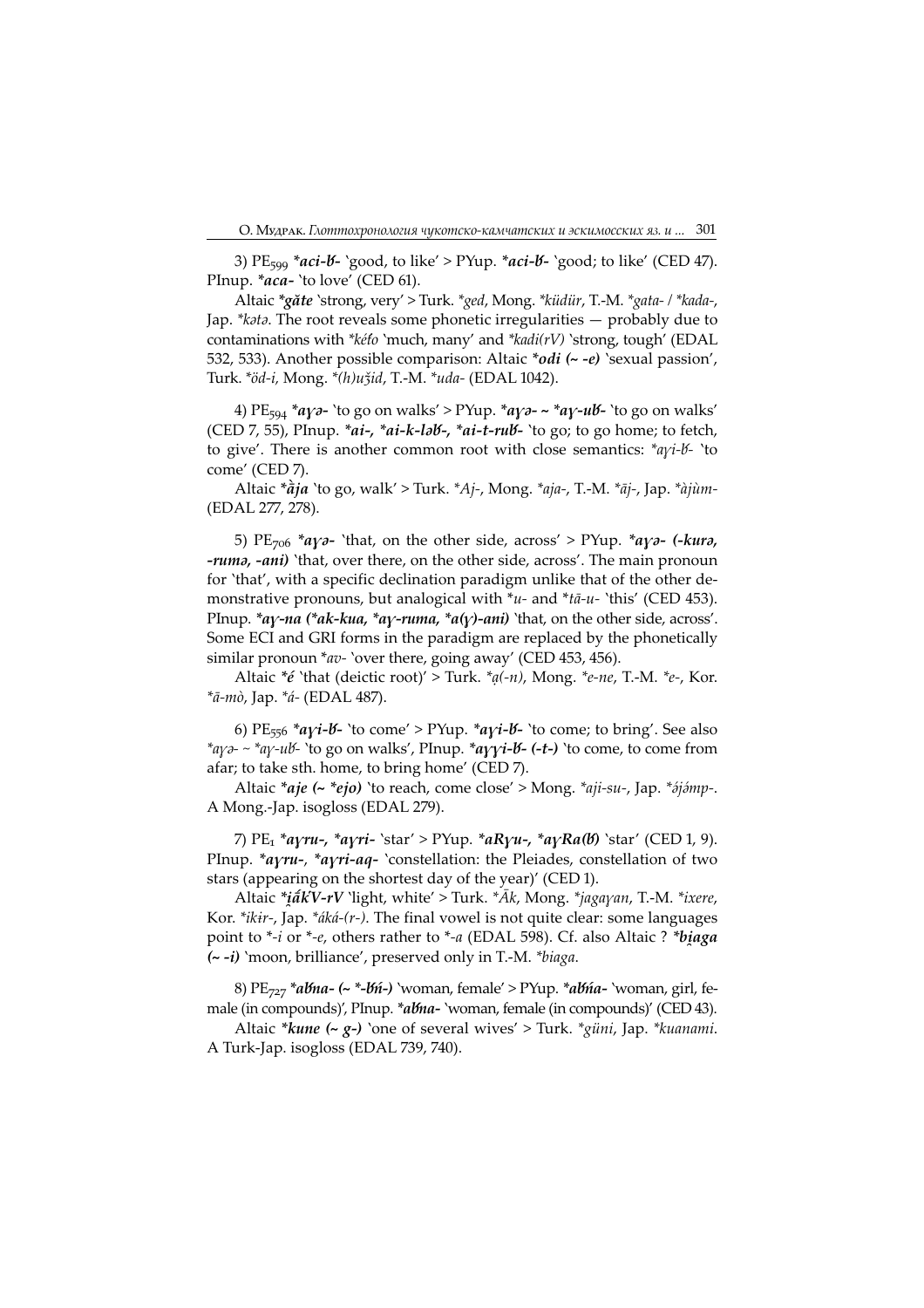3) PE<sub>599</sub> \*aci-<mark>b-</mark> `good, to like' > PYup. \*aci-b- `good; to like' (CED 47). PInup. \*aca- 'to love' (CED 61).

Altaic \*găte 'strong, very' > Turk. \*ged, Mong. \*küdür, T.-M. \*gata- / \*kada-, Jap.  $* k \partial t \partial t$ . The root reveals some phonetic irregularities  $-$  probably due to contaminations with \*kéto 'much, many' and \*kadi(rV) 'strong, tough' (EDAL 532, 533). Another possible comparison: Altaic \*odi (~ -e) 'sexual passion', Turk. \*öd-i, Mong. \*(h)uǯid, T.-M. \*uda- (EDAL 1042).

4) PE<sub>594</sub> \*ayə- `to go on walks' > PYup. \*ayə- ~ \*ay-u<mark>b-</mark> `to go on walks' (CED 7, 55), PInup.  $*ai-$ ,  $*ai-*k*-*l*ab-$ ,  $*ai-*t*-*ru*b-$  'to go; to go home; to fetch, to give'. There is another common root with close semantics:  $*_{a\gamma i}$ - $b$ - 'to come' (CED 7).

Altaic  $*\hat{a}j\hat{a}$  'to go, walk' > Turk.  $*Aj$ -, Mong.  $*aja$ -, T.-M.  $*\hat{a}j$ -, Jap.  $*\hat{a}j\hat{u}m$ -(EDAL 277, 278).

5) PE<sub>706</sub> \*a $\gamma$ - 'that, on the other side, across' > PYup. \*a $\gamma$ - (-kur, -ruma, -ani) 'that, over there, on the other side, across'. The main pronoun for 'that', with a specific declination paradigm unlike that of the other demonstrative pronouns, but analogical with  $\overline{u}$ - and  $\overline{u}$ - $u$ - 'this' (CED 453). PInup. \*ay-na (\*ak-kua, \*ay-ruma, \*a(y)-ani) 'that, on the other side, across'. Some ECI and GRI forms in the paradigm are replaced by the phonetically similar pronoun \*av- `over there, going away' (CED 453, 456).

Altaic  $*$ é 'that (deictic root)' > Turk.  $*_{q(-n)}$ , Mong.  $*_{e-ne}$ , T.-M.  $*_{e-}$ , Kor. \*ā-mò, Jap. \*á- (EDAL 487).

6) PE<sub>556</sub> \*ayi-*b*- 'to come' > PYup. \*ayi-*b*- 'to come; to bring'. See also \*ayə-  $\sim$  \*ay-ub 'to go on walks', PInup. \*ayyi-b - (-t-) 'to come, to come from afar; to take sth. home, to bring home' (CED 7).

Altaic  $*$ aje (~  $*$ ejo) 'to reach, come close' > Mong.  $*$ aji-su-, Jap.  $*$ ájámp-. A Mong.-Jap. isogloss (EDAL 279).

7)  $PE_1 * a\gamma ru-, *a\gamma ri-$ `star' > PYup.  $*aR\gamma u-, *a\gamma Ra(b)$ `star' (CED 1, 9). PInup.  $*$ avru-,  $*$ avri-aq- 'constellation: the Pleiades, constellation of two stars (appearing on the shortest day of the year)' (CED ).

Altaic \* $i\tilde{a}$ **kV-rV** 'light, white' > Turk. \* $\bar{A}$ k, Mong. \* $jaqavan$ , T.-M. \**ixere*, Kor. \**ikir-*, Jap. \* $\acute{a}k\acute{a}$ -(*r*-). The final vowel is not quite clear: some languages point to  $*$ -*i* or  $*$ -*e*, others rather to  $*$ -*a* (EDAL 598). Cf. also Altaic ?  $*$ biaga (~ -i) 'moon, brilliance', preserved only in T.-M. \*biaga.

8) PE<sub>727</sub> \*abna- (~ \*-bń-) `woman, female' > PYup. \*abna- `woman, girl, female (in compounds)', PInup.  $*abna-$  'woman, female (in compounds)' (CED 43).

Altaic  $*kune$  ( $\sim g$ -) `one of several wives' > Turk.  $*giini$ , Jap.  $*kuanami$ . A Turk-Jap. isogloss (EDAL 739, 740).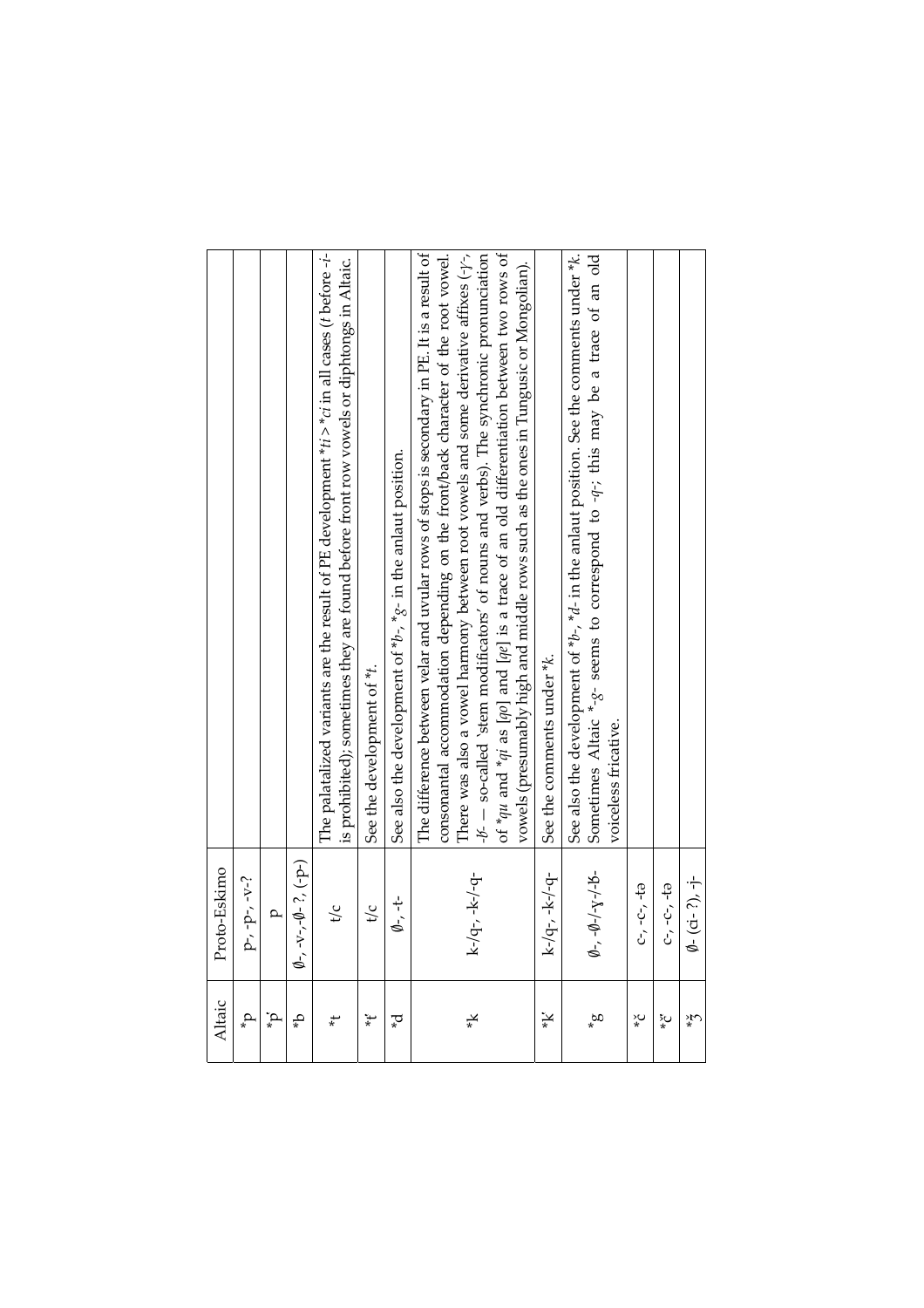| Altaic           | Proto-Eskimo                                |                                                                                                                                                                                                                                                                                                                                                                                                                                                                                                                                                                       |
|------------------|---------------------------------------------|-----------------------------------------------------------------------------------------------------------------------------------------------------------------------------------------------------------------------------------------------------------------------------------------------------------------------------------------------------------------------------------------------------------------------------------------------------------------------------------------------------------------------------------------------------------------------|
| $\mathbf{d}_*$   | $-2-5-1$<br>≏                               |                                                                                                                                                                                                                                                                                                                                                                                                                                                                                                                                                                       |
| $\mathrm{d}^*_*$ | $\mathbf{a}$                                |                                                                                                                                                                                                                                                                                                                                                                                                                                                                                                                                                                       |
| ٩                | $\emptyset$ -, -v-,- $\emptyset$ - ?, (-p-) |                                                                                                                                                                                                                                                                                                                                                                                                                                                                                                                                                                       |
| $\ddot{*}$       | t/c                                         | The palatalized variants are the result of PE development $*ii > *ci$ in all cases ( <i>t</i> before - <i>i</i> -<br>is prohibited); sometimes they are found before front row vowels or diphtongs in Altaic.                                                                                                                                                                                                                                                                                                                                                         |
| $\ddot{*}$       | $\sqrt{c}$                                  | See the development of *t.                                                                                                                                                                                                                                                                                                                                                                                                                                                                                                                                            |
| ್*               | $\phi$ -t-                                  | See also the development of $*b$ -, $*g$ - in the anlaut position.                                                                                                                                                                                                                                                                                                                                                                                                                                                                                                    |
| ¥                | k-/q-, -k-/-q-                              | consonantal accommodation depending on the front/back character of the root vowel.<br>The difference between velar and uvular rows of stops is secondary in PE. It is a result of<br>of $*qu$ and $*qi$ as [qo] and [qe] is a trace of an old differentiation between two rows of<br>There was also a vowel harmony between root vowels and some derivative affixes $(\cdot/\cdot,$<br>$-46 -$ so-called 'stem modificators' of nouns and verbs). The synchronic pronunciation<br>vowels (presumably high and middle rows such as the ones in Tungusic or Mongolian). |
| ¥                | $k/q$ -, - $k$ -/-q-                        | See the comments under *k.                                                                                                                                                                                                                                                                                                                                                                                                                                                                                                                                            |
| $\mathfrak{a}^*$ | $-0$ - $y$ - $y$ - $y$ - $b$ -<br>ø,        | See also the development of $*b$ -, $*d$ - in the anlaut position. See the comments under $*k$ .<br>Sometimes Altaic $*_{-3}^2$ - seems to correspond to $-q$ -; this may be a trace of an old<br>voiceless fricative.                                                                                                                                                                                                                                                                                                                                                |
| $\check{\zeta}$  | <u>다, -아, -tə</u>                           |                                                                                                                                                                                                                                                                                                                                                                                                                                                                                                                                                                       |
| နဲ့ပ             | 2-, -C-, -ta                                |                                                                                                                                                                                                                                                                                                                                                                                                                                                                                                                                                                       |
| ζ¥               | $-(ci-?)$ , $-i-$<br>9                      |                                                                                                                                                                                                                                                                                                                                                                                                                                                                                                                                                                       |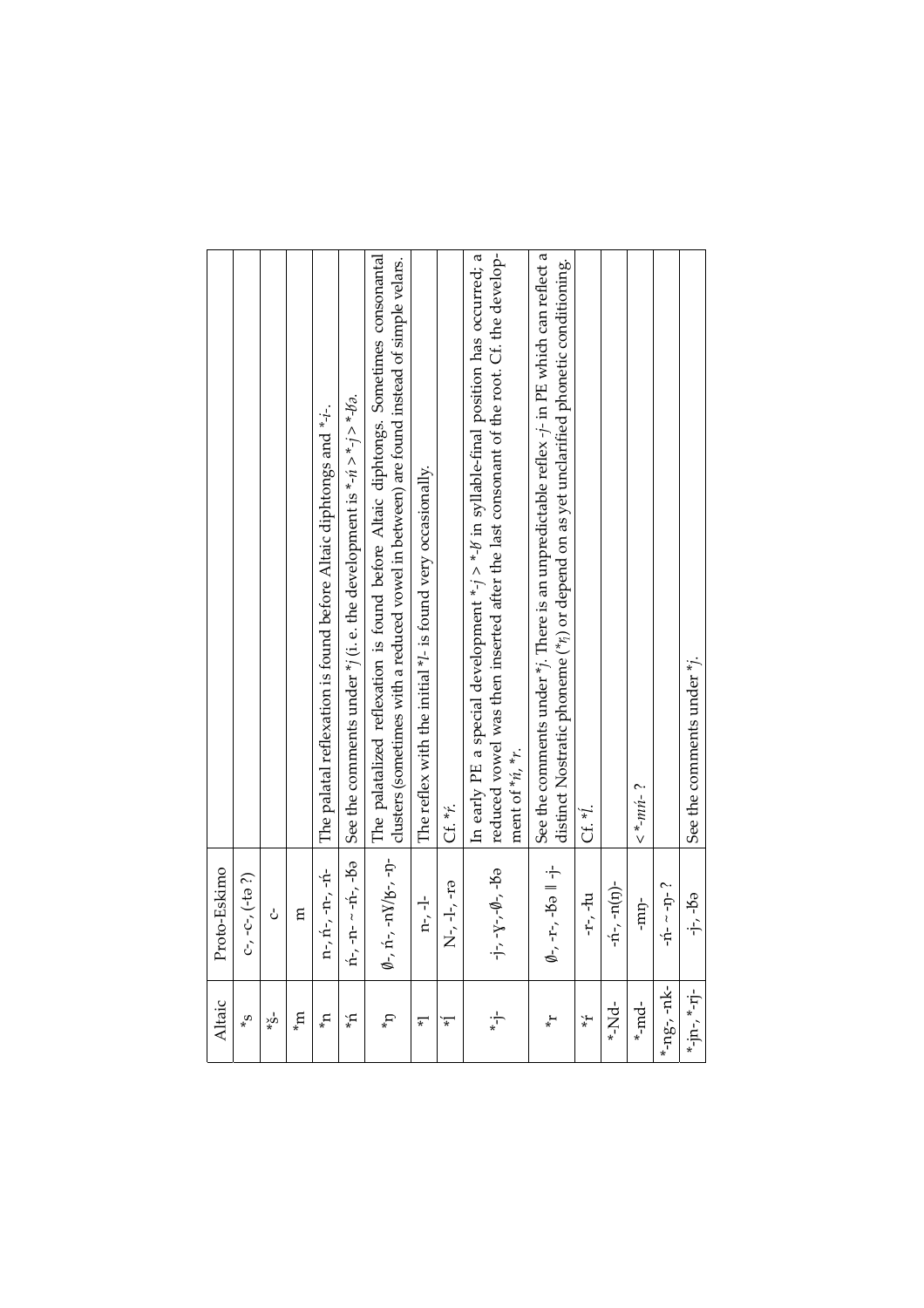| Altaic                                       | Proto-Eskimo                                             |                                                                                                                                                                                                            |
|----------------------------------------------|----------------------------------------------------------|------------------------------------------------------------------------------------------------------------------------------------------------------------------------------------------------------------|
| $\mathbf{e}^*$                               | $-c-$ , $(-t- ?)$<br>C,                                  |                                                                                                                                                                                                            |
| $\mathring{\mathbf{S}}^{\star}_{\mathbf{x}}$ | ċ                                                        |                                                                                                                                                                                                            |
| $m_{\star}$                                  | E                                                        |                                                                                                                                                                                                            |
| $\mathbf{u}^{\star}$                         | $n_{\nu}$ , $n_{\nu}$ , $-n_{\nu}$ , $-n_{\nu}$          | The palatal reflexation is found before Altaic diphtongs and *-i-.                                                                                                                                         |
| Ļ,                                           | ń-, -n-∼-ń-, -bə                                         | See the comments under $*$ (i. e. the development is *- $n > * - j > * - 1/2$ .                                                                                                                            |
| $\mathbf{d}_*$                               | $\emptyset$ -, n^-, -n<br>V/b^-, -n^-                    | The palatalized reflexation is found before Altaic diphtongs. Sometimes consonantal<br>clusters (sometimes with a reduced vowel in between) are found instead of simple velars.                            |
| $\overline{\ast}$                            | $n-1$                                                    | The reflex with the initial *l- is found very occasionally.                                                                                                                                                |
| $\ddot{*}$                                   | $N-1$ , $-1$                                             | Cf. *ř.                                                                                                                                                                                                    |
| $\frac{1}{*}$                                | $-Y$ -7-0-, -6<br>$\cdot \frac{1}{T}$                    | In early PE a special development *-j > *-l in syllable-final position has occurred; a<br>reduced vowel was then inserted after the last consonant of the root. Cf. the develop-<br>ment of $n, n$ , $n$ . |
| $\star^+$                                    | $-r - 5 = 1 - 1$<br>Ø-,                                  | See the comments under $*$ ; There is an unpredictable reflex $-$ ; in PE which can reflect a<br>distinct Nostratic phoneme (**;) or depend on as yet unclarified phonetic conditioning.                   |
| $\star$                                      | n-r-in                                                   | Cf. *I.                                                                                                                                                                                                    |
| $\frac{1}{2}$                                | $-1$ <sup>-1</sup> $-1$ <sup>-1</sup> $(1)$ <sup>-</sup> |                                                                                                                                                                                                            |
| $*md$                                        | -mp-                                                     | $\leq$ *- $m\hat{n}$ - ?                                                                                                                                                                                   |
| ng-, -nk-                                    | $-1$ <sup>-<math>-1</math></sup> -1 <sup>-</sup> ?       |                                                                                                                                                                                                            |
| $*$ -in- $*$ -in-                            | -j-, -jə                                                 | See the comments under *j.                                                                                                                                                                                 |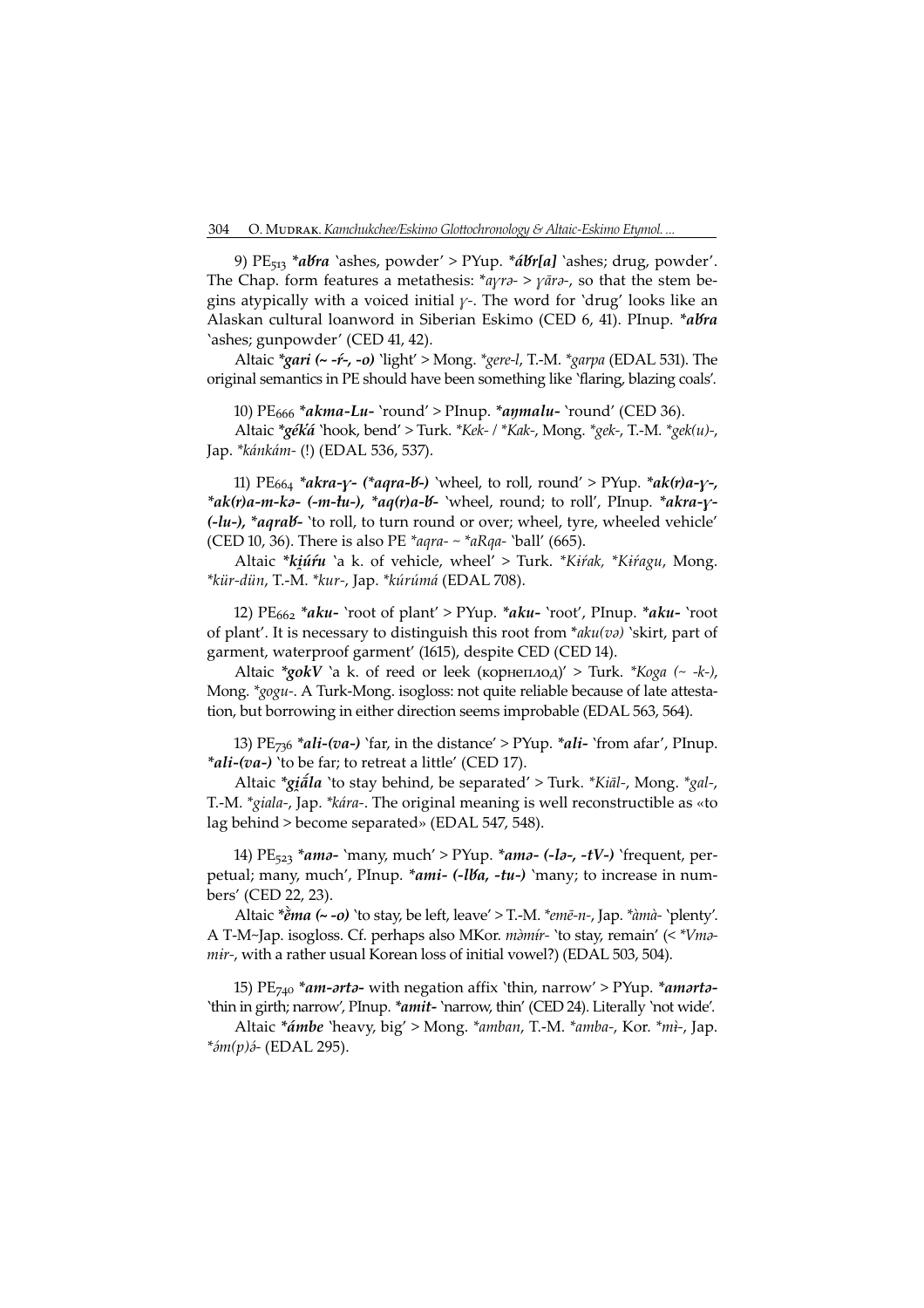9) PE<sub>513</sub> \*abra `ashes, powder' > PYup. \*ábr[a] `ashes; drug, powder'. The Chap. form features a metathesis:  $*_{\alpha\gamma\gamma\gamma} > \gamma \bar{a}_{\gamma\gamma}$ , so that the stem begins atypically with a voiced initial  $\gamma$ -. The word for 'drug' looks like an Alaskan cultural loanword in Siberian Eskimo (CED 6, 41). PInup. \*abra 'ashes; gunpowder' (CED 41, 42).

Altaic \*gari (~ -ŕ-, -o) 'light' > Mong. \*gere-l, T.-M. \*garpa (EDAL 53). The original semantics in PE should have been something like 'flaring, blazing coals'.

0) PE<sup>666</sup> \*akma-Lu- 'round' > PInup. \*aŋmalu- 'round' (CED 36).

Altaic \*géká 'hook, bend' > Turk. \*Kek- / \*Kak-, Mong. \*gek-, T.-M. \*gek(u)-, Jap. \*kánkám- (!) (EDAL 536, 53).

11)  $PE_{664} * a kra-y- (* aqra-16-)$  'wheel, to roll, round' > PYup.  $* a k(r)a-y-1$  $*ak(r)a-m-ka-(-m-tu-), *aq(r)a-b-$  'wheel, round; to roll', PInup.  $*akra-y-$ (-lu-), \*aqrab- 'to roll, to turn round or over; wheel, tyre, wheeled vehicle' (CED 10, 36). There is also PE \*aqra- ~ \*aRqa- 'ball' (665).

Altaic \*kiúru `a k. of vehicle, wheel' > Turk. \*Kirak, \*Kiragu, Mong. \*kür-dün, T.-M. \*kur-, Jap. \*kúrúmá (EDAL 708).

12)  $PE<sub>662</sub> *aku- 'root of plant' > PYup. *aku- 'root', Plnup. *aku- 'root$ of plant'. It is necessary to distinguish this root from  $*_{aku(v)}$  'skirt, part of garment, waterproof garment' (1615), despite CED (CED 14).

Altaic \*gokV `a k. of reed or leek (корнеплод)' > Turk. \*Кода (~ -k-), Mong. \*gogu-. A Turk-Mong. isogloss: not quite reliable because of late attestation, but borrowing in either direction seems improbable (EDAL 563, 564).

13)  $PE_{736}$  \*ali-(va-) 'far, in the distance' > PYup. \*ali- 'from afar', PInup. \*ali-(va-) `to be far; to retreat a little' (CED 17).

Altaic \*giãla 'to stay behind, be separated' > Turk. \*Kial-, Mong. \*gal-, T.-M. \*giala-, Jap. \*kára-. The original meaning is well reconstructible as «to lag behind > become separated» (EDAL 547, 548).

14) PE<sub>523</sub> \*ama- `many, much' > PYup. \*ama- (-la-, -tV-) `frequent, perpetual; many, much', PInup. \*ami- (-lba, -tu-) `many; to increase in numbers' (CED 22, 23).

Altaic  $*\check{e}$ ma (~ -o) 'to stay, be left, leave' > T.-M.  $*$ emē-n-, Jap.  $*\check{a}$ mà- 'plenty'. A T-M~Jap. isogloss. Cf. perhaps also MKor. màmír- 'to stay, remain' (< \*Vma $mir$ -, with a rather usual Korean loss of initial vowel?) (EDAL 503, 504).

15) PE<sub>740</sub> \*am-arta- with negation affix 'thin, narrow' > PYup. \*amarta-'thin in girth; narrow, PInup. \*amit- 'narrow, thin' (CED 24). Literally 'not wide'.<br>Altaic \*ámha 'hoavy, bio' > Mong. \*ambay T. M. \*amba, Kor \*wi, Jap

Altaic \*ámbe 'heavy, big' > Mong. \*amban, T.-M. \*amba-, Kor. \*mì-, Jap.  $*<sub>óm</sub>(p)<sub>o</sub>$ - (EDAL 295).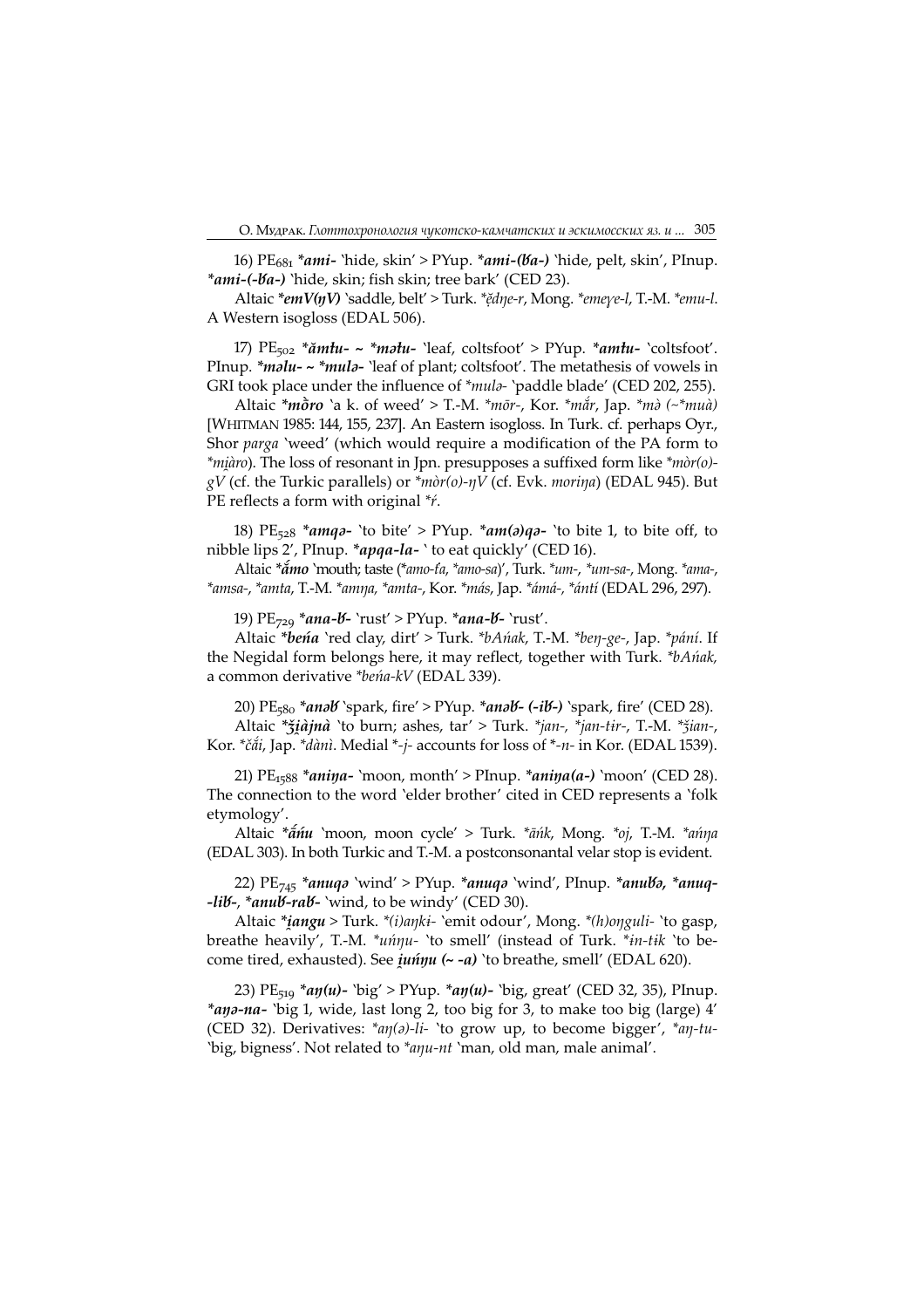16) PE<sub>681</sub> \*ami- 'hide, skin' > PYup. \*ami-(*Va-*) 'hide, pelt, skin', PInup. \*ami-(-Va-) 'hide, skin; fish skin; tree bark' (CED 23).

Altaic \*emV(ŋV) `saddle, belt' > Turk. \*ĕdŋe-r, Mong. \*emeye-l, T.-M. \*emu-l. A Western isogloss (EDAL 506).

17)  $PE_{502}$  \* $\check{a}m\hat{t}u$ - ~ \* $m\hat{a}t\hat{u}$ - `leaf, coltsfoot' > PYup. \* $am\hat{t}u$ - `coltsfoot'. PInup. \**malu- ~* \**mula*- 'leaf of plant; coltsfoot'. The metathesis of vowels in GRI took place under the influence of \*mula- 'paddle blade' (CED 202, 255).

Altaic \* $m\tilde{\sigma}$ ro 'a k. of weed' > T.-M. \* $m\tilde{\sigma}$ r-, Kor. \* $m\tilde{\alpha}$ r, Jap. \* $m\tilde{\sigma}$  (~\* $mu\tilde{\alpha}$ ) [WHITMAN 1985: 144, 155, 237]. An Eastern isogloss. In Turk. cf. perhaps Oyr., Shor parga 'weed' (which would require a modification of the PA form to \*miàro). The loss of resonant in Jpn. presupposes a suffixed form like \*mòr(o) $gV$  (cf. the Turkic parallels) or  $\overline{^*}$ mòr(o)-ŋ $\dot{V}$  (cf. Evk. moriŋa) (EDAL 945). But PE reflects a form with original \**ŕ*.

18) PE<sub>528</sub> \*amq<sub>2</sub>- 'to bite' > PYup. \*am( $a$ )q<sub>2</sub>- 'to bite 1, to bite off, to nibble lips 2', PInup. \*apqa-la- ' to eat quickly' (CED 16).

Altaic \* $\tilde{a}$ mo 'mouth; taste (\*amo-fa, \*amo-sa)', Turk. \*um-, \*um-sa-, Mong. \*ama-, \*amsa-, \*amta, T.-M. \*amŋa, \*amta-, Kor. \*más, Jap. \*ámá-, \*ántí (EDAL 296, 29).

19) PE<sub>729</sub> \*ana-*b*- `rust' > PYup. \*ana-*b*- `rust'.

Altaic \*beńa 'red clay, dirt' > Turk. \*bAńak, T.-M. \*beŋ-ge-, Jap. \*pání. If the Negidal form belongs here, it may reflect, together with Turk. \*bAńak, a common derivative \*beńa-kV (EDAL 339).

20) PE<sub>580</sub> \*anəb `spark, fire' > PYup. \*anəb- (-ib-) `spark, fire' (CED 28). Altaic \* $\check{\tau}$ *iàjnà* 'to burn; ashes, tar' > Turk. \**jan-, \*jan-tir-*, T.-M. \* $\check{\tau}$ *ian-*,

Kor. \*čắi, Jap. \*dànì. Medial \*-j- accounts for loss of \*-n- in Kor. (EDAL 1539).

21) PE<sub>1588</sub> \*aniya- 'moon, month' > PInup. \*aniya(a-) 'moon' (CED 28). The connection to the word 'elder brother' cited in CED represents a 'folk etymology'.

Altaic \* $\tilde{a}$ nu 'moon, moon cycle' > Turk. \* $\tilde{a}$ nk, Mong. \*oj, T.-M. \* $\alpha$ nna (EDAL 303). In both Turkic and T.-M. a postconsonantal velar stop is evident.

22)  $PE_{745}$  \*anuqə 'wind' > PYup. \*anuqə 'wind', PInup. \*anubə, \*anuq--lib-, \*anub-rab- 'wind, to be windy' (CED 30).

Altaic \**iangu* > Turk. \*(*i*)aŋki- `emit odour', Mong. \*(h)oŋguli- `to gasp, breathe heavily', T.-M.  $*u\acute{n}\eta u$ - 'to smell' (instead of Turk.  $*_{in-tik}$  'to become tired, exhausted). See *juńŋu* (~ -a) 'to breathe, smell' (EDAL 620).

23) PE<sub>519</sub> \*ay(u)- 'big' > PYup. \*ay(u)- 'big, great' (CED 32, 35), PInup. \*aŋə-na- `big 1, wide, last long 2, too big for 3, to make too big (large) 4' (CED 32). Derivatives:  $*_{a\eta(a)-li}$  'to grow up, to become bigger',  $*_{a\eta-tu}$ -'big, bigness'. Not related to *\*aŋu-nt* 'man, old man, male animal'.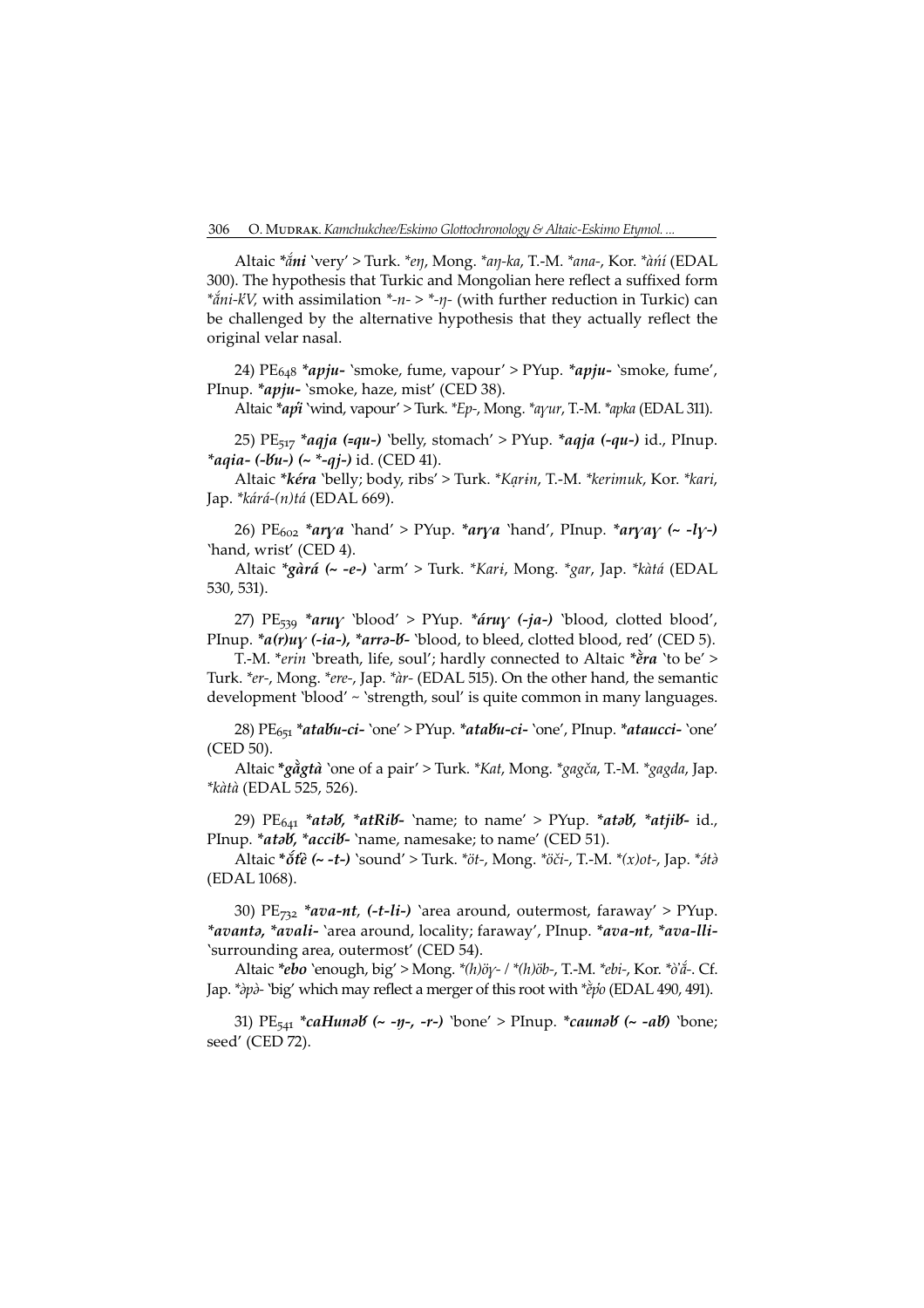Altaic \*ắni 'very' > Turk. \*eŋ, Mong. \*aŋ-ka, T.-M. \*ana-, Kor. \*àńí (EDAL 300). The hypothesis that Turkic and Mongolian here reflect a suffixed form  $*ain-KV$ , with assimilation  $*-n *-η$ - (with further reduction in Turkic) can be challenged by the alternative hypothesis that they actually reflect the original velar nasal.

24) PE<sub>648</sub> \*apju- `smoke, fume, vapour' > PYup. \*apju- `smoke, fume', PInup. \*apju- 'smoke, haze, mist' (CED 38).

Altaic  $*$ api 'wind, vapour' > Turk.  $*Ep$ -, Mong.  $*a$ <sub>Y</sub>ur, T.-M.  $*a$ pka (EDAL 311).

25) PE<sub>517</sub> \*aqja (=qu-) 'belly, stomach' > PYup. \*aqja (-qu-) id., PInup. \*aqia- (-bu-) (~ \*-qj-) id. (CED 41).

Altaic \*kéra 'belly; body, ribs' > Turk. \*Karin, T.-M. \*kerimuk, Kor. \*kari, Jap. \*kárá-(n)tá (EDAL 669).

26) PE<sub>602</sub> \*arya 'hand' > PYup. \*arya 'hand', PInup. \*aryay (~ -ly-) 'hand, wrist' (CED 4).

Altaic \*gàrá (~ -e-) `arm' > Turk. \*Kari, Mong. \*gar, Jap. \*kàtá (EDAL 530, 53).

27) PE<sub>539</sub> \*aruy 'blood' > PYup. \*áruy (-ja-) 'blood, clotted blood', PInup. \*a(r)uy (-ia-), \*arra-b- `blood, to bleed, clotted blood, red' (CED 5).

T.-M. \*erin 'breath, life, soul'; hardly connected to Altaic \*e̊ra 'to be' > Turk. \*er-, Mong. \*ere-, Jap. \*àr- (EDAL 55). On the other hand, the semantic development 'blood' ~ 'strength, soul' is quite common in many languages.

28)  $PE_{651}$  \*atabu-ci- `one' > PYup. \*atabu-ci- `one', PInup. \*ataucci- `one' (CED 50).

Altaic \*gågtà `one of a pair' > Turk. \*Kat, Mong. \*gagča, T.-M. \*gagda, Jap. \*kàtà (EDAL 525, 526).

29)  $PE_{641}$  \*atəb, \*atRib- `name; to name' > PYup. \*atəb, \*atjib- id., PInup. \*atab, \*accib- `name, namesake; to name' (CED 51).

Altaic  $*\delta t\hat{e}$  (~ -t-) 'sound' > Turk.  $*\delta t$ -, Mong.  $*\delta \delta t$ -, T.-M.  $*(x)$ <sub>ot-</sub>, Jap.  $*\delta t\hat{e}$ (EDAL 1068).

30)  $PE_{732}$  \*ava-nt, (-t-li-) `area around, outermost, faraway' > PYup. \*avanta, \*avali- 'area around, locality; faraway', PInup. \*ava-nt, \*ava-lli-'surrounding area, outermost' (CED 54).

Altaic \*ebo `enough, big' > Mong. \*(h)öy- / \*(h)öb-, T.-M. \*ebi-, Kor. \*ò'á-. Cf. Jap. *\*àpà*- `big' which may reflect a merger of this root with *\*èpo* (EDAL 490, 491).

31) PE<sub>541</sub> \*caHunəb (~ -ŋ-, -r-) `bone' > PInup. \*caunəb (~ -ab) `bone; seed' (CED 72).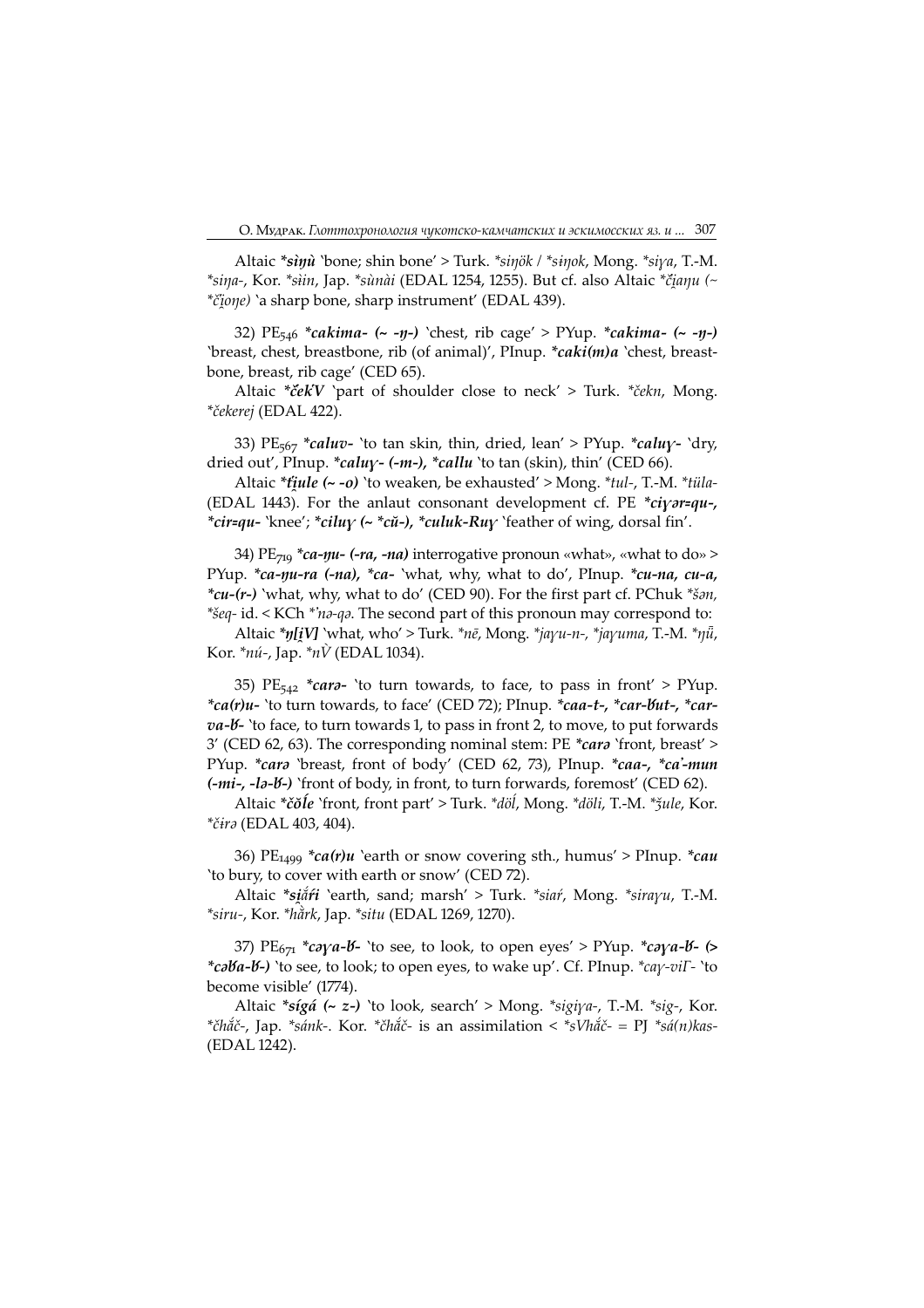Altaic \*sinu 'bone; shin bone' > Turk. \*sinök / \*sinok, Mong. \*siya, T.-M. \*siŋa-, Kor. \*siin, Jap. \*sùnài (EDAL 1254, 1255). But cf. also Altaic \*čiaŋu (~ \*čione) `a sharp bone, sharp instrument' (EDAL 439).

32)  $PE_{546}$  \*cakima- (~ -η-) `chest, rib cage' > PYup. \*cakima- (~ -η-) 'breast, chest, breastbone, rib (of animal)', PInup. \*caki(m)a 'chest, breastbone, breast, rib cage' (CED 65).

Altaic \*če $kV$  'part of shoulder close to neck' > Turk. \*čekn, Mong. \*čekerej (EDAL 422).

33) PE<sub>567</sub> \*caluv- 'to tan skin, thin, dried, lean' > PYup. \*caluy- 'dry, dried out', PInup. \*caluy- (-m-), \*callu 'to tan (skin), thin' (CED 66).

Altaic \**tiule* (~ -o) 'to weaken, be exhausted' > Mong. \**tul-*, T.-M. \**tüla*-(EDAL 1443). For the anlaut consonant development cf. PE \*ciyar=qu-, \*cir=qu- 'knee'; \*ciluy (~ \*cŭ-), \*culuk-Ruy 'feather of wing, dorsal fin'.

34) PE<sub>719</sub> \*ca-yu- (-ra, -na) interrogative pronoun «what», «what to do» > PYup. \*ca-*nu-ra* (-na), \*ca- `what, why, what to do', PInup. \*cu-na, cu-a, \* $cu-(r-)$  'what, why, what to do' (CED 90). For the first part cf. PChuk \* $\check{s}an$ , \*šeq-id. < KCh \*'na-qa. The second part of this pronoun may correspond to:

Altaic \* $y[i]$  'what, who' > Turk. \* $n\bar{e}$ , Mong. \* $jayu-n-$ , \* $jayuma$ , T.-M. \* $\eta\bar{u}$ , Kor. \* $n\hat{u}$ -, Jap. \* $n\hat{V}$  (EDAL 1034).

35) PE<sub>542</sub> \*cara- 'to turn towards, to face, to pass in front' > PYup. \*ca(r)u- 'to turn towards, to face' (CED 72); PInup. \*caa-t-, \*car-but-, \*car $va$ - $b$ - 'to face, to turn towards 1, to pass in front 2, to move, to put forwards 3' (CED 62, 63). The corresponding nominal stem: PE  $*car\sigma$  'front, breast' > PYup. \*cara 'breast, front of body' (CED 62, 73), PInup. \*caa-, \*ca'-mun (-mi-, -la-V-) 'front of body, in front, to turn forwards, foremost' (CED 62).

Altaic \*čŏĺe 'front, front part' > Turk. \*döĺ, Mong. \*döli, T.-M. \*ǯule, Kor. \*čira (EDAL 403, 404).

36) PE<sub>1499</sub> \*ca(r)u `earth or snow covering sth., humus' > PInup. \*cau 'to bury, to cover with earth or snow' (CED 2).

Altaic \*siåri 'earth, sand; marsh' > Turk. \*siaŕ, Mong. \*sirayu, T.-M.  $*$ siru-, Kor.  $*$ hằrk, Jap.  $*$ situ (EDAL 1269, 1270).

37)  $PE_{671}$  \*caya-b- 'to see, to look, to open eyes' > PYup. \*caya-b- (> \*cəVa-V-) 'to see, to look; to open eyes, to wake up'. Cf. PInup. \*cay-viΓ- 'to become visible' (1774).

Altaic \* $sigá$  (~ z-) `to look, search' > Mong. \* $sigiya$ -, T.-M. \* $sig$ -, Kor. \*čhắč-, Jap. \*sánk-. Kor. \*čhắč- is an assimilation < \*sVhắč- = PJ \*sá(n)kas-(EDAL 1242).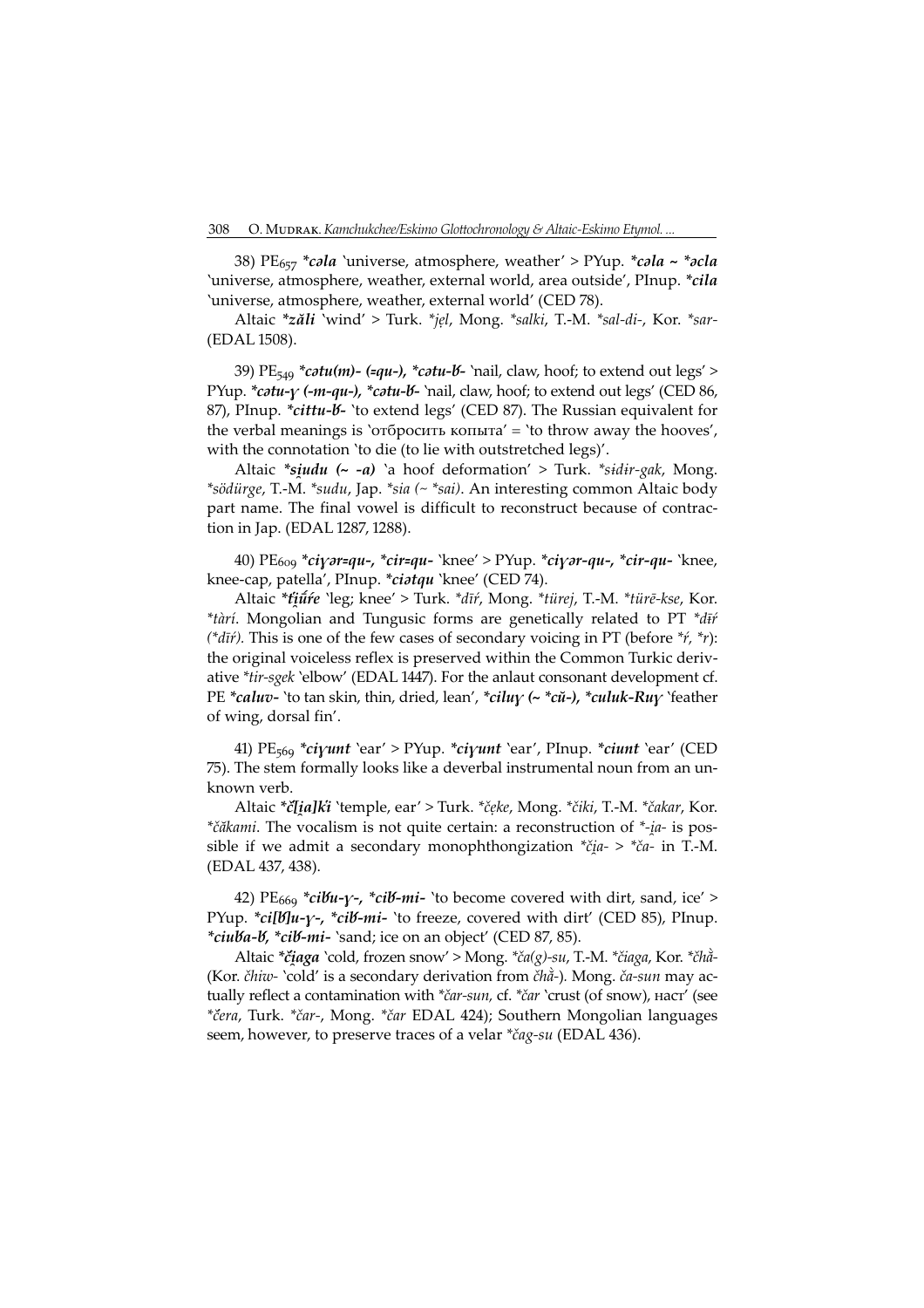38) PE<sub>657</sub> \*cala 'universe, atmosphere, weather' > PYup. \*cala ~ \*acla 'universe, atmosphere, weather, external world, area outside', PInup. \*cila 'universe, atmosphere, weather, external world' (CED 78).

Altaic \*zăli 'wind' > Turk. \*jẹl, Mong. \*salki, T.-M. \*sal-di-, Kor. \*sar- (EDAL 1508).

39)  $PE_{549} * \textit{cotu}(m)$ - (=qu-), \* $\textit{cotu-V}$ - 'nail, claw, hoof; to extend out legs' > PYup. *\*catu-y (-m-qu-), \*catu-b*- 'nail, claw, hoof; to extend out legs' (CED 86, 87), PInup. \*cittu-b- 'to extend legs' (CED 87). The Russian equivalent for the verbal meanings is 'отбросить копыта' = 'to throw away the hooves', with the connotation 'to die (to lie with outstretched legs)'.

Altaic  $*siudu$   $(\sim -a)$  `a hoof deformation' > Turk.  $*sidir-gak$ , Mong. \*södürge, T.-M. \*sudu, Jap. \*sia (~ \*sai). An interesting common Altaic body part name. The final vowel is difficult to reconstruct because of contraction in Jap. (EDAL 1287, 1288).

40) PE<sub>609</sub> \*ciy*ər=qu-, \*cir=qu- `*knee' > PYup. \*ciy*ər-qu-, \*cir-qu- `*knee, knee-cap, patella', PInup. \*ciatqu `knee' (CED 74).

Altaic \*tūtie 'leg; knee' > Turk. \*dīŕ, Mong. \*türej, T.-M. \*türē-kse, Kor. \*tàrí. Mongolian and Tungusic forms are genetically related to PT \*di+ (\* $d\bar{i}$ r). This is one of the few cases of secondary voicing in PT (before \*r, \*r): the original voiceless reflex is preserved within the Common Turkic derivative  $*$ tir-sgek `elbow' (EDAL 1447). For the anlaut consonant development cf. PE \*caluv- 'to tan skin, thin, dried, lean', \*cilu $\gamma$  (~ \*cŭ-), \*culuk-Ru $\gamma$  'feather of wing, dorsal fin'.

41) PE<sub>569</sub> \*ciyunt `ear' > PYup. \*ciyunt `ear', PInup. \*ciunt `ear' (CED 5). The stem formally looks like a deverbal instrumental noun from an unknown verb.

Altaic \*č[ia]ki 'temple, ear' > Turk. \*čęke, Mong. \*čiki, T.-M. \*čakar, Kor. \*čăkami. The vocalism is not quite certain: a reconstruction of \*-ia- is possible if we admit a secondary monophthongization  $* \check{c}$ *ia-* >  $* \check{c}$ *a-* in T.-M. (EDAL 437, 438).

42) PE<sub>669</sub> \*ciVu- $\gamma$ -, \*ciV-mi- 'to become covered with dirt, sand, ice' > PYup. \*ci[b]u-y-, \*cib-mi- `to freeze, covered with dirt' (CED 85), PInup. \*ciuba-b, \*cib-mi- `sand; ice on an object' (CED 87, 85).

Altaic \*čiaga 'cold, frozen snow' > Mong. \*ča(g)-su, T.-M. \*čiaga, Kor. \*čhà-(Kor. čhiw- 'cold' is a secondary derivation from čhằ-). Mong. ča-sun may actually reflect a contamination with \*čar-sun, cf. \*čar 'crust (of snow), наст' (see \*čera, Turk. \*čar-, Mong. \*čar EDAL 424); Southern Mongolian languages seem, however, to preserve traces of a velar \*čag-su (EDAL 436).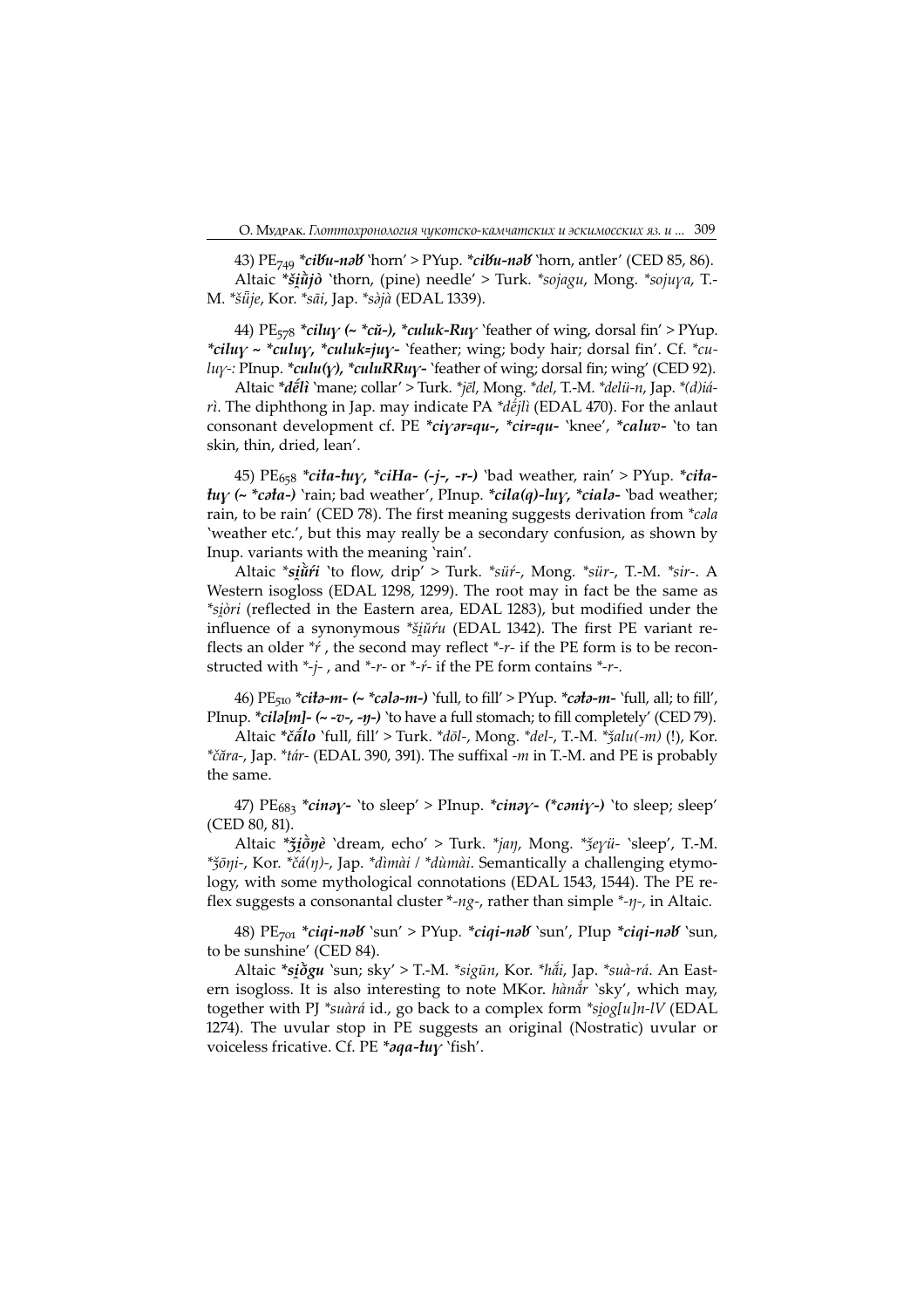43) PE<sub>749</sub> \*cibu-nab 'horn' > PYup. \*cibu-nab 'horn, antler' (CED 85, 86). Altaic \*šiūjo 'thorn, (pine) needle' > Turk. \*sojagu, Mong. \*sojuya, T.-M. \*šūje, Kor. \*sāi, Jap. \*sàjà (EDAL 1339).

44) PE<sub>578</sub> \*ciluy (~ \*cu-), \*culuk-Ruy `feather of wing, dorsal fin' > PYup. \*ciluy ~ \*culuy, \*culuk=juy- `feather; wing; body hair; dorsal fin'. Cf. \*cu $luy-$ : PInup. \*culu(y), \*culuRRuy- `feather of wing; dorsal fin; wing' (CED 92).

Altaic \*deti `mane; collar' > Turk. \*jel, Mong. \*del, T.-M. \*delü-n, Jap. \*(d)iá- $\dot{n}$ . The diphthong in Jap. may indicate PA \*d $\dot{\tilde{e}}$ *ili* (EDAL 470). For the anlaut consonant development cf. PE \*ciyar=qu-, \*cir=qu- 'knee', \*caluv- 'to tan skin, thin, dried, lean'.

45) PE<sub>658</sub> \*cita-tuy, \*ciHa- (-j-, -r-) `bad weather, rain' > PYup. \*cita $tuy$  (~ \*cəta-) `rain; bad weather', PInup. \*cila(q)-luy, \*cialə- `bad weather; rain, to be rain' (CED 78). The first meaning suggests derivation from *\*cala* 'weather etc.', but this may really be a secondary confusion, as shown by Inup. variants with the meaning 'rain'.

Altaic \*siǔrí `to flow, drip' > Turk. \*sür-, Mong. \*sür-, T.-M. \*sir-. A Western isogloss (EDAL 1298, 1299). The root may in fact be the same as \*siòri (reflected in the Eastern area, EDAL 1283), but modified under the influence of a synonymous \*šiūŕu (EDAL 1342). The first PE variant reflects an older  $*$  the second may reflect  $*$ - $r$ - if the PE form is to be reconstructed with  $*-j$ -, and  $*-r$ - or  $*-r$ - if the PE form contains  $*-r$ -.

46) PE<sub>510</sub> \*cita-m- (~ \*cala-m-) `full, to fill' > PYup. \*cata-m- `full, all; to fill', PInup. \*cila[m]- (~ -v-, -ŋ-) `to have a full stomach; to fill completely' (CED 79).

Altaic \* $\check{c}\check{a}$ lo `full, fill' > Turk. \* $d\overline{o}l$ -, Mong. \* $del$ -, T.-M. \* $\check{z}alu(-m)$  (!), Kor. \*čăra-, Jap. \*tár- (EDAL 390, 391). The suffixal -m in T.-M. and PE is probably the same.

47) PE683 \*cinay- 'to sleep' > PInup. \*cinay- (\*caniy-) 'to sleep; sleep' (CED 80, 81).

Altaic \* jone `dream, echo' > Turk. \* jan, Mong. \* jeyü- `sleep', T.-M. \* $\frac{2}{3}$ õ $\eta$ *i*-, Kor. \* $\check{c}\acute{a}(\eta)$ -, Jap. \* $\dim\mathring{a}$  / \* $\dim\mathring{a}$ . Semantically a challenging etymology, with some mythological connotations (EDAL 1543, 1544). The PE reflex suggests a consonantal cluster \*-ng-, rather than simple \*- $\eta$ -, in Altaic.

48)  $PE_{701}$  \*ciqi-nəb `sun' > PYup. \*ciqi-nəb `sun', PIup \*ciqi-nəb `sun, to be sunshine' (CED 84).

Altaic \*siðgu `sun; sky' > T.-M. \*sigūn, Kor. \*hẳi, Jap. \*suà-rá. An Eastern isogloss. It is also interesting to note MKor. hànắr 'sky', which may, together with PJ \*suàrá id., go back to a complex form \*siog[u]n-lV (EDAL 1274). The uvular stop in PE suggests an original (Nostratic) uvular or voiceless fricative. Cf. PE \*aqa-tuy `fish'.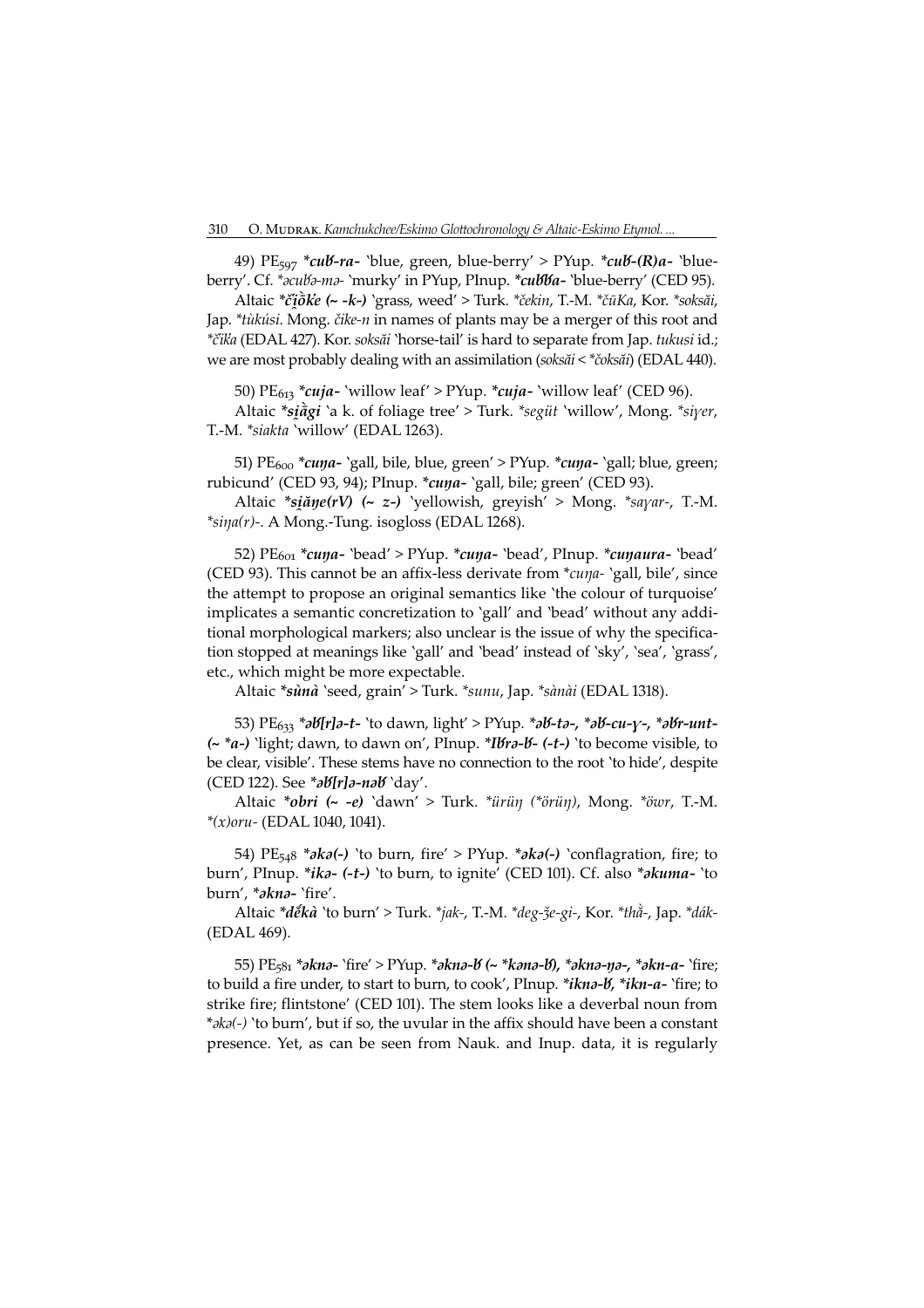49) PE<sub>597</sub> \*cub-ra- `blue, green, blue-berry' > PYup. \*cub-(R)a- `blueberry'. Cf. \*acuba-ma- 'murky' in PYup, PInup. \*cubba- 'blue-berry' (CED 95).

Altaic \*čiotke (~ - k-) `grass, weed' > Turk. \*čekin, T.-M. \*čūKa, Kor. \*soksai, Jap. \*tùkúsi. Mong. čike-n in names of plants may be a merger of this root and \*čika (EDAL 427). Kor. soksăi `horse-tail' is hard to separate from Jap. tukusi id.; we are most probably dealing with an assimilation (soksăi < \* čoksăi) (EDAL 440).

50)  $PE_{613}$  \*cuja- `willow leaf' > PYup. \*cuja- `willow leaf' (CED 96).

Altaic \*siagi `a k. of foliage tree' > Turk. \*següt `willow', Mong. \*siyer, T.-M. \*siakta 'willow' (EDAL 1263).

51) PE<sub>600</sub> \*cuya- `gall, bile, blue, green' > PYup. \*cuya- `gall; blue, green; rubicund' (CED 93, 94); PInup. \*cuna- `gall, bile; green' (CED 93).

Altaic \*siăne(rV) (~ z-) 'yellowish, greyish' > Mong. \*sayar-, T.-M.  $*$ sina(r)-. A Mong.-Tung. isogloss (EDAL 1268).

52)  $PE<sub>601</sub> *cupa- 'bead' > PYup. *cuņa- 'bead', Plnup. *cuņaura- 'bead'$ (CED 93). This cannot be an affix-less derivate from \*cuna- 'gall, bile', since the attempt to propose an original semantics like 'the colour of turquoise' implicates a semantic concretization to 'gall' and 'bead' without any additional morphological markers; also unclear is the issue of why the specification stopped at meanings like 'gall' and 'bead' instead of 'sky', 'sea', 'grass', etc., which might be more expectable.

Altaic \*sùnà `seed, grain' > Turk. \*sunu, Jap. \*sànài (EDAL 1318).

53) PE<sub>633</sub> \*ab[r]a-t- 'to dawn, light' > PYup. \*ab-ta-, \*ab-cu-y-, \*abr-unt- $\left(\sim \mu\right)$  'light; dawn, to dawn on', PInup. \*Ibra-b- (-t-) 'to become visible, to be clear, visible'. These stems have no connection to the root 'to hide', despite (CED 122). See  $\mathscr{B}$   $\mathscr{B}[r]$ a-na $\mathscr{B}'$  `day'.

Altaic \*obri (~ -e) 'dawn' > Turk. \*ürün (\*örün), Mong. \*öwr, T.-M.  $*(x)$ oru- (EDAL 1040, 1041).

54) PE<sub>548</sub> \* $\partial k\partial$ (-) 'to burn, fire' > PYup. \* $\partial k\partial$ (-) 'conflagration, fire; to burn', PInup. \*ika- (-t-) 'to burn, to ignite' (CED 101). Cf. also \*akuma- 'to burn', \*akna- 'fire'.

Altaic \*děkà `to burn' > Turk. \*jak-, T.-M. \*deg-že-gi-, Kor. \*thà-, Jap. \*dák-(EDAL 469).

55) PE<sub>581</sub> \*akna- 'fire' > PYup. \*akna-*b* (~ \*kana-*b*), \*akna-ŋa-, \*akn-a- 'fire; to build a fire under, to start to burn, to cook', PInup. \**ikna-b*, \**ikn-a-* `fire; to strike fire; flintstone' (CED 101). The stem looks like a deverbal noun from \*aka(-) 'to burn', but if so, the uvular in the affix should have been a constant presence. Yet, as can be seen from Nauk. and Inup. data, it is regularly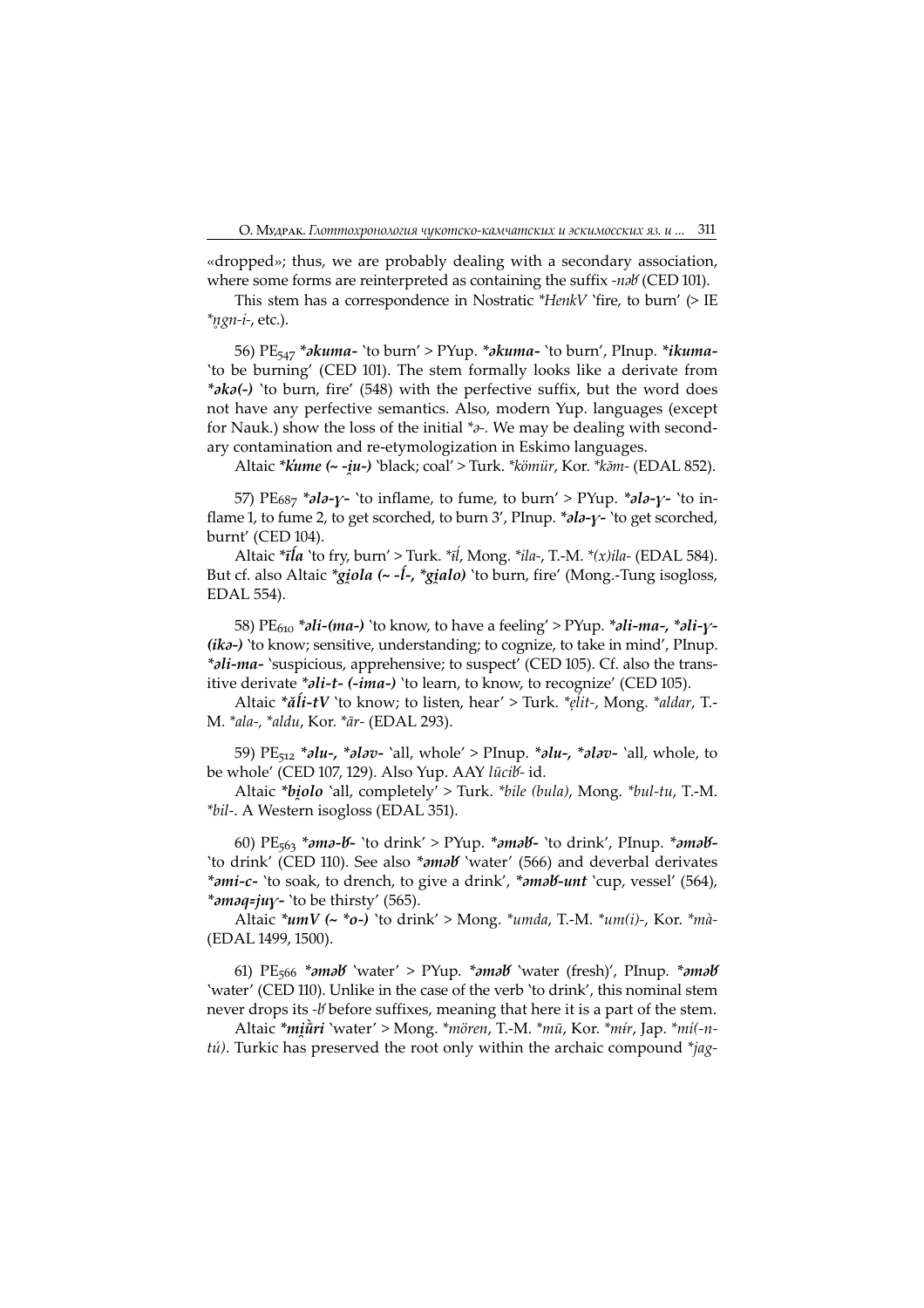«dropped»; thus, we are probably dealing with a secondary association, where some forms are reinterpreted as containing the suffix -nab (CED 101).

This stem has a correspondence in Nostratic \*HenkV `fire, to burn' (> IE \*ngn-i-, etc.).

56)  $PE_{547}$  \*akuma- 'to burn' > PYup. \*akuma- 'to burn', PInup. \*ikuma-'to be burning' (CED 101). The stem formally looks like a derivate from \* $\partial k\partial$ (-) 'to burn, fire' (548) with the perfective suffix, but the word does not have any perfective semantics. Also, modern Yup. languages (except for Nauk.) show the loss of the initial  $*_{\partial}$ . We may be dealing with secondary contamination and re-etymologization in Eskimo languages.

Altaic \*kume (~ -iu-) `black; coal' > Turk. \*kömür, Kor. \*kām- (EDAL 852).

57)  $PE_{687}$  \*ala- $\gamma$ - 'to inflame, to fume, to burn' > PYup. \*ala- $\gamma$ - 'to inflame 1, to fume 2, to get scorched, to burn 3', PInup. \*ala-y- 'to get scorched, burnt' (CED 104).

Altaic \* $\bar{\iota}l\dot{a}$  'to fry, burn' > Turk. \* $\bar{\iota}l$ , Mong. \* $ila$ , T.-M. \* $(x)$  $ila$ - (EDAL 584). But cf. also Altaic \**giola* ( $\sim -1$ -, \**gialo*) 'to burn, fire' (Mong.-Tung isogloss, EDAL 554).

58) PE<sub>610</sub> \**ali-(ma-)* `to know, to have a feeling' > PYup. \**ali-ma-*, \**ali-y*- $(ika-)$  'to know; sensitive, understanding; to cognize, to take in mind', PInup. \*ali-ma- `suspicious, apprehensive; to suspect' (CED 105). Cf. also the transitive derivate \*ali-t- (-ima-) `to learn, to know, to recognize' (CED 105).

Altaic \*ăli-tV `to know; to listen, hear' > Turk. \*elit-, Mong. \*aldar, T.-M. \*ala-, \*aldu, Kor. \*ār- (EDAL 293).

59)  $PE_{512}$  \*alu-, \*alav- `all, whole' > PInup. \*alu-, \*alav- `all, whole, to be whole' (CED 107, 129). Also Yup. AAY lūcib-id.

Altaic \*biolo `all, completely' > Turk. \*bile (bula), Mong. \*bul-tu, T.-M. \*bil-. A Western isogloss (EDAL 351).

60)  $PE_{563}$  \*ama-*b*- 'to drink' > PYup. \*amab- 'to drink', PInup. \*amab-'to drink' (CED 110). See also \*amab 'water' (566) and deverbal derivates \*ami-c- `to soak, to drench, to give a drink', \*amal f-unt `cup, vessel' (564), \*amaq=juy- `to be thirsty' (565).

Altaic \* $umV$  (~ \*o-) 'to drink' > Mong. \* $umda$ , T.-M. \* $um(i)$ -, Kor. \* $m\dot{a}$ -(EDAL 1499, 1500).

61)  $PE_{566}$  \* $\partial$ m $\partial$ b 'water' > PYup. \* $\partial$ m $\partial$ b 'water (fresh)', PInup. \* $\partial$ m $\partial$ b 'water' (CED 110). Unlike in the case of the verb 'to drink', this nominal stem never drops its -*V* before suffixes, meaning that here it is a part of the stem.

Altaic \*miūri `water' > Mong. \*mören, T.-M. \*mū, Kor. \*mír, Jap. \*mí(-n $t\acute{u}$ ). Turkic has preserved the root only within the archaic compound \*jag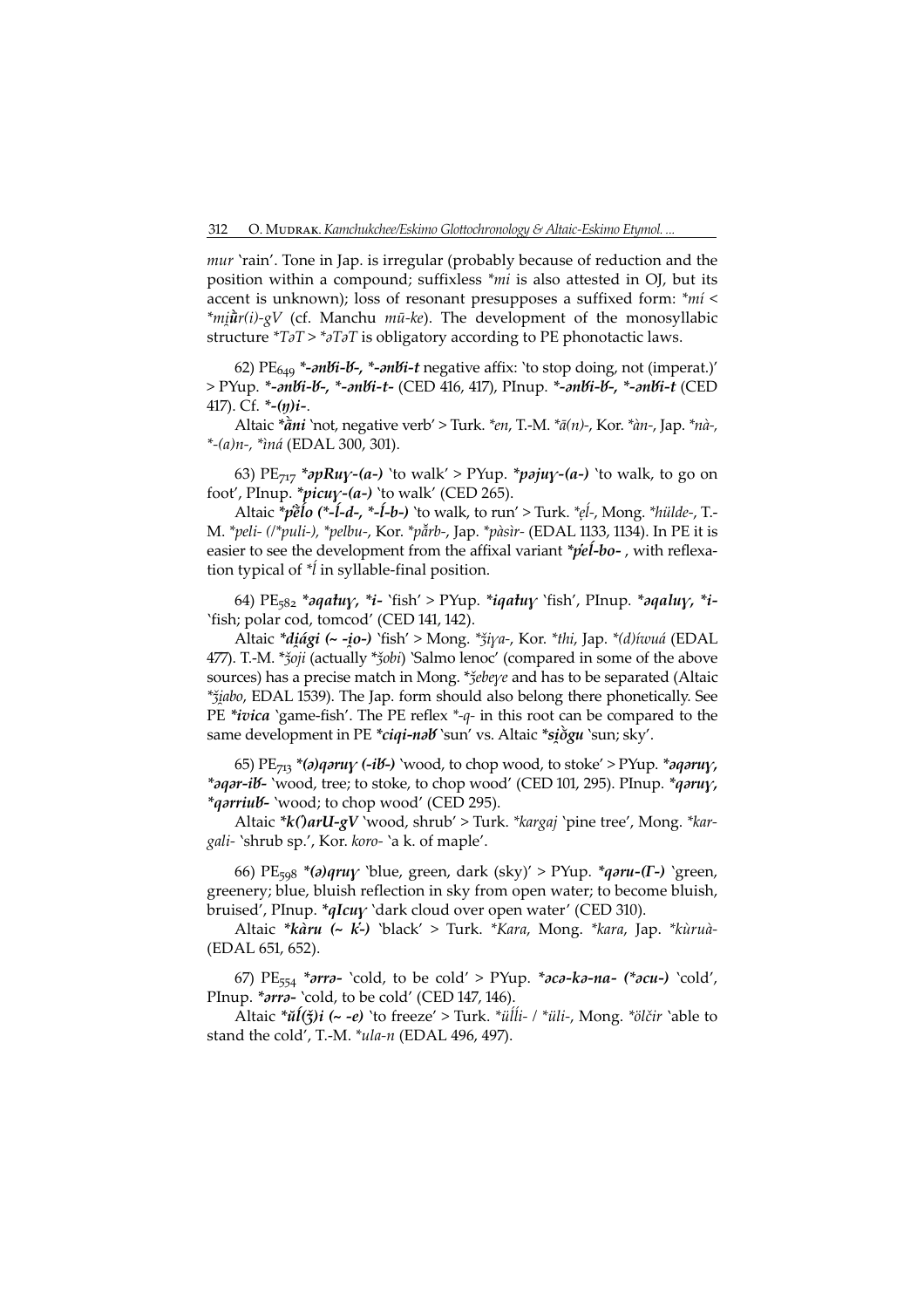mur 'rain'. Tone in Jap. is irregular (probably because of reduction and the position within a compound; suffixless \*mi is also attested in OJ, but its accent is unknown); loss of resonant presupposes a suffixed form: \*mi <  $*mi\hat{i}r(i)$ -gV (cf. Manchu *mū-ke*). The development of the monosyllabic structure  $T\partial T$  >  $\partial T\partial T$  is obligatory according to PE phonotactic laws.

62)  $PE<sub>649</sub> * -mBi-K - mBi-t$  negative affix: 'to stop doing, not (imperat.)' > PYup. \*-anbi-b-, \*-anbi-t- (CED 416, 417), PInup. \*-anbi-b-, \*-anbi-t (CED 417). Cf.  $*-(y)i$ -.

Altaic  $*\tilde{a}ni$  'not, negative verb' > Turk.  $*en$ , T.-M.  $*\tilde{a}(n)$ -, Kor.  $*\tilde{a}n$ -, Jap.  $*\tilde{a}n$ -, \*-(a)n-, \*ìná (EDAL 300, 30).

63)  $PE_{717}$  \*apRu $\gamma$ -(a-) 'to walk' > PYup. \*paju $\gamma$ -(a-) 'to walk, to go on foot', PInup. \* $picuy-(a-)$  'to walk' (CED 265).

Altaic  $\check{p}$ ẽlo (\*-ĺ-d-, \*-ĺ-b-) `to walk, to run' > Turk. \*eĺ-, Mong. \*hülde-, T. M. \*peli- (/\*puli-), \*pelbu-, Kor. \*pẵrb-, Jap. \*pàsìr- (EDAL 1133, 1134). In PE it is easier to see the development from the affixal variant  $\phi e^i-bo$ -, with reflexation typical of  $**i*$  in syllable-final position.

64) PE<sub>582</sub> \*aqatuy, \*i- `fish' > PYup. \*iqatuy `fish', PInup. \*aqaluy, \*i-'fish; polar cod, tomcod' (CED 141, 142).

Altaic \*diági (~ -io-) 'fish' > Mong. \*žiya-, Kor. \*thi, Jap. \*(d)íwuá (EDAL 477). T.-M. \*ǯoji (actually \*ǯobi) `Salmo lenoc' (compared in some of the above sources) has a precise match in Mong. \* $\zeta$ ebeye and has to be separated (Altaic \*ǯabo, EDAL 539). The Jap. form should also belong there phonetically. See PE \**ivica* 'game-fish'. The PE reflex  $*-q$ - in this root can be compared to the same development in PE \*ciqi-nəb `sun' vs. Altaic \*siðgu `sun; sky'.

65)  $PE_{713}$  \*(a)qaruy (-ib-) 'wood, to chop wood, to stoke' > PYup. \*aqaruy, \*aqar-ib- 'wood, tree; to stoke, to chop wood' (CED 101, 295). PInup. \*qaruy, \*qarriub- 'wood; to chop wood' (CED 295).

Altaic \*k()arU-gV `wood, shrub' > Turk. \*kargaj `pine tree', Mong. \*kargali- 'shrub sp.', Kor. koro- 'a k. of maple'.

66) PE<sub>598</sub> \*(a)qruy 'blue, green, dark (sky)' > PYup. \*qaru-(Γ-) 'green, greenery; blue, bluish reflection in sky from open water; to become bluish, bruised', PInup.  $*qIcu\gamma$  'dark cloud over open water' (CED 310).

Altaic \*kàru (~ k-) 'black' > Turk. \*Kara, Mong. \*kara, Jap. \*kùruà- (EDAL 651, 652).

67) PE<sub>554</sub> \*arra- 'cold, to be cold' > PYup. \*aca-ka-na- (\*acu-) 'cold', PInup. \* *arra*- 'cold, to be cold' (CED 147, 146).

Altaic \* $\check{u}(\check{\xi})$ i (~ -e) 'to freeze' > Turk. \* $\check{u}\check{\ell}$ ii- / \* $\check{u}$ li-, Mong. \* $\check{o}$ lčir 'able to stand the cold', T.-M.  $*$ ula-n (EDAL 496, 497).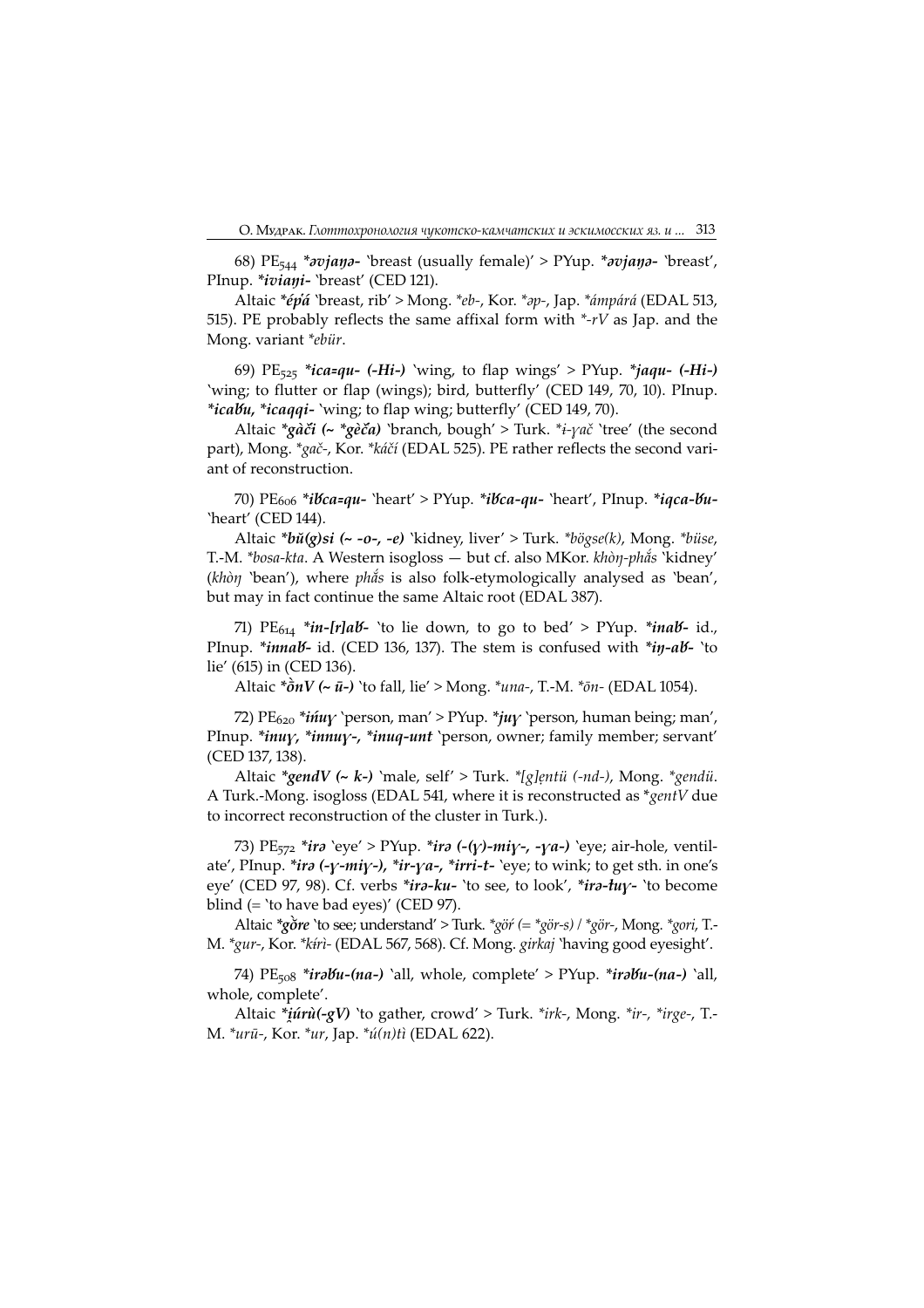68)  $PE_{544} * \text{original}$  'breast (usually female)' > PYup. \* $\text{original}$  'breast', PInup. \**iviani*- 'breast' (CED 121).

Altaic \*épá 'breast, rib' > Mong. \*eb-, Kor. \*ap-, Jap. \*ámpárá (EDAL 513, 515). PE probably reflects the same affixal form with  $*$ - $rV$  as Jap. and the Mong. variant \*ebür.

69)  $PE_{525}$  \**ica=qu-* (-H*i*-) 'wing, to flap wings' > PYup. \**jaqu-* (-H*i*-) 'wing; to flutter or flap (wings); bird, butterfly' (CED 149, 70, 10). PInup. \*icabu, \*icaqqi- 'wing; to flap wing; butterfly' (CED 149, 70).

Altaic  $*g\tilde{a}c\tilde{i}$  (~  $*g\tilde{e}c\tilde{a}$ ) 'branch, bough' > Turk.  $*_{\tilde{t}}\gamma a\tilde{c}$  'tree' (the second part), Mong. \*gač-, Kor. \*káčí (EDAL 525). PE rather reflects the second variant of reconstruction.

70) PE<sub>606</sub> \*i*bca=qu-* `heart' > PYup. \*ibca-qu- `heart', PInup. \*iqca-bu-'heart' (CED 144).

Altaic  $*b\check{u}(g)si$  (~ -o-, -e) 'kidney, liver' > Turk.  $*b\check{v}gse(k)$ , Mong.  $*biise$ , T.-M. \*bosa-kta. A Western isogloss — but cf. also MKor. khòŋ-phắs 'kidney' (khòŋ 'bean'), where phắs is also folk-etymologically analysed as 'bean', but may in fact continue the same Altaic root (EDAL 387).

71)  $PE_{614} * in-Ir]aB- 'to lie down, to go to bed' > PYup. * inab- id.,$ PInup. \**innab*- id. (CED 136, 137). The stem is confused with \*in-ab- 'to lie' (615) in (CED 136).

Altaic  $*\hat{\sigma} n V$  (~  $\bar{u}$ -) 'to fall, lie' > Mong.  $*$ una-, T.-M.  $*\bar{\sigma} n$ - (EDAL 1054).

72) PE<sub>620</sub> \**ińuy* 'person, man' > PYup. \**juy* 'person, human being; man', PInup. \**inuy,* \**innuy-,* \**inuq-unt* 'person, owner; family member; servant' (CED 137, 138).

Altaic \*gendV (~ k-) 'male, self' > Turk. \*[g]entü (-nd-), Mong. \*gendü. A Turk.-Mong. isogloss (EDAL 541, where it is reconstructed as  $*$ gentV due to incorrect reconstruction of the cluster in Turk.).

73) PE<sub>572</sub> \**ira* 'eye' > PYup. \**ira* (-( $\gamma$ )- $m\dot{\gamma}$ -, - $\gamma a$ -) 'eye; air-hole, ventilate', PInup. \**ira* (- $\gamma$ -*mi* $\gamma$ -), \**ir*- $\gamma a$ -, \**irri*-*t*- 'eye; to wink; to get sth. in one's eye' (CED 97, 98). Cf. verbs \*ira-ku- 'to see, to look', \*ira-tuy- 'to become blind  $(=$  'to have bad eyes)' (CED 97).

Altaic  $*g\delta r e$  'to see; understand' > Turk.  $*g\delta r (= *g\delta r - s) / *g\delta r - s$ , Mong.  $*g\delta r$ , T. M. \*gur-, Kor. \*ktrì- (EDAL 567, 568). Cf. Mong. girkaj 'having good eyesight'.

74) PE<sub>508</sub> \**irabu-(na-)* `all, whole, complete' > PYup. \**irabu-(na-*) `all, whole, complete'.

Altaic  $*i\hat{u}r\hat{u}(-gV)$  'to gather, crowd' > Turk.  $*irk$ -, Mong.  $*ir$ -,  $*irge$ -, T. M. \*urū-, Kor. \*ur, Jap. \*ú(n)tì (EDAL 622).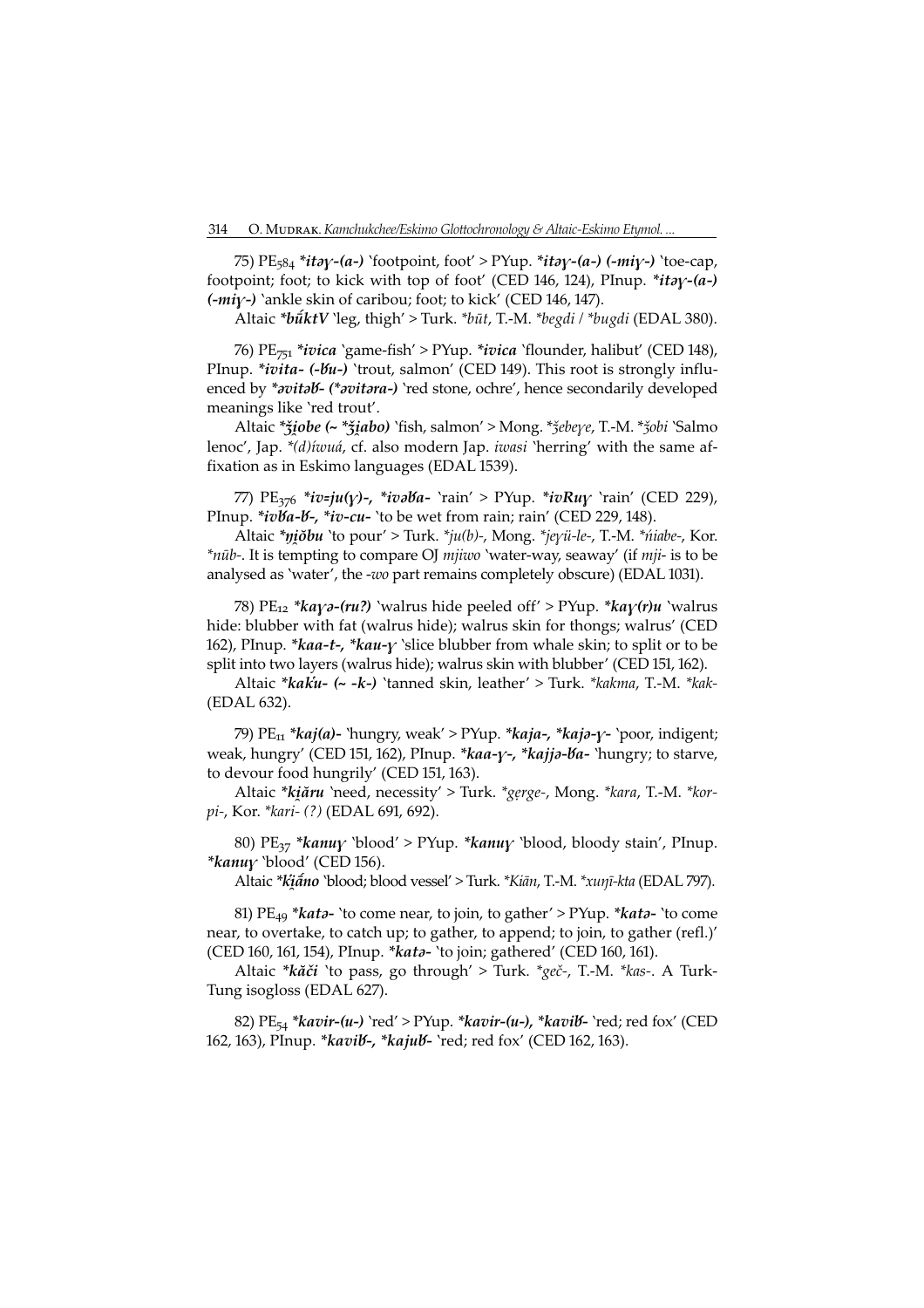75)  $PE_{584} * itay-(a-)$  'footpoint, foot' > PYup. \*itay-(a-) (-miy-) 'toe-cap, footpoint; foot; to kick with top of foot' (CED 146, 124), PInup. \**itay-(a-)*  $(-mi\gamma-)$  `ankle skin of caribou; foot; to kick' (CED 146, 147).

Altaic \*būktV `leg, thigh' > Turk. \*būt, T.-M. \*begdi / \*bugdi (EDAL 380).

76)  $PE_{751}$  \**ivica* `game-fish' > PYup. \**ivica* `flounder, halibut' (CED 148), PInup. \**ivita-*  $(-\delta u)$  'trout, salmon' (CED 149). This root is strongly influenced by \*avitab- (\*avitara-) `red stone, ochre', hence secondarily developed meanings like 'red trout'.

Altaic \* žiobe (~ \* žiabo) 'fish, salmon' > Mong. \* žebeye, T.-M. \* žobi 'Salmo lenoc', Jap. \*(d) *iwuá*, cf. also modern Jap. *iwasi* 'herring' with the same affixation as in Eskimo languages (EDAL 1539).

77)  $PE_{376}$  \*iv=ju(y)-, \*ivəba- 'rain' > PYup. \*ivRuy 'rain' (CED 229), PInup. \**ivba-b-*, \**iv-cu*- 'to be wet from rain; rain' (CED 229, 148).

Altaic \*niobu `to pour' > Turk. \*ju(b)-, Mong. \*jeyü-le-, T.-M. \*niabe-, Kor. \*nūb-. It is tempting to compare OJ mjiwo 'water-way, seaway' (if mji- is to be analysed as 'water', the -wo part remains completely obscure) (EDAL 1031).

78) PE<sub>12</sub> \**ka* $\gamma$ *ə*-(*ru*?) 'walrus hide peeled off' > PYup. \**ka* $\gamma$ (*r*)*u* 'walrus hide: blubber with fat (walrus hide); walrus skin for thongs; walrus' (CED 162), PInup. \* kaa-t-, \* kau- $\gamma$  `slice blubber from whale skin; to split or to be split into two layers (walrus hide); walrus skin with blubber' (CED 151, 162).

Altaic \*kaku- (~ -k-) `tanned skin, leather' > Turk. \*kakma, T.-M. \*kak-(EDAL 632).

79)  $PE_{11} * kaj(a)$ - 'hungry, weak' > PYup. \* $kaja$ -, \* $kaja$ - $\gamma$ - 'poor, indigent; weak, hungry' (CED 151, 162), PInup. \*kaa-y-, \*kajja-ba- 'hungry; to starve, to devour food hungrily' (CED 151, 163).

Altaic \*kiăru `need, necessity' > Turk. \*gerge-, Mong. \*kara, T.-M. \*korpi-, Kor. \*kari- (?) (EDAL 691, 692).

80) PE<sub>37</sub> \*kanuy `blood' > PYup. \*kanuy `blood, bloody stain', PInup. \* $k$ anu $\gamma$  'blood' (CED 156).

Altaic \*kiano 'blood; blood vessel' > Turk. \*Kian, T.-M. \*xunī-kta (EDAL 797).

81) PE<sub>49</sub> \**kata*- 'to come near, to join, to gather' > PYup. \**kata*- 'to come near, to overtake, to catch up; to gather, to append; to join, to gather (refl.)' (CED 160, 161, 154), PInup. \* kata- 'to join; gathered' (CED 160, 161).

Altaic \*kăči `to pass, go through' > Turk. \*geč-, T.-M. \*kas-. A Turk-Tung isogloss (EDAL 627).

82)  $PE_{54} * kavir-(u-) \text{ } 'red' > PVup. * kavir-(u-), * kavib- \text{ } 'red; red fox'$  (CED 162, 163), PInup. \* kavil -, \* kajul - `red; red fox' (CED 162, 163).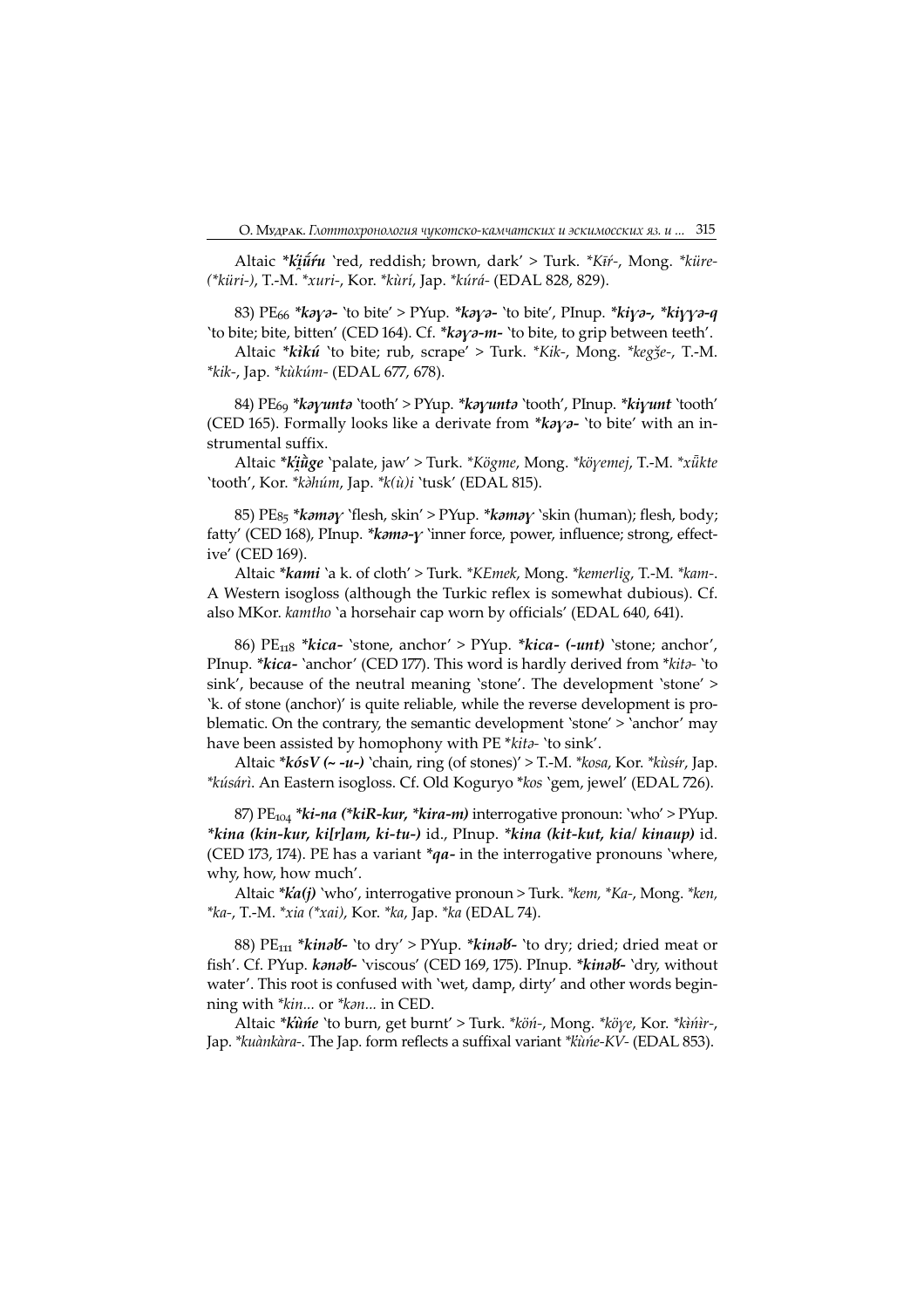Altaic \*kiū́ru 'red, reddish; brown, dark' > Turk. \*Kiŕ-, Mong. \*küre-(\*küri-), T.-M. \*xuri-, Kor. \*kùrí, Jap. \*kúrá- (EDAL 828, 829).

83) PE<sub>66</sub> \* $k$ *a* $\gamma$ *a*- 'to bite' > PYup. \* $k$ *a* $\gamma$ *a*- 'to bite', PInup. \* $k$ *i* $\gamma$ *a*-, \* $k$ *i* $\gamma$ *ya*-*q* 'to bite; bite, bitten' (CED 164). Cf. \*kaya-m- 'to bite, to grip between teeth'.

Altaic \*kìkú 'to bite; rub, scrape' > Turk. \*Kik-, Mong. \*kegǯe-, T.-M. \*kik-, Jap. \*kùkúm- (EDAL 677, 678).

84) PE<sub>69</sub> \*kayunta `tooth' > PYup. \*kayunta `tooth', PInup. \*kiyunt `tooth' (CED 165). Formally looks like a derivate from  $*k\partial y\partial -$  'to bite' with an instrumental suffix.

Altaic \*küge 'palate, jaw' > Turk. \*Kögme, Mong. \*köyemej, T.-M. \*xükte 'tooth', Kor. \*kahúm, Jap. \*k(ù)i 'tusk' (EDAL 815).

85) PE<sub>85</sub> \*kamay `flesh, skin' > PYup. \*kamay `skin (human); flesh, body; fatty' (CED 168), PInup. \* $k$ *omo-y* 'inner force, power, influence; strong, effective' (CED 169).

Altaic \*kami 'a k. of cloth' > Turk. \*KEmek, Mong. \*kemerlig, T.-M. \*kam-. A Western isogloss (although the Turkic reflex is somewhat dubious). Cf. also MKor. kamtho `a horsehair cap worn by officials' (EDAL 640, 641).

86)  $PE<sub>118</sub> * kica- 'stone, anchor' > PYup. *kica- (-unt) 'stone; anchor',$ PInup. \*kica- 'anchor' (CED 177). This word is hardly derived from \*kita- 'to sink', because of the neutral meaning 'stone'. The development 'stone' > 'k. of stone (anchor)' is quite reliable, while the reverse development is problematic. On the contrary, the semantic development 'stone' > 'anchor' may have been assisted by homophony with PE  $*ki*to*$  'to sink'.

Altaic \* $k\delta sV$  (~ -u-) `chain, ring (of stones)' > T.-M. \* $kosa$ , Kor. \* $k\dot{u}s\dot{t}r$ , Jap. \*kúsárì. An Eastern isogloss. Cf. Old Koguryo \*kos 'gem, jewel' (EDAL 26).

87)  $PE_{104}$  \**ki-na* (\**kiR-kur,* \**kira-m*) interrogative pronoun: 'who' > PYup. \*kina (kin-kur, ki[r]am, ki-tu-) id., PInup. \*kina (kit-kut, kia/ kinaup) id. (CED 173, 174). PE has a variant  $*qa$ - in the interrogative pronouns `where, why, how, how much'.

Altaic  $*ka(j)$  'who', interrogative pronoun > Turk.  $*ken$ ,  $*Ka$ -, Mong.  $*ken$ , \*ka-, T.-M. \*xia (\*xai), Kor. \*ka, Jap. \*ka (EDAL 74).

88) PE<sub>111</sub> \*kinab - 'to dry' > PYup. \*kinab - 'to dry; dried; dried meat or fish'. Cf. PYup. konob- 'viscous' (CED 169, 175). PInup. \*kinob- 'dry, without water'. This root is confused with 'wet, damp, dirty' and other words beginning with  $*kin...$  or  $*kan...$  in CED.

Altaic \*kune 'to burn, get burnt' > Turk. \*kön-, Mong. \*köye, Kor. \*kinir-, Jap. \*kuànkàra-. The Jap. form reflects a suffixal variant \*kunie-KV- (EDAL 853).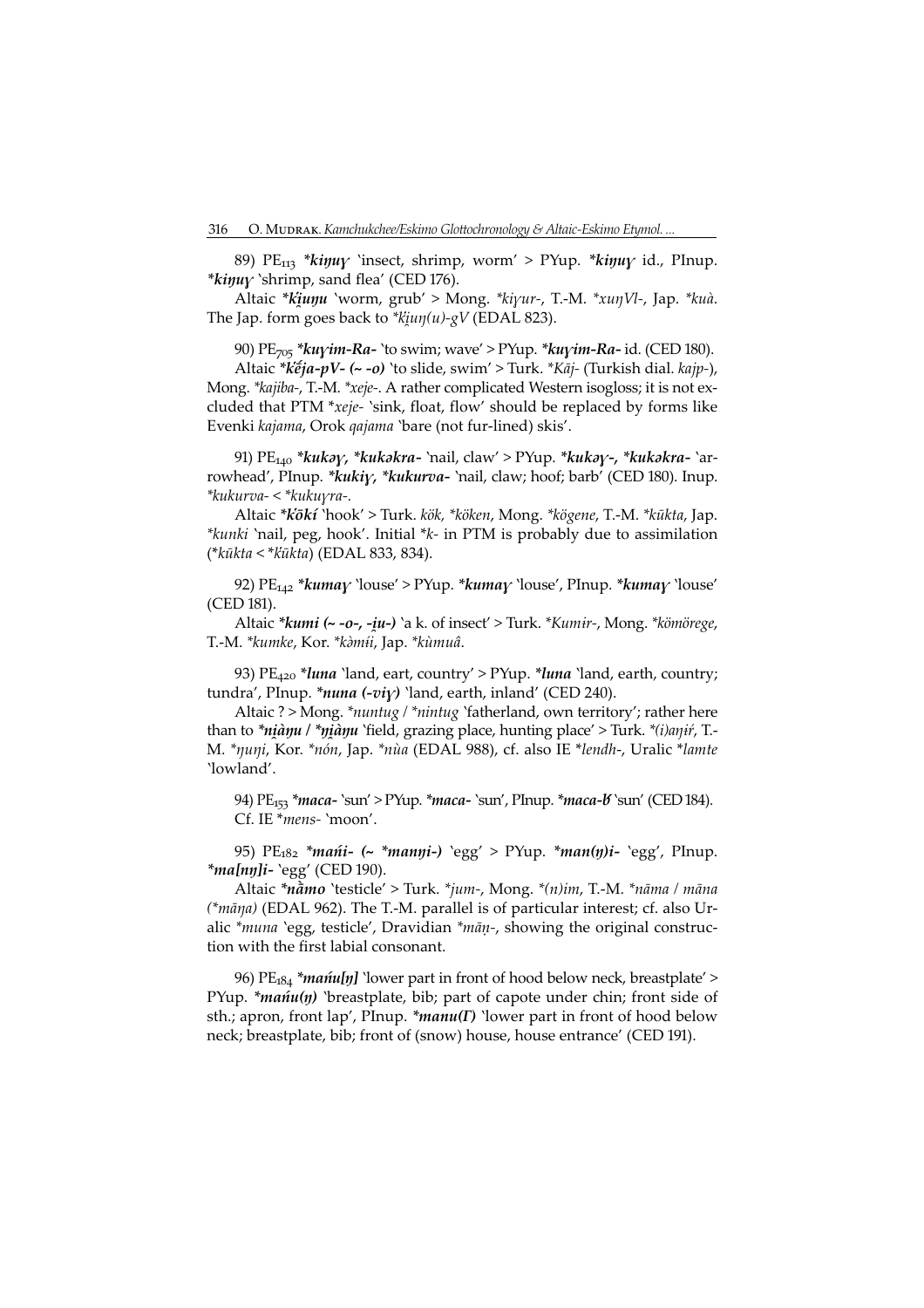89) PE<sub>113</sub> \*kinuy 'insect, shrimp, worm' > PYup. \*kinuy id., PInup.  $*$ *kiŋuy* 'shrimp, sand flea' (CED 176).

Altaic \*kiunu 'worm, grub' > Mong. \*kiyur-, T.-M. \*xunVl-, Jap. \*kuà. The Jap. form goes back to  $*$ *kiun*(*u*)-*gV* (EDAL 823).

90)  $PE_{705}$  \* $kuyim-Ra-$  'to swim; wave' > PYup. \* $kuyim-Ra-$  id. (CED 180).

Altaic \* $k\acute{e}ja$ -pV- $(-\degree o)$  `to slide, swim' > Turk. \* $K\bar{a}j$ - (Turkish dial. kajp-), Mong. \*kajiba-, T.-M. \*xeje-. A rather complicated Western isogloss; it is not excluded that PTM \*xeje- 'sink, float, flow' should be replaced by forms like Evenki kajama, Orok qajama 'bare (not fur-lined) skis'.

91)  $PE_{140} * kukay, *kukokra-'mail, claw' > PYup. *kukay-, *kukokra-'ar$ rowhead', PInup. \*kukiy, \*kukurva- 'nail, claw; hoof; barb' (CED 180). Inup. \*kukurva- < \*kukura-.

Altaic \*kōkí 'hook' > Turk. kök, \*köken, Mong. \*kögene, T.-M. \*kūkta, Jap. \*kunki 'nail, peg, hook'. Initial \*k- in PTM is probably due to assimilation  $(*kūkta < *kūkta)$  (EDAL 833, 834).

92)  $PE_{142}$  \*kumay 'louse' > PYup. \*kumay 'louse', PInup. \*kumay 'louse' (CED 181).

Altaic \*kumi (~ -o-, -iu-) `a k. of insect' > Turk. \*Kumir-, Mong. \*kömörege, T.-M. \*kumke, Kor. \*kàmíi, Jap. \*kùmuâ.

93)  $PE_{420}$  \**luna* `land, eart, country' > PYup. \**luna* `land, earth, country; tundra', PInup. \*nuna (-viy) 'land, earth, inland' (CED 240).

Altaic ? > Mong. \* nuntug / \* nintug 'fatherland, own territory'; rather here than to \**niàŋu* / \**ŋiàŋu* 'field, grazing place, hunting place' > Turk. \*(*i*)a $\eta$ i', T.-M. \*ŋuŋi, Kor. \*nón, Jap. \*nùa (EDAL 988), cf. also IE \*lendh-, Uralic \*lamte 'lowland'.

94) PE<sub>153</sub> \*maca- `sun' > PYup. \*maca- `sun', PInup. \*maca-b `sun' (CED 184). Cf. IE \*mens- 'moon'.

95) PE<sub>182</sub> \*mańi- (~ \*manyi-) 'egg' > PYup. \*man(y)i- 'egg', PInup.  $*$ ma[nŋ]i- `egg' (CED 190).

Altaic \*nãmo 'testicle' > Turk. \*jum-, Mong. \*(n)im, T.-M. \*nāma / māna (\*māŋa) (EDAL 962). The T.-M. parallel is of particular interest; cf. also Uralic  $*mu$ na 'egg, testicle', Dravidian  $*mu$ <sub>r</sub>, showing the original construction with the first labial consonant.

96) PE<sub>184</sub> \**mańu[ŋ]* 'lower part in front of hood below neck, breastplate' > PYup. \**mańu(ŋ)* 'breastplate, bib; part of capote under chin; front side of sth.; apron, front lap', PInup. \* manu(Γ) 'lower part in front of hood below neck; breastplate, bib; front of (snow) house, house entrance' (CED 191).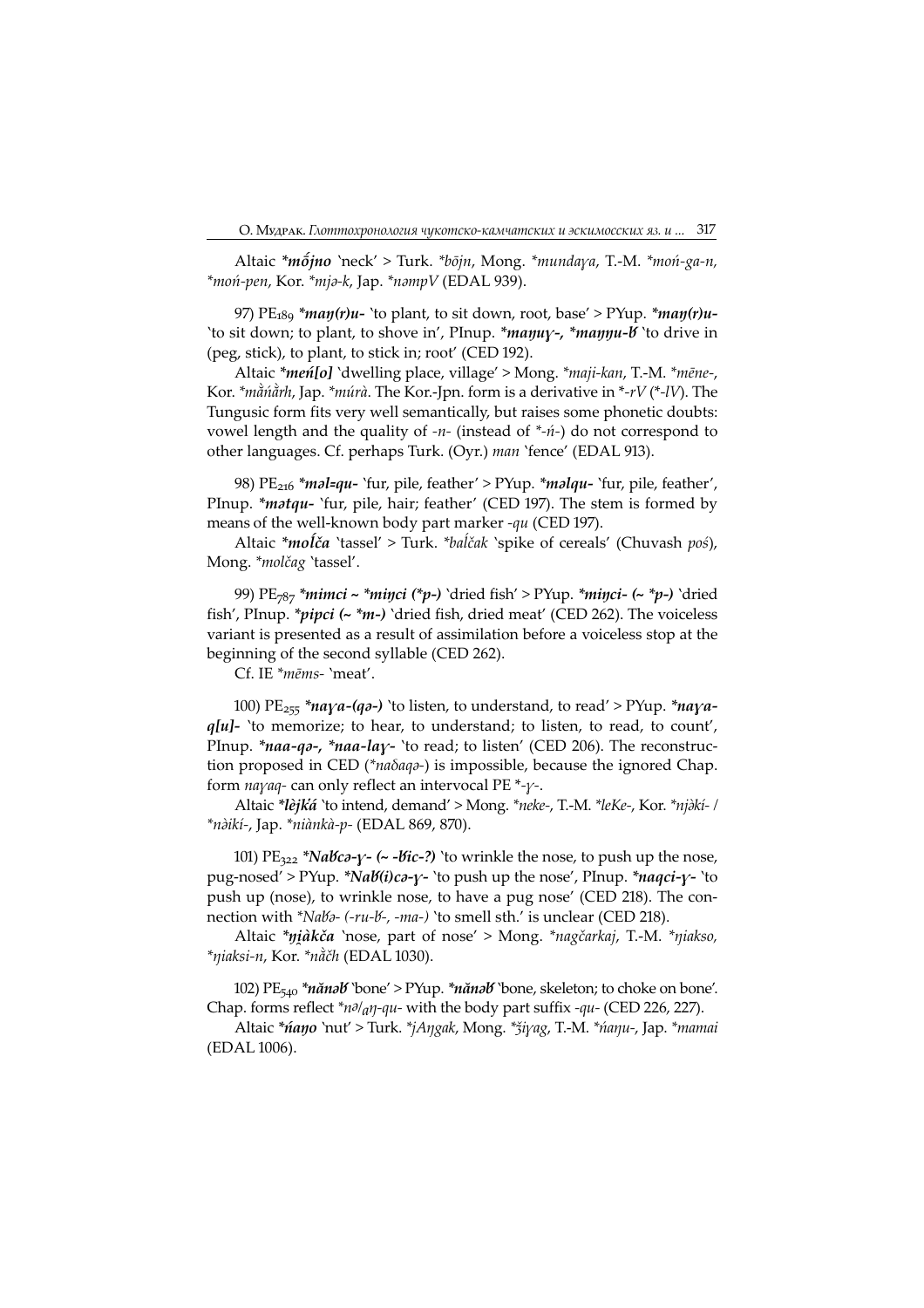Altaic \*mójno 'neck' > Turk. \*bōjn, Mong. \*mundaya, T.-M. \*moń-ga-n,  $*$ moń-pen, Kor.  $*$ mja-k, Jap.  $*$ nampV (EDAL 939).

97)  $PE<sub>189</sub> * *man(r)u*- 'to plant, to sit down, root, base' > PYup. * *man(r)u*-$ 'to sit down; to plant, to shove in', PInup. \*mayuy-, \*mayyu-b 'to drive in (peg, stick), to plant, to stick in; root' (CED 192).

Altaic \*meń[o] 'dwelling place, village' > Mong. \*maji-kan, T.-M. \*mēne-, Kor.  $*$ mằn $\alpha$ <sup>\*</sup>nh, Jap.  $*$ múrà. The Kor.-Jpn. form is a derivative in  $*$ - $rV$  ( $*$ - $lV$ ). The Tungusic form fits very well semantically, but raises some phonetic doubts: vowel length and the quality of  $-n$ - (instead of  $*\hat{n}$ -) do not correspond to other languages. Cf. perhaps Turk. (Oyr.) man 'fence' (EDAL 913).

98)  $PE<sub>216</sub> * m$ *ol=qu-* 'fur, pile, feather' > PYup. \*m*olqu-* 'fur, pile, feather', PInup. \**matqu*- 'fur, pile, hair; feather' (CED 197). The stem is formed by means of the well-known body part marker -*au* (CED 197).

Altaic \*moĺča 'tassel' > Turk. \*baĺčak 'spike of cereals' (Chuvash poś), Mong. \*molčag 'tassel'.

99) PE<sub>787</sub> \**mimci* ~ \**miŋci* (\**p*-) 'dried fish' > PYup. \**miŋci*- (~ \**p*-) 'dried fish', PInup. \*pipci (~ \*m-) 'dried fish, dried meat' (CED 262). The voiceless variant is presented as a result of assimilation before a voiceless stop at the beginning of the second syllable (CED 262).

Cf. IE \*mēms- 'meat'.

100) PE<sub>255</sub> \*naya-(qa-) 'to listen, to understand, to read' > PYup. \*naya $q[u]$ - 'to memorize; to hear, to understand; to listen, to read, to count', PInup. \*naa-qo-, \*naa-lay- 'to read; to listen' (CED 206). The reconstruction proposed in CED (\**naδaqa*-) is impossible, because the ignored Chap. form *nayaq*- can only reflect an intervocal PE  $*$ - $\gamma$ -.

Altaic \*lèjká 'to intend, demand' > Mong. \*neke-, T.-M. \*leKe-, Kor. \*njàkí- / \*nàikí-, Jap. \*niànkà-p- (EDAL 869, 870).

101) PE<sub>322</sub> \*Nabca-y- (~ -bic-?) `to wrinkle the nose, to push up the nose, pug-nosed' > PYup. \*Nab(i)ca-y- `to push up the nose', PInup. \*naqci-y- `to push up (nose), to wrinkle nose, to have a pug nose' (CED 218). The connection with \*Nalb- (-ru-l-, -ma-) 'to smell sth.' is unclear (CED 218).

Altaic \*ŋàkča 'nose, part of nose' > Mong. \*nagčarkaj, T.-M. \*ŋiakso,  $*$ niaksi-n, Kor.  $*$ nằčh (EDAL 1030).

102) PE<sub>540</sub> \*nănəb `bone' > PYup. \*nănəb `bone, skeleton; to choke on bone'. Chap. forms reflect  $n\partial_a\eta$ -qu- with the body part suffix -qu- (CED 226, 227).

Altaic \**ńaŋo* `nut' > Turk. \**jAŋgak*, Mong. \**ǯiγag*, T.-M. \**ńaŋu-*, Jap. \**mamai* (EDAL 1006).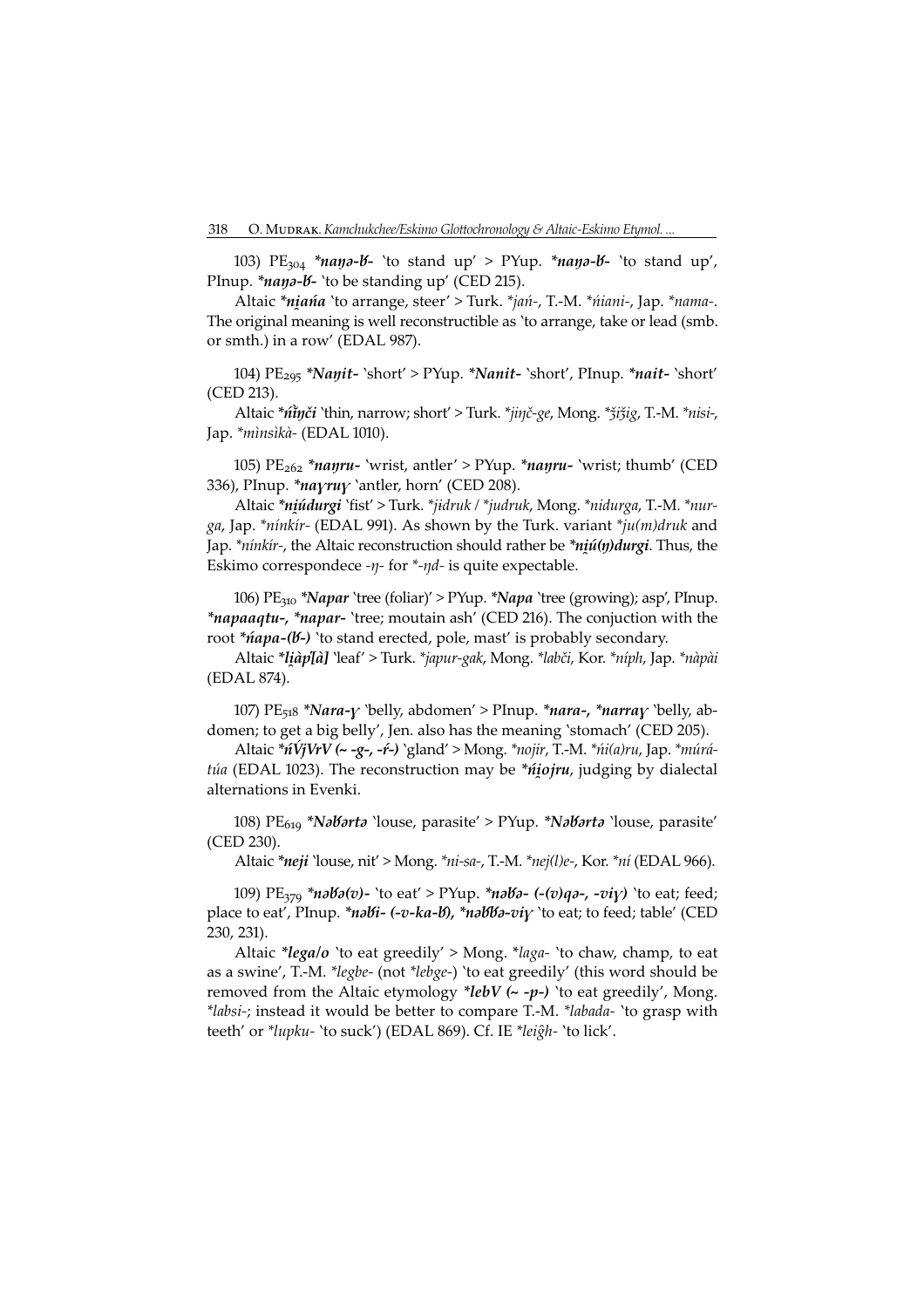103) PE<sub>304</sub> \*naya-*V*- 'to stand up' > PYup. \*naya-*V*- 'to stand up', PInup. \**nana-b*- 'to be standing up' (CED 215).

Altaic \*niańa 'to arrange, steer' > Turk. \*jań-, T.-M. \*niani-, Jap. \*nama-. The original meaning is well reconstructible as 'to arrange, take or lead (smb. or smth.) in a row' (EDAL 987).

104)  $PE_{295}$  \*Nanit- `short' > PYup. \*Nanit- `short', PInup. \*nait- `short' (CED 213).

Altaic \*ninči `thin, narrow; short' > Turk. \*jinč-ge, Mong. \*žižig, T.-M. \*nisi-, Jap. \*mìnsìkà- (EDAL 1010).

105)  $PE_{262}$  \**nayru*- 'wrist, antler' > PYup. \**nayru*- 'wrist; thumb' (CED 336), PInup. \* nayruy `antler, horn' (CED 208).

Altaic \*niúdurgi 'fist' > Turk. \*jidruk / \*judruk, Mong. \*nidurga, T.-M. \*nurga, Jap. \*ninkir- (EDAL 991). As shown by the Turk. variant \*ju(m)druk and Jap. \**ninkir-*, the Altaic reconstruction should rather be \**niú(n)durgi*. Thus, the Eskimo correspondece - $\eta$ - for \*- $\eta$ *d*- is quite expectable.

106) PE<sub>310</sub> \*Napar 'tree (foliar)' > PYup. \*Napa 'tree (growing); asp', PInup. *\*napaaqtu-, \*napar*- 'tree; moutain ash' (CED 216). The conjuction with the root \**ńapa-(b-)* `to stand erected, pole, mast' is probably secondary.

Altaic \**liàp[à]* 'leaf' > Turk. \*japur-gak, Mong. \*labči, Kor. \*níph, Jap. \*nàpài (EDAL 874).

107) PE<sub>518</sub> \*Nara- $\gamma$  `belly, abdomen' > PInup. \*nara-, \*narra $\gamma$  `belly, abdomen; to get a big belly', Jen. also has the meaning 'stomach' (CED 205).

Altaic \*nVjVrV (~ -g-, -r -) `gland' > Mong. \*nojir, T.-M. \*ni(a)ru, Jap. \*múrátúa (EDAL 1023). The reconstruction may be \*niojru, judging by dialectal alternations in Evenki.

108) PE<sub>619</sub> \*NaVarta 'louse, parasite' > PYup. \*NaVarta 'louse, parasite' (CED 230).

Altaic \*neji 'louse, nit' > Mong. \*ni-sa-, T.-M. \*nej(l)e-, Kor. \*ní (EDAL 966).

109)  $PE_{370}$  \*naba(v)- 'to eat' > PYup. \*naba- (-(v)qa-, -viv) 'to eat; feed; place to eat', PInup. \*nabi-  $(-v - ka - b)$ , \*nabba-viv 'to eat; to feed; table' (CED 230, 231).

Altaic \*lega/o `to eat greedily' > Mong. \*laga- `to chaw, champ, to eat as a swine', T.-M. \*legbe- (not \*lebge-) 'to eat greedily' (this word should be removed from the Altaic etymology \*lebV  $\leftarrow -p-$ ) `to eat greedily', Mong. \*labsi-; instead it would be better to compare T.-M. \*labada- 'to grasp with teeth' or \*lupku- 'to suck') (EDAL 869). Cf. IE \*leigh- 'to lick'.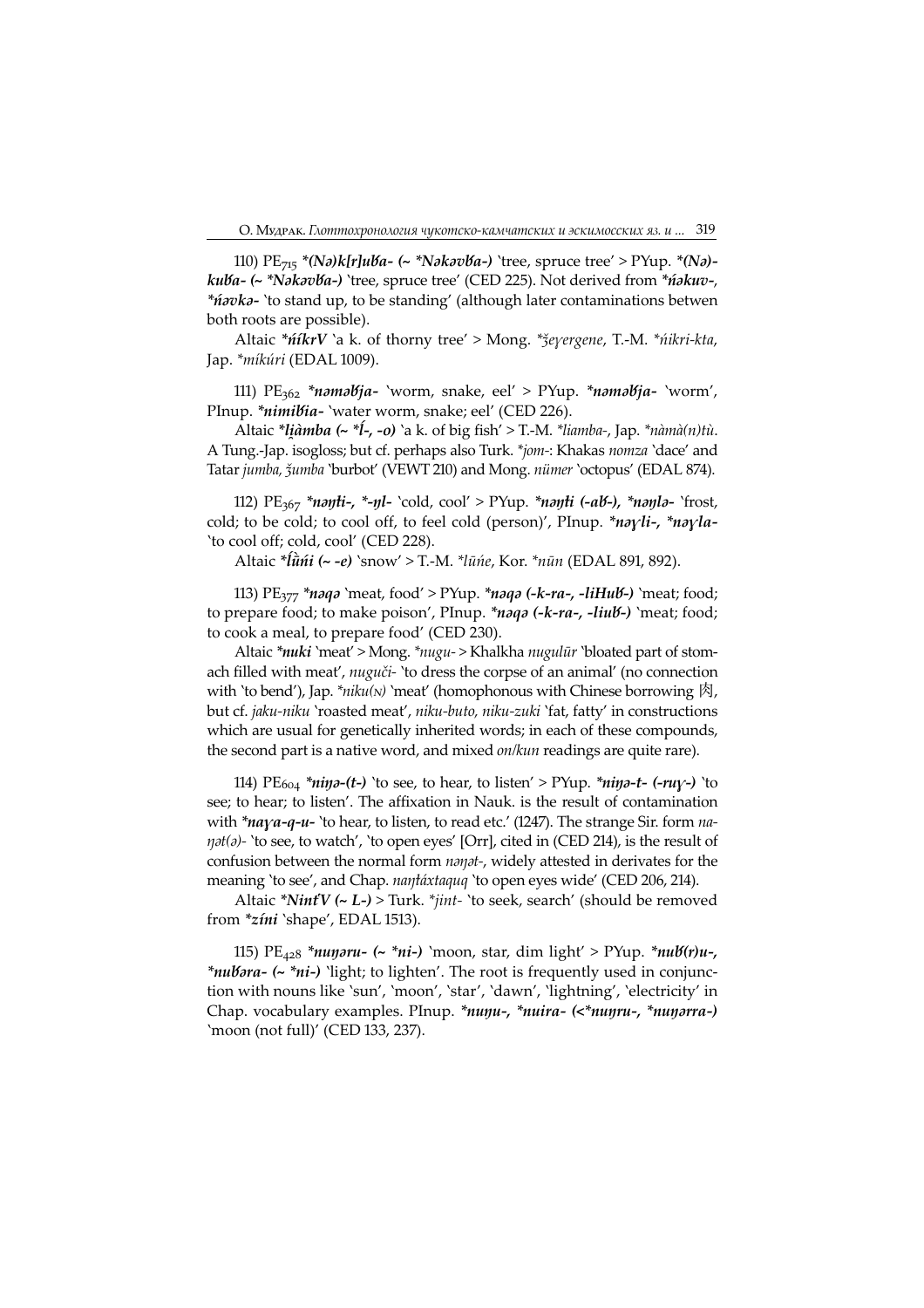110)  $PE_{715}$  \*(Na)k[r]uVa- (~ \*NakavVa-) 'tree, spruce tree' > PYup. \*(Na)kuba- (~ \*Nakavba-) 'tree, spruce tree' (CED 225). Not derived from \*nakuv-, \**ńavka*- `to stand up, to be standing' (although later contaminations betwen both roots are possible).

Altaic \**ntkrV* `a k. of thorny tree' > Mong. \**žeyergene*, T.-M. \**ntkri-kta*, Jap. \* míkúri (EDAL 1009).

111)  $PE_{362}$  \*namabja- 'worm, snake, eel' > PYup. \*namabja- 'worm', PInup. \*nimibia- 'water worm, snake; eel' (CED 226).

Altaic \**liàmba* (~ \**l*-, -o) `a k. of big fish' > T.-M. \**liamba*-, Jap. \**nàmà*(*n*)*tù*. A Tung.-Jap. isogloss; but cf. perhaps also Turk. \*jom-: Khakas nomza 'dace' and Tatar jumba, žumba 'burbot' (VEWT 210) and Mong. nümer 'octopus' (EDAL 874).

112)  $PE_{367}$  \*nayti-, \*-yl- `cold, cool' > PYup. \*nayti (-ab-), \*nayla- `frost, cold; to be cold; to cool off, to feel cold (person)', PInup. \*nayli-, \*nayla-'to cool off; cold, cool' (CED 228).

Altaic \* *iūni* (~ -*e*) `snow' > T.-M. \* lūne, Kor. \* nūn (EDAL 891, 892).

113)  $PE_{377}$  \*naqa `meat, food' > PYup. \*naqa (-k-ra-, -liHub-) `meat; food; to prepare food; to make poison', PInup.  $*$ *naqa* (-*k-ra-*, -*liub*<sup>2</sup>) `meat; food; to cook a meal, to prepare food' (CED 230).

Altaic \*nuki `meat' > Mong. \*nugu- > Khalkha nugulūr `bloated part of stomach filled with meat', nuguči- 'to dress the corpse of an animal' (no connection with 'to bend'), Jap. \*niku( $N$ ) 'meat' (homophonous with Chinese borrowing  $\mathfrak{R}$ ). but cf. jaku-niku 'roasted meat', niku-buto, niku-zuki 'fat, fatty' in constructions which are usual for genetically inherited words; in each of these compounds, the second part is a native word, and mixed on/kun readings are quite rare).

114) PE<sub>604</sub> \*niya-(t-) `to see, to hear, to listen' > PYup. \*niya-t- (-ruy-) `to see; to hear; to listen'. The affixation in Nauk. is the result of contamination with \*naya-q-u- `to hear, to listen, to read etc.' (1247). The strange Sir. form na- $\eta$ at(a)- 'to see, to watch', 'to open eyes' [Orr], cited in (CED 214), is the result of confusion between the normal form nanat-, widely attested in derivates for the meaning 'to see', and Chap. nantáxtaquq 'to open eyes wide' (CED 206, 214).

Altaic \*NintV (~ L-) > Turk. \*jint- 'to seek, search' (should be removed from  $*zini$  'shape', EDAL 1513).

115) PE<sub>428</sub> \*nuyoru- (~ \*ni-) `moon, star, dim light' > PYup. \*nub(r)u-, \**nubora- (~ \*ni-)* 'light; to lighten'. The root is frequently used in conjunction with nouns like 'sun', 'moon', 'star', 'dawn', 'lightning', 'electricity' in Chap. vocabulary examples. PInup. \*nunu-, \*nuira- (<\*nunru-, \*nunarra-) 'moon (not full)' (CED 133, 237).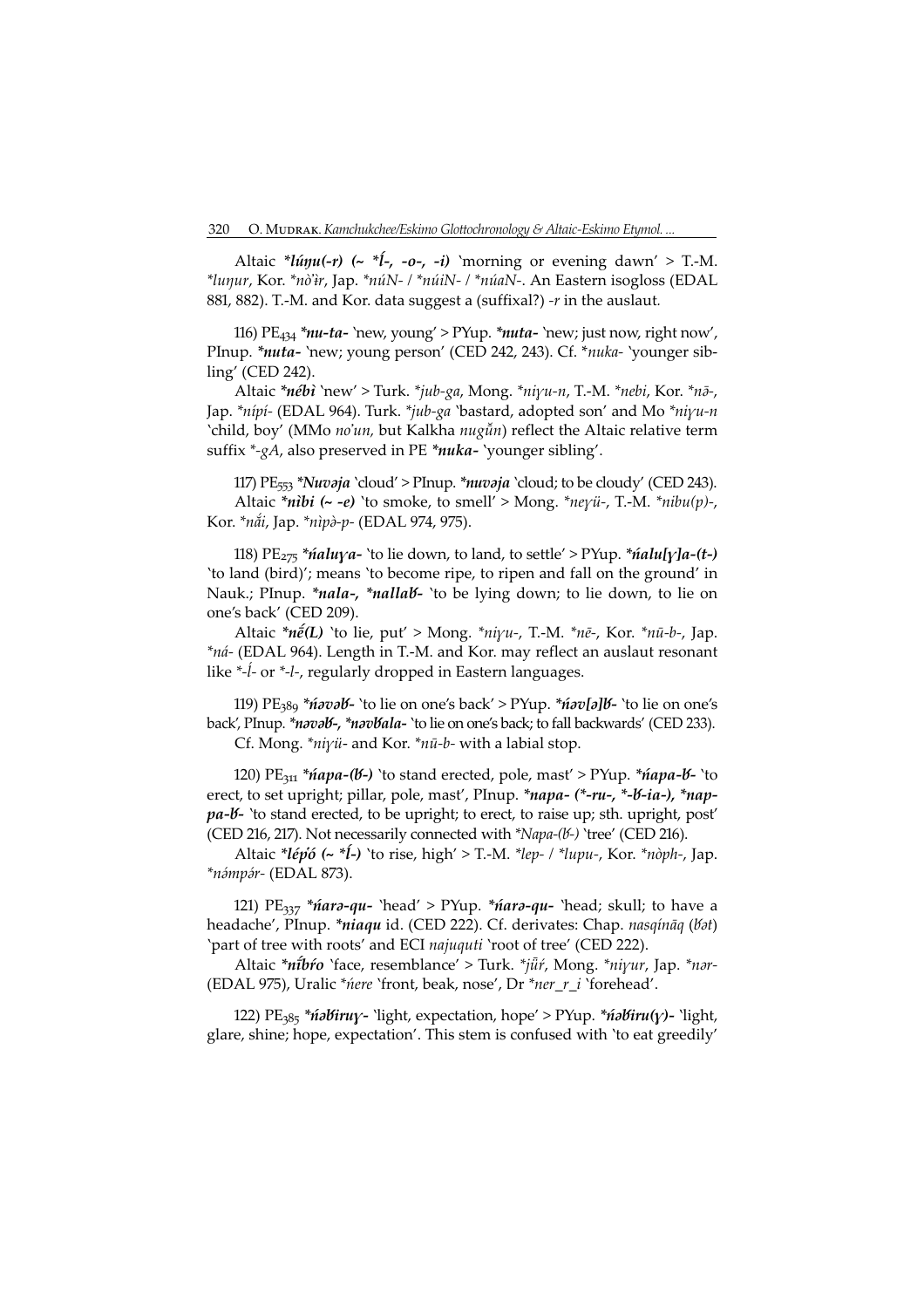Altaic \**lúŋu(-r)* (~ \* $\ell$ -, -o-, -i) `morning or evening dawn' > T.-M. \*lunur, Kor. \*nò'ir, Jap. \*núN- / \*núiN- / \*núaN-. An Eastern isogloss (EDAL 881, 882). T.-M. and Kor. data suggest a (suffixal?) -r in the auslaut.

116)  $PE_{434} *nu-ta-$  'new, young' > PYup. \**nuta*- 'new; just now, right now', PInup. \*nuta- 'new; young person' (CED 242, 243). Cf. \*nuka- 'younger sibling' (CED 242).

Altaic \*nébì `new' > Turk. \*jub-ga, Mong. \*niyu-n, T.-M. \*nebi, Kor. \*nō-, Jap. \*nípí- (EDAL 964). Turk. \*jub-ga `bastard, adopted son' and Mo \*niyu-n `child, boy' (MMo no'un, but Kalkha nugūn) reflect the Altaic relative term suffix  $*_{\mathcal{A}}$ , also preserved in PE  $*_{\text{nu}}$ ka- 'younger sibling'.

117) PE<sub>553</sub> \*Nuvaja `cloud' > PInup. \*nuvaja `cloud; to be cloudy' (CED 243). Altaic \*nibi (~ -e) 'to smoke, to smell' > Mong. \*neyü-, T.-M. \*nibu(p)-, Kor. \* nåi, Jap. \* nìpò-p- (EDAL 974, 975).

118)  $PE_{275}$  \**ńaluya*- 'to lie down, to land, to settle' > PYup. \**ńalu[y]a-(t-)* 'to land (bird)'; means 'to become ripe, to ripen and fall on the ground' in Nauk.; PInup. \*nala-, \*nallab- 'to be lying down; to lie down, to lie on one's back' (CED 209).

Altaic \* $n\tilde{e}(L)$  'to lie, put' > Mong. \* $ni\gamma u$ -, T.-M. \* $n\tilde{e}$ -, Kor. \* $n\bar{u}$ -b-, Jap. \*ná- (EDAL 964). Length in T.-M. and Kor. may reflect an auslaut resonant like  $*-\hat{i}$ - or  $*-\hat{i}$ -, regularly dropped in Eastern languages.

119) PE<sub>389</sub> \**ńavaV*- 'to lie on one's back' > PYup. \**ńav[a]V*- 'to lie on one's back', PInup. \*naval -, \*navlala- 'to lie on one's back; to fall backwards' (CED 233). Cf. Mong. \**niyü*- and Kor. \**nū-b*- with a labial stop.

120) PE<sub>311</sub> \**ńapa-(b-)* 'to stand erected, pole, mast' > PYup. \**ńapa-b-* 'to erect, to set upright; pillar, pole, mast', PInup. \*napa- (\*-ru-, \*-V-ia-), \*nap $pa$ - $b$ - 'to stand erected, to be upright; to erect, to raise up; sth. upright, post' (CED 216, 217). Not necessarily connected with \*Napa-(b-) 'tree' (CED 216).

Altaic \**lép'ó* (~ \**l*<sup>-</sup>) `to rise, high' > T.-M. \*lep- / \*lupu-, Kor. \*nòph-, Jap. \*námpár- (EDAL 873).

121)  $PE_{337} * \hat{n}$ ara-qu- 'head' > PYup. \* $\hat{n}$ ara-qu- 'head; skull; to have a headache', PInup. \*niaqu id. (CED 222). Cf. derivates: Chap. nasqināq (Vat) 'part of tree with roots' and ECI *najuquti* 'root of tree' (CED 222).

Altaic \*nibro 'face, resemblance' > Turk. \*jūr, Mong. \*niyur, Jap. \*nar-(EDAL 975), Uralic \**nere* `front, beak, nose', Dr \*ner\_r\_i `forehead'.

122) PE<sub>385</sub> \**ńabiruy*- 'light, expectation, hope' > PYup. \**ńabiru(y)*- 'light, glare, shine; hope, expectation'. This stem is confused with 'to eat greedily'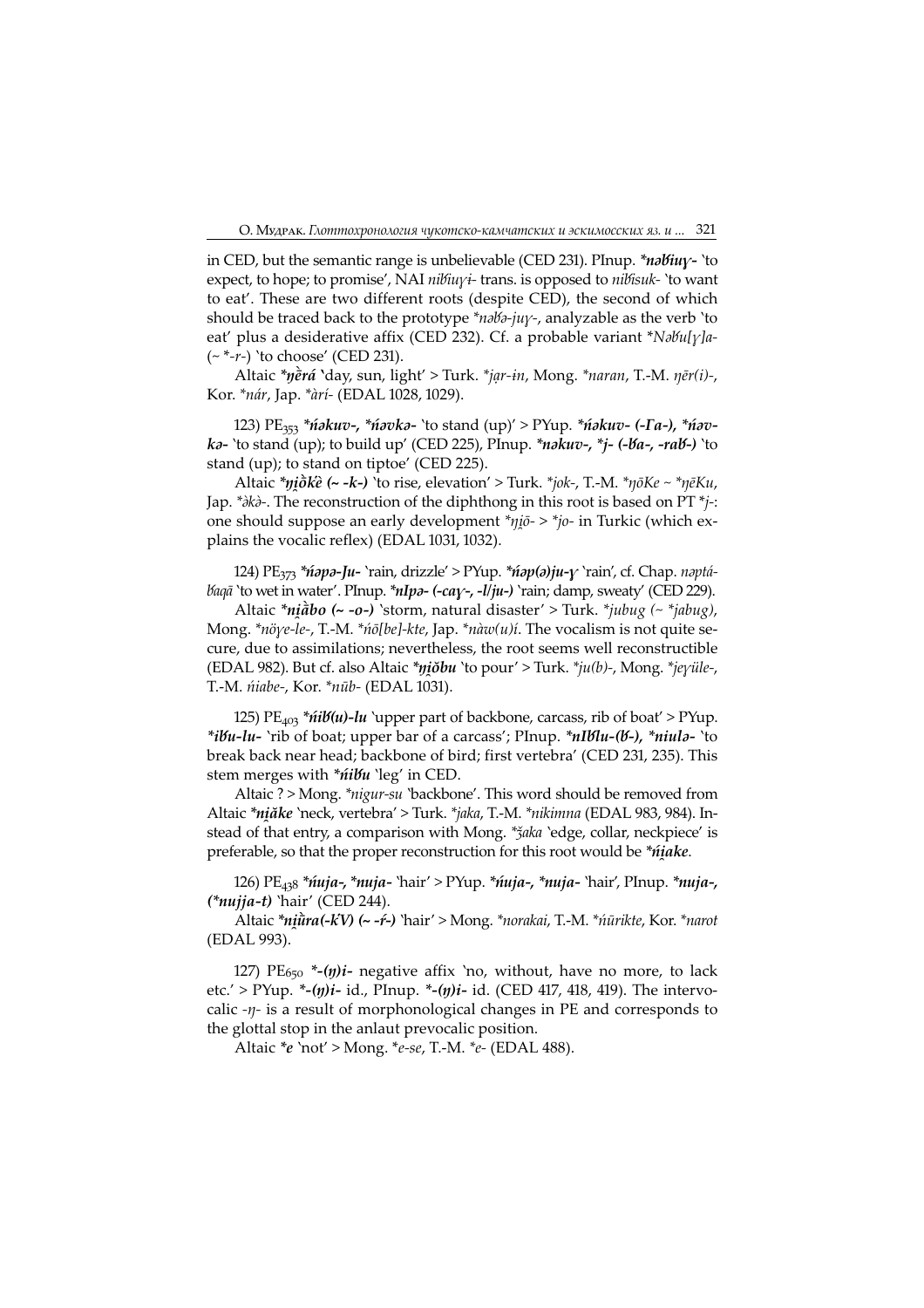in CED, but the semantic range is unbelievable (CED 231). PInup. \**nabiuy*- `to expect, to hope; to promise', NAI  $nibiuvi$ - trans. is opposed to  $nibiu-k$  'to want to eat'. These are two different roots (despite CED), the second of which should be traced back to the prototype \* $n\partial\delta$ -juy-, analyzable as the verb 'to eat' plus a desiderative affix (CED 232). Cf. a probable variant  $Nabu[\gamma]a$ - $({\sim}^*{\text -}r{\text -})$  'to choose' (CED 231).

Altaic \* $y\tilde{e}r\acute{a}$  'day, sun, light' > Turk. \*jar-in, Mong. \*naran, T.-M.  $\eta\bar{e}r(i)$ -, Kor. \* nár, Jap. \* àrí - (EDAL 1028, 1029).

123)  $PE_{353}$  \**ńakuv-, \*ńavka*- 'to stand (up)' > PYup. \**ńakuv- (-Ta-), \*ńav*ka- 'to stand (up); to build up' (CED 225), PInup. \*nakuv-, \*j- (-la-, -ral -) 'to stand (up); to stand on tiptoe' (CED 225).

Altaic \* $\eta i \delta k \hat{e}$  (~ -k-) 'to rise, elevation' > Turk. \* $i\delta k$ -, T.-M. \* $\eta \delta K e \sim \eta \bar{e} K u$ , Jap. \* $\partial k\partial$ -. The reconstruction of the diphthong in this root is based on PT \* $j$ -: one should suppose an early development  $n\pi$   $\eta$ *i* $\bar{\sigma}$  >  $n\pi$ <sup> $\eta$ </sup> $\sigma$ <sup>2</sup> in Turkic (which explains the vocalic reflex) (EDAL 1031, 1032).

124)  $PE_{373} *n$   $apa-Ju-$ 'rain, drizzle' > PYup.  $*np(a)ju-y$ 'rain', cf. Chap. naptá-<br>'to vet in water', Phyup.  $*uIu-z$  (center  $-l(u-)$ 'rain: damn. sweatr', (CED 229) *baqā* 'to wet in water'. PInup. \**nIpa*- (-cay-, -l/ju-) 'rain; damp, sweaty' (CED 229).

Altaic \* $ni\hat{a}$  bo (~ -o-) 'storm, natural disaster' > Turk. \* $jubug$  (~ \* $jabug$ ), Mong. \*nöye-le-, T.-M. \*no[be]-kte, Jap. \*nàw(u)í. The vocalism is not quite secure, due to assimilations; nevertheless, the root seems well reconstructible (EDAL 982). But cf. also Altaic \* $nj\delta bu$  'to pour' > Turk. \* $ju(b)$ -, Mong. \* $jev\ddot{i}le$ -, T.-M. *ńiabe-, Kor. \*nūb-* (EDAL 1031).

125)  $PE_{403}$  \* $\hat{n}$ i $\hat{b}(u)$ -lu `upper part of backbone, carcass, rib of boat' > PYup. \*ibu-lu- 'rib of boat; upper bar of a carcass'; PInup. \*nIblu-(b-), \*niula- 'to break back near head; backbone of bird; first vertebra' (CED 231, 235). This stem merges with \*nibu 'leg' in CED.

Altaic ? > Mong. \*nigur-su 'backbone'. This word should be removed from Altaic \*nį ake 'neck, vertebra' > Turk. \* jaka, T.-M. \* nikimna (EDAL 983, 984). Instead of that entry, a comparison with Mong. \* žaka 'edge, collar, neckpiece' is preferable, so that the proper reconstruction for this root would be \**ńjake*.

126) PE<sub>438</sub> \**ńuja-,* \**nuja-* 'hair' > PYup. \**ńuja-, \*nuja-* 'hair', PInup. \**nuja-*,  $(*nu jja-t)$  'hair' (CED 244).

Altaic \*niūra(-kV) (~ -ŕ-) `hair' > Mong. \*norakai, T.-M. \*nūrikte, Kor. \*narot (EDAL 993).

127) PE<sub>650</sub> \*-( $\eta$ )*i*- negative affix 'no, without, have no more, to lack etc.' > PYup. \*-(*ŋ*)*i*- id., PInup. \*-(*ŋ*)*i*- id. (CED 417, 418, 419). The intervocalic  $-\eta$ - is a result of morphonological changes in PE and corresponds to the glottal stop in the anlaut prevocalic position.

Altaic  $e$  `not' > Mong.  $\overline{e}$ -se, T.-M.  $\overline{e}$ - (EDAL 488).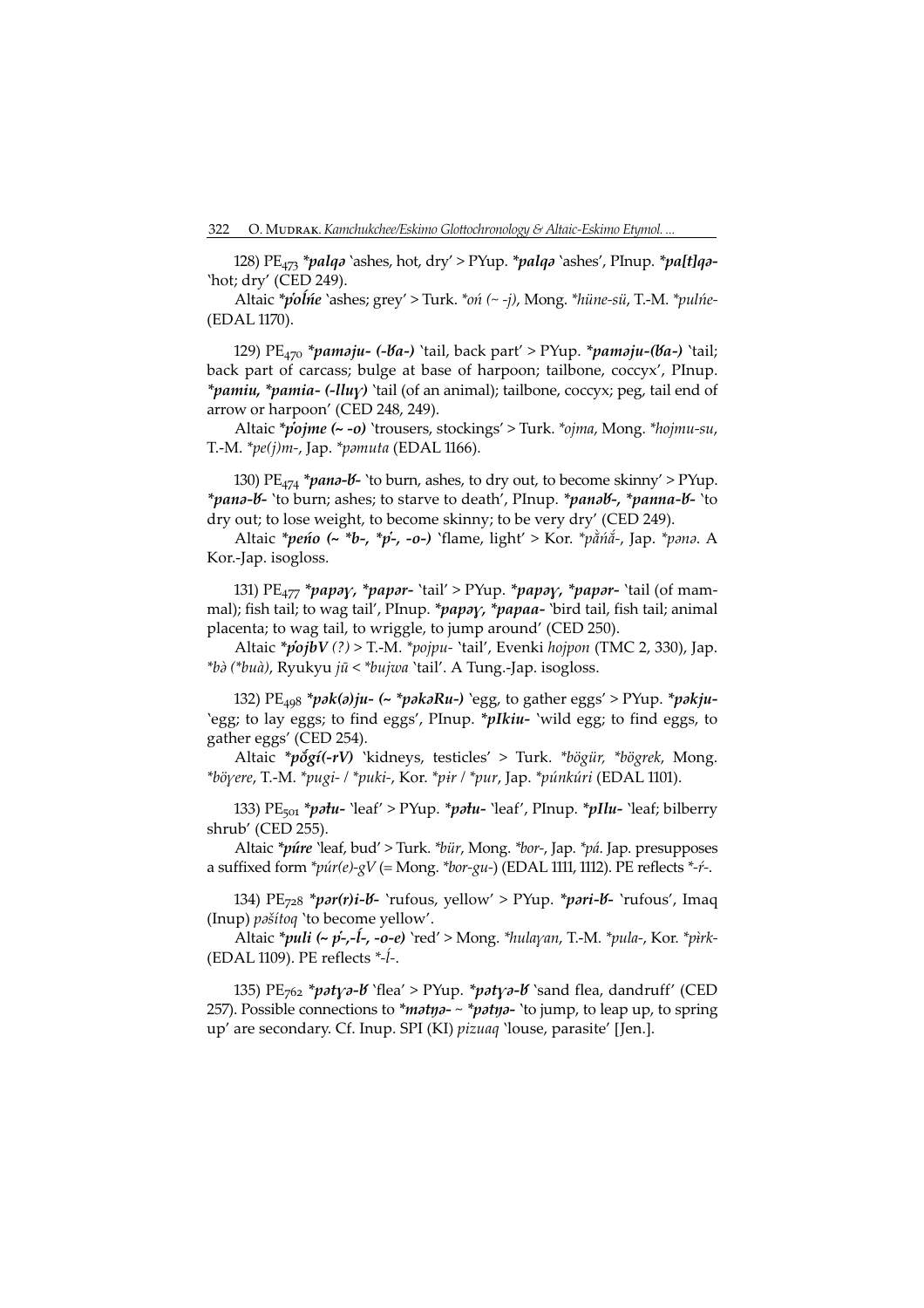128) PE<sub>473</sub> \*palqa `ashes, hot, dry' > PYup. \*palqa `ashes', PInup. \*pa[t]qa-'hot; dry' (CED 249).

Altaic \*polne `ashes; grey' > Turk. \*on (~ -j), Mong. \*hüne-sü, T.-M. \*pulne-(EDAL 1170).

129)  $PE_{470}$  \*pamaju- (-Va-) 'tail, back part' > PYup. \*pamaju-(Va-) 'tail; back part of carcass; bulge at base of harpoon; tailbone, coccyx', PInup. *\*pamiu, \*pamia- (-lluy)* 'tail (of an animal); tailbone, coccyx; peg, tail end of arrow or harpoon' (CED 248, 249).

Altaic \*pojme (~ -o) 'trousers, stockings' > Turk. \*ojma, Mong. \*hojmu-su, T.-M.  $*pe(j)m$ -, Jap.  $*pmuta$  (EDAL 1166).

130)  $PE_{474} * p$  and  $- b -$  'to burn, ashes, to dry out, to become skinny' > PYup. \*pana-b- 'to burn; ashes; to starve to death', PInup. \*panab-, \*panna-b- 'to dry out; to lose weight, to become skinny; to be very dry' (CED 249).

Altaic \*pento (~ \*b-, \*p-, -o-) `flame, light' > Kor. \*pằnắ-, Jap. \*pana. A Kor.-Jap. isogloss.

131)  $PE_{477}$  \*papay, \*papar- 'tail' > PYup. \*papay, \*papar- 'tail (of mammal); fish tail; to wag tail', PInup. \*papay, \*papaa- `bird tail, fish tail; animal placenta; to wag tail, to wriggle, to jump around' (CED 250).

Altaic \*pojbV(?) > T.-M. \*pojpu- 'tail', Evenki hojpon (TMC 2, 330), Jap. \*bà (\*buà), Ryukyu jū < \*bujwa 'tail'. A Tung.-Jap. isogloss.

132) PE<sub>498</sub> \*pak(a)ju- (~ \*pakaRu-) `egg, to gather eggs' > PYup. \*pakju-'egg; to lay eggs; to find eggs', PInup. \**pIkiu*- 'wild egg; to find eggs, to gather eggs' (CED 254).

Altaic \*pogí(-rV) 'kidneys, testicles' > Turk. \*bögür, \*bögrek, Mong. \*böyere, T.-M. \*pugi- / \*puki-, Kor. \*pir / \*pur, Jap. \*púnkúri (EDAL 1101).

133)  $PE_{501}$  \*patu- 'leaf' > PYup. \*patu- 'leaf', PInup. \*pIlu- 'leaf; bilberry shrub' (CED 255).

Altaic \*púre 'leaf, bud' > Turk. \*bür, Mong. \*bor-, Jap. \*pá. Jap. presupposes a suffixed form  $*\pi(r) - gV$  (= Mong. \*bor-gu-) (EDAL 1111, 1112). PE reflects \*-f-.

134)  $PE_{728} * por(r)i-16-$ 'rufous, yellow' > PYup. \*pari-16- 'rufous', Imaq (Inup) *pašítoq* 'to become yellow'.

Altaic \*puli (~ p-,-1-, -o-e) `red' > Mong. \*hulayan, T.-M. \*pula-, Kor. \*pirk-(EDAL 1109). PE reflects  $*-\hat{i}$ -.

135) PE<sub>762</sub> \*patya-b' flea' > PYup. \*patya-b' sand flea, dandruff' (CED 257). Possible connections to \*matya- ~ \*patya- 'to jump, to leap up, to spring up' are secondary. Cf. Inup. SPI (KI) pizuaq 'louse, parasite' [Jen.].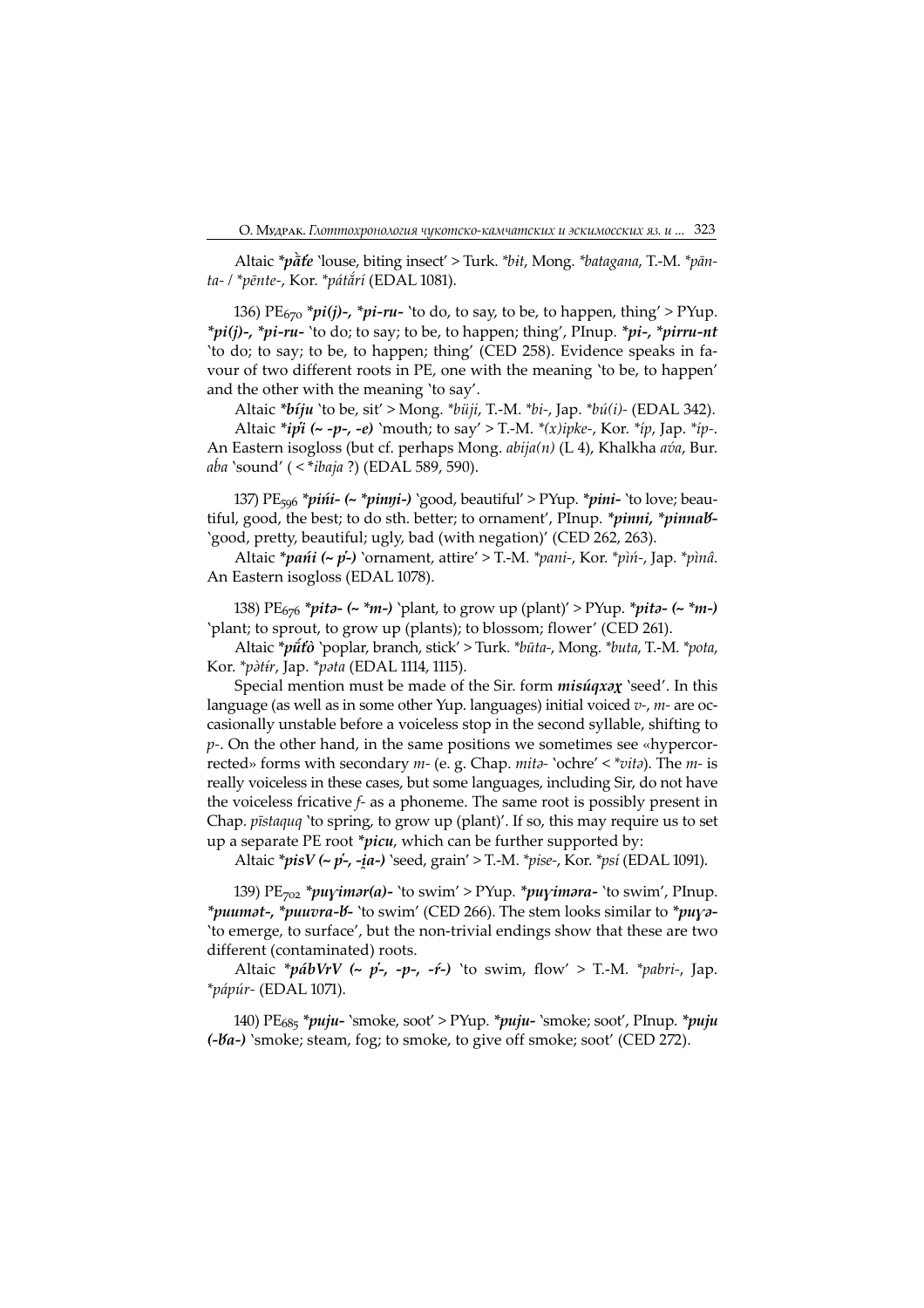Altaic \*pate 'louse, biting insect' > Turk. \*bit, Mong. \*batagana, T.-M. \*pānta- / \*pēnte-, Kor. \*pátắrí (EDAL 1081).

136) PE $_{670}$  \*pi(j)-, \*pi-ru- 'to do, to say, to be, to happen, thing' > PYup.  $*pi(j)$ -,  $*pi$ -ru- 'to do; to say; to be, to happen; thing', PInup.  $*pi$ -,  $*pirru-nt$ 'to do; to say; to be, to happen; thing' (CED 258). Evidence speaks in favour of two different roots in PE, one with the meaning 'to be, to happen' and the other with the meaning 'to say'.

Altaic \* $b$ *iju* `to be, sit' > Mong. \* $b$ *üji*, T.-M. \* $bi$ -, Jap. \* $b$ *ú*(*i*)- (EDAL 342). Altaic \*ipi (~ -p-, -e) 'mouth; to say' > T.-M. \*(x)ipke-, Kor. \*ip, Jap. \*ip-. An Eastern isogloss (but cf. perhaps Mong. *abija(n)* (L 4), Khalkha ava, Bur.  $a\dot{b}a$  'sound' ( < \**ibaja* ?) (EDAL 589, 590).

137) PE<sub>596</sub> \**pińi-* (~ \**pinŋi-*) 'good, beautiful' > PYup. \**pini-* 'to love; beautiful, good, the best; to do sth. better; to ornament', PInup. \**pinni*, \**pinnab*-'good, pretty, beautiful; ugly, bad (with negation)' (CED 262, 263).

Altaic \* $\pi$ ańi (~ p'-) 'ornament, attire' > T.-M. \* $\pi$ ani-, Kor. \* $\pi$ ìni-, Jap. \* $\pi$ ìnia. An Eastern isogloss (EDAL 1078).

138) PE<sub>676</sub> \**pita-* (~ \**m-*) 'plant, to grow up (plant)' > PYup. \**pita-* (~ \**m-*) 'plant; to sprout, to grow up (plants); to blossom; flower' (CED 26).

Altaic \*pūto `poplar, branch, stick' > Turk. \*būta-, Mong. \*buta, T.-M. \*pota, Kor. \*pàtír, Jap. \*pata (EDAL 1114, 1115).

Special mention must be made of the Sir. form  $misúqxx$  'seed'. In this language (as well as in some other Yup. languages) initial voiced  $v<sub>1</sub>$ ,  $m<sub>1</sub>$  are occasionally unstable before a voiceless stop in the second syllable, shifting to  $p$ -. On the other hand, in the same positions we sometimes see «hypercorrected» forms with secondary  $m$ - (e. g. Chap.  $mit\delta$ - 'ochre' <  $*vit\delta$ ). The  $m$ - is really voiceless in these cases, but some languages, including Sir, do not have the voiceless fricative f- as a phoneme. The same root is possibly present in Chap. pīstaquq 'to spring, to grow up (plant)'. If so, this may require us to set up a separate PE root \* $picu$ , which can be further supported by:

Altaic \* $pisV$  (~  $\vec{p}$ -, - $ia$ -) `seed, grain' > T.-M. \* $pise$ -, Kor. \* $psi$  (EDAL 1091).

139)  $PE_{702}$  \*puyimar(a)- 'to swim' > PYup. \*puyimara- 'to swim', PInup. \*puumat-, \*puuvra-b- 'to swim' (CED 266). The stem looks similar to \*puya-'to emerge, to surface', but the non-trivial endings show that these are two different (contaminated) roots.

Altaic \*pábVrV (~ p-, -p-, -r-) 'to swim, flow' > T.-M. \*pabri-, Jap.  $*p$ ápúr- (EDAL 1071).

140) PE<sub>685</sub> \*puju- `smoke, soot' > PYup. \*puju- `smoke; soot', PInup. \*puju  $(-\mathcal{B}a-)$  'smoke; steam, fog; to smoke, to give off smoke; soot' (CED 272).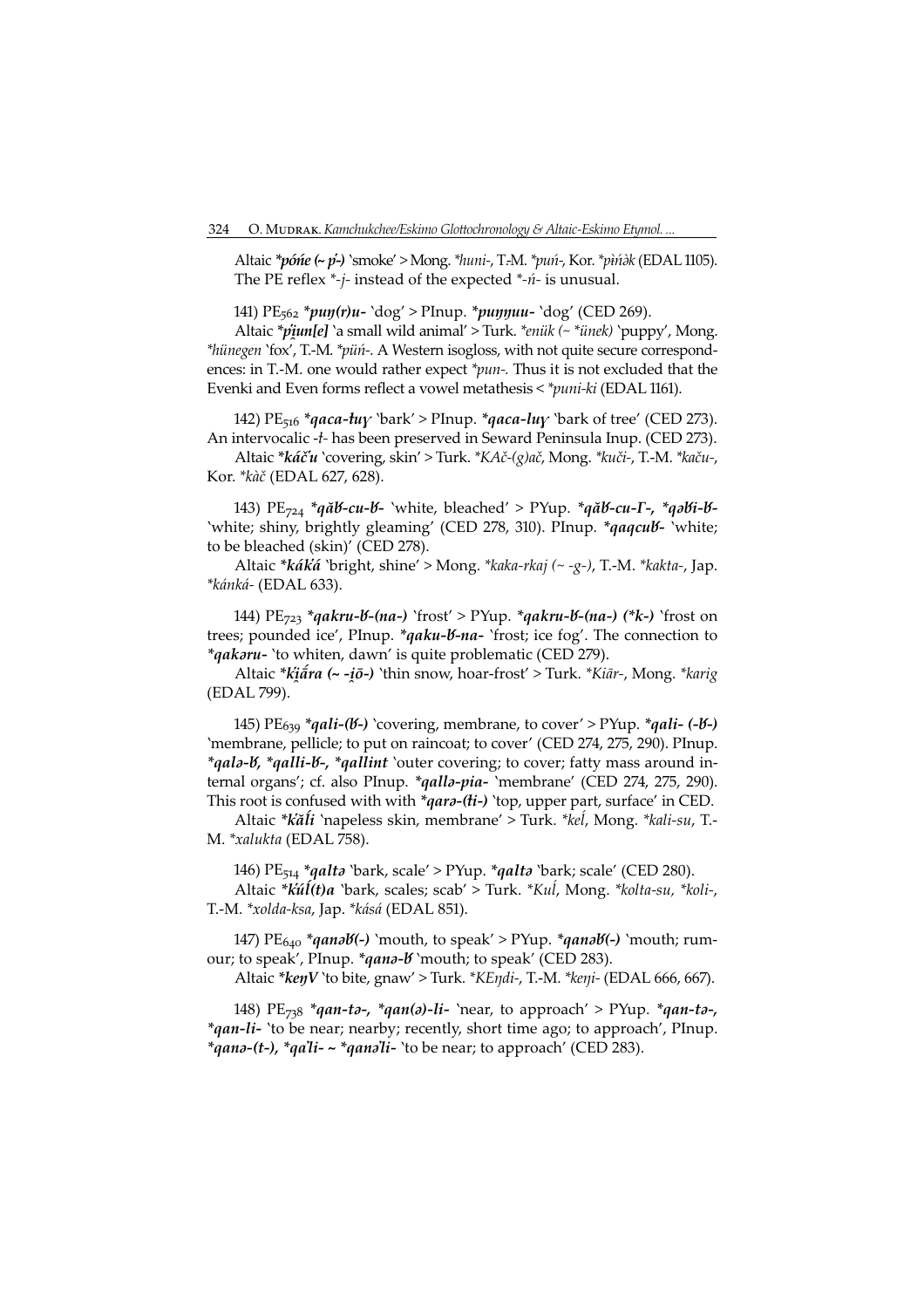Altaic  $*po'$ ne (~ p-) 'smoke' > Mong.  $*huni$ -, T.-M.  $*pu'n$ -, Kor.  $*pi'nk$  (EDAL 1105). The PE reflex  $*-j$ - instead of the expected  $*-n$ - is unusual.

141) PE<sub>562</sub> \*puŋ(r)u- `dog' > PInup. \*puŋŋuu- `dog' (CED 269).

Altaic \*piun[e] `a small wild animal' > Turk. \*enük (~ \*ünek) `puppy', Mong. \*hünegen 'fox', T.-M. \*püń-. A Western isogloss, with not quite secure correspondences: in T.-M. one would rather expect \**pun*-. Thus it is not excluded that the Evenki and Even forms reflect a vowel metathesis < \*puni-ki (EDAL 1161).

142) PE<sub>516</sub> \*qaca-tuy `bark' > PInup. \*qaca-luy `bark of tree' (CED 273). An intervocalic -*t*- has been preserved in Seward Peninsula Inup. (CED 273).

Altaic \*káču `covering, skin' > Turk. \*KAč-(g)ač, Mong. \*kuči-, T.-M. \*kaču-, Kor. \* kàč (EDAL 627, 628).

143) PE<sub>724</sub> \*qă**t-cu-t-** `white, bleached' > PYup. \*qă**t-cu-Γ-,** \*qə**ti-t-**'white; shiny, brightly gleaming' (CED 278, 310). PInup. \* qaqcub- 'white; to be bleached (skin)' (CED 278).

Altaic \*káká 'bright, shine' > Mong. \*kaka-rkaj (~ -g-), T.-M. \*kakta-, Jap. \*kánká- (EDAL 633).

144) PE<sub>723</sub> \*qakru-b-(na-) `frost' > PYup. \*qakru-b-(na-) (\*k-) `frost on trees; pounded ice', PInup. \*qaku-V-na- 'frost; ice fog'. The connection to \**qakaru*- 'to whiten, dawn' is quite problematic (CED 279).

Altaic \*kiatra (~ -iō-) 'thin snow, hoar-frost' > Turk. \*Kiār-, Mong. \*karig (EDAL 799).

145) PE<sub>639</sub> \*qali-(b-) `covering, membrane, to cover' > PYup. \*qali- (-b-) 'membrane, pellicle; to put on raincoat; to cover' (CED 274, 275, 290). PInup. \*qala-b, \*qalli-b-, \*qallint `outer covering; to cover; fatty mass around internal organs'; cf. also PInup. \* *qalla-pia*- `membrane' (CED 274, 275, 290). This root is confused with with  $*q$ ara-(ti-) 'top, upper part, surface' in CED.

Altaic \*kăĺi 'napeless skin, membrane' > Turk. \*keĺ, Mong. \*kali-su, T.- M. \*xalukta (EDAL 758).

146) PE<sub>514</sub> \*qalta `bark, scale' > PYup. \*qalta `bark; scale' (CED 280).

Altaic \*kúĺ(t)a 'bark, scales; scab' > Turk. \*Kuĺ, Mong. \*kolta-su, \*koli-, T.-M. \*xolda-ksa, Jap. \*kásá (EDAL 85).

147) PE<sub>640</sub> \*qanəb(-) `mouth, to speak' > PYup. \*qanəb(-) `mouth; rumour; to speak', PInup. \*qana-b' `mouth; to speak' (CED 283).

Altaic \*kenV 'to bite, gnaw' > Turk. \*KEndi-, T.-M. \*keni- (EDAL 666, 667).

148) PE<sub>738</sub> \*qan-tə-, \*qan(ə)-li- `near, to approach' > PYup. \*qan-tə-, \*qan-li- 'to be near; nearby; recently, short time ago; to approach', PInup. \*qanə-(t-), \*qa'li- ~ \*qanə'li- `to be near; to approach' (CED 283).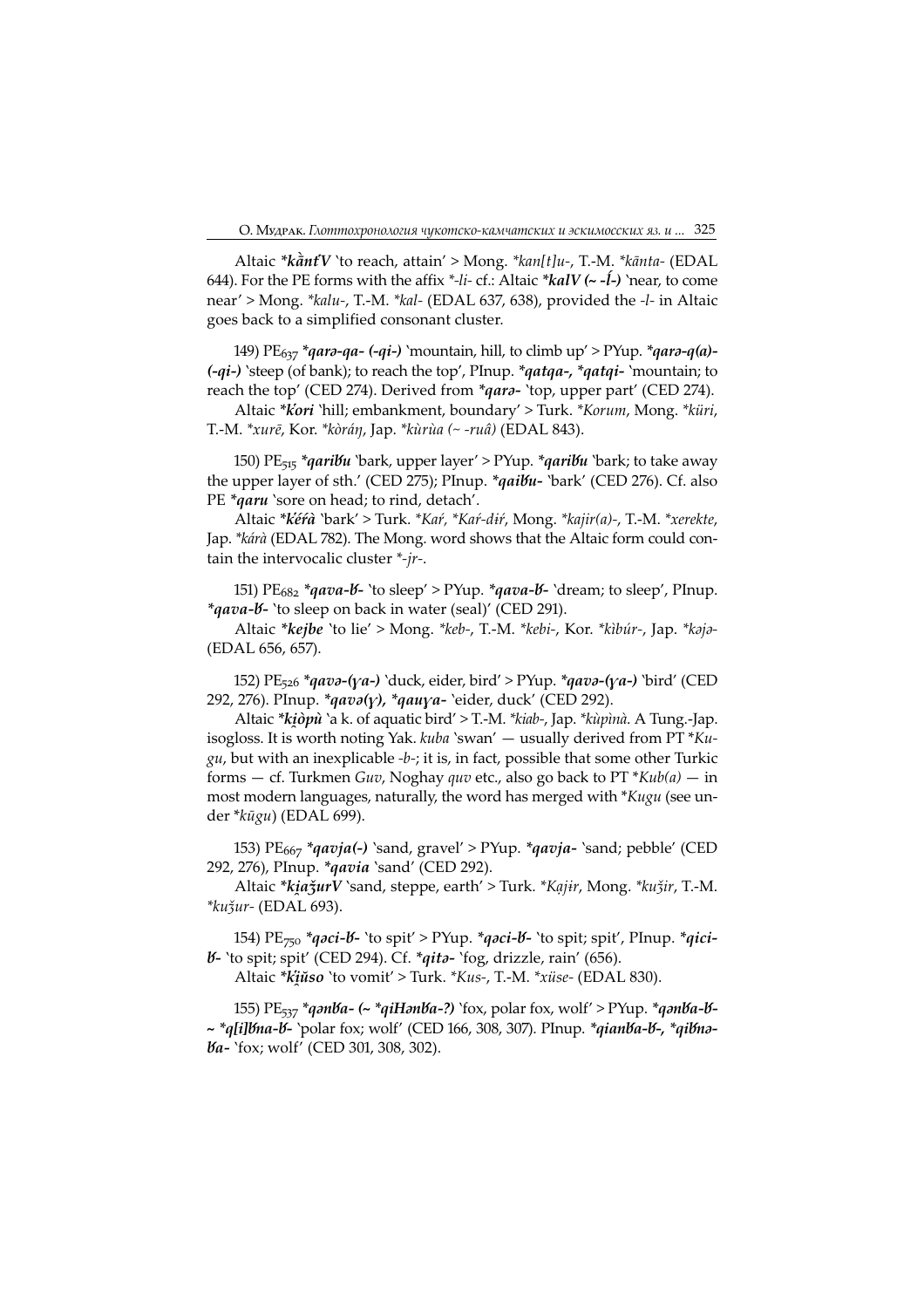Altaic \* $k\tilde{a}ntV$  'to reach, attain' > Mong. \* $kan[t]u$ -, T.-M. \* $k\tilde{a}nta$ - (EDAL 644). For the PE forms with the affix  $*$ -li- cf.: Altaic  $*$ **kalV** ( $\sim$ -**l**) `near, to come near' > Mong. \*kalu-, T.-M. \*kal- (EDAL 637, 638), provided the -l- in Altaic goes back to a simplified consonant cluster.

149) PE<sub>637</sub> \*qar*ə-qa- (-qi-) `*mountain, hill, to climb up' > PYup. \*qarə-q(a)- $(-qi-)$  'steep (of bank); to reach the top', PInup. \*qatqa-, \*qatqi- 'mountain; to reach the top' (CED 274). Derived from \*qara- 'top, upper part' (CED 274).

Altaic \*kori 'hill; embankment, boundary' > Turk. \*Korum, Mong. \*küri, T.-M. \*xurē, Kor. \*kòráŋ, Jap. \*kùrùa (~ -ruâ) (EDAL 843).

150) PE<sub>515</sub> \*qaribu `bark, upper layer' > PYup. \*qaribu `bark; to take away the upper layer of sth.' (CED 275); PInup. \* *qaibu*- `bark' (CED 276). Cf. also PE \*qaru 'sore on head; to rind, detach'.

Altaic \*kéŕà 'bark' > Turk. \*Kaŕ, \*Kaŕ-dŕ, Mong. \*kajir(a)-, T.-M. \*xerekte, Jap. \*kárà (EDAL 782). The Mong. word shows that the Altaic form could contain the intervocalic cluster \*-jr-.

151) PE<sub>682</sub> \*qava-*b*- 'to sleep' > PYup. \*qava-*b*- 'dream; to sleep', PInup. \*qava-b- `to sleep on back in water (seal)' (CED 291).

Altaic \*kejbe 'to lie' > Mong. \*keb-, T.-M. \*kebi-, Kor. \*kibúr-, Jap. \*kaja-(EDAL 656, 65).

152)  $PE_{526}$  \*qavə-(ya-) 'duck, eider, bird' > PYup. \*qavə-(ya-) 'bird' (CED 292, 276). PInup. \* $q \alpha v \partial(y)$ , \* $q \alpha u y \alpha$ - 'eider, duck' (CED 292).

Altaic \*kiòpù `a k. of aquatic bird' > T.-M. \*kiab-, Jap. \*kùpìnà. A Tung.-Jap. isogloss. It is worth noting Yak.  $kuba$  'swan' — usually derived from PT  $*Ku$  $gu$ , but with an inexplicable -b-; it is, in fact, possible that some other Turkic forms – cf. Turkmen Guv, Noghay quv etc., also go back to  $PT * Kub(a)$  – in most modern languages, naturally, the word has merged with \*Kugu (see under \*kūgu) (EDAL 699).

153)  $PE<sub>667</sub> *qavja(-)$  'sand, gravel' > PYup. \*qavja- 'sand; pebble' (CED 292, 276), PInup. \* *qavia* `sand' (CED 292).

Altaic \*kiažurV `sand, steppe, earth' > Turk. \*Kąjir, Mong. \*kužir, T.-M. \*kuǯur- (EDAL 693).

154) PE<sub>750</sub> \*q*əci-b*- `to spit' > PYup. \*q*əci-b*- `to spit; spit', PInup. \*q*ici-V*- 'to spit; spit' (CED 294). Cf. \*qita- 'fog, drizzle, rain' (656).

Altaic \*kŭso 'to vomit' > Turk. \*Kus-, T.-M. \*xüse- (EDAL 830).

155) PE<sub>537</sub> \*qənba- (~ \*qiHənba-?) `fox, polar fox, wolf' > PYup. \*qənba-b-~ \*q[i]bna-b- `polar fox; wolf' (CED 166, 308, 307). PInup. \*qianba-b-, \*qibna-*Va*- 'fox; wolf' (CED 301, 308, 302).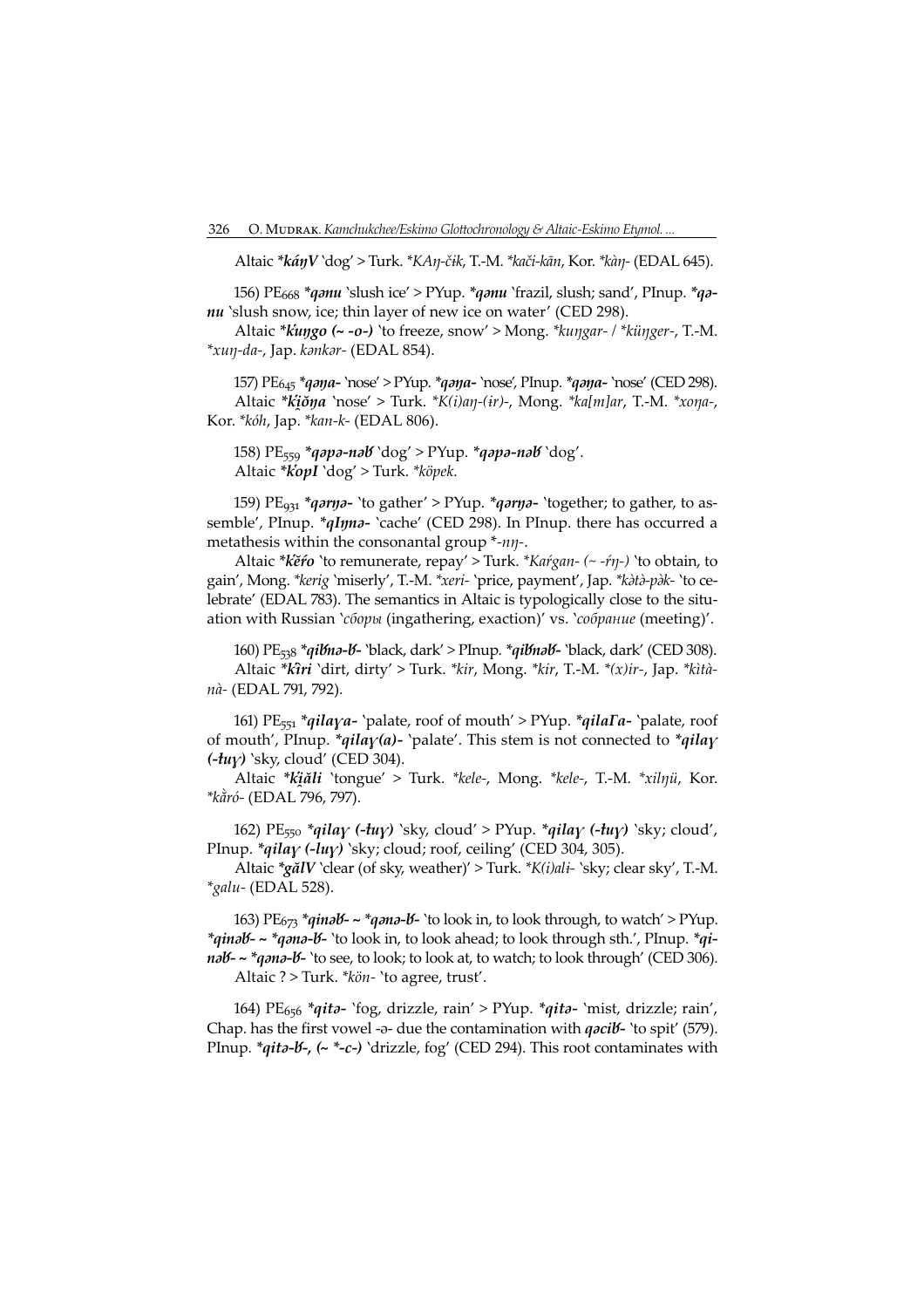Altaic \*káŋV `dog' > Turk. \*KAŋ-čɨk, T.-M. \*kači-kān, Kor. \*kàŋ- (EDAL 645).

156) PE<sub>668</sub> \**qanu* `slush ice' > PYup. \**qanu* `frazil, slush; sand', PInup. \**qa*nu 'slush snow, ice; thin layer of new ice on water' (CED 298).

Altaic \* $kingo$  (~ -o-) `to freeze, snow' > Mong. \* $kungar-$  / \* $künger$ , T.-M. \*xuŋ-da-, Jap. kənkər- (EDAL 854).

157) PE<sub>645</sub> \*qaya- 'nose' > PYup. \*qaya- 'nose', PInup. \*qaya- 'nose' (CED 298). Altaic \* $k'i\check{o}\eta a$  'nose' > Turk. \* $K(i)a\eta$ -(ir)-, Mong. \* $ka[m]ar$ , T.-M. \* $x$ ona-, Kor. \*kóh, Jap. \*kan-k- (EDAL 806).

158) PE<sub>559</sub> \*q*apa-nab* `dog' > PYup. \*q*apa-nab* `dog'. Altaic \*kopI 'dog' > Turk. \*köpek.

159) PE<sub>931</sub> \**qrm*<sub>2</sub>- 'to gather' > PYup. \**qrm*<sub>2</sub>- 'together; to gather, to assemble', PInup. \**qIŋna*- 'cache' (CED 298). In PInup. there has occurred a metathesis within the consonantal group \*-nn-.

Altaic \*kĕŕo 'to remunerate, repay' > Turk. \*Kaŕgan- (~ -ŕŋ-) 'to obtain, to gain', Mong. \*kerig 'miserly', T.-M. \*xeri- 'price, payment', Jap. \*kata-pak- 'to celebrate' (EDAL 783). The semantics in Altaic is typologically close to the situation with Russian 'сборы (ingathering, exaction)' vs. 'собрание (meeting)'.

160) PE<sub>53</sub>8 \*qi**bha-b-** `black, dark' > PInup. \*qibhab- `black, dark' (CED 308). Altaic \*kìri 'dirt, dirty' > Turk. \*kir, Mong. \*kir, T.-M. \*(x)ir-, Jap. \*kìtànà- (EDAL 791, 792).

161) PE<sub>551</sub> \*qilaya- 'palate, roof of mouth' > PYup. \*qilaΓa- 'palate, roof of mouth', PInup. \**qila* $\gamma$ (*a*)- 'palate'. This stem is not connected to \**qila* $\gamma$  $(-tuy)$  'sky, cloud' (CED 304).

Altaic \*kăli 'tongue' > Turk. \*kele-, Mong. \*kele-, T.-M. \*xilŋü, Kor. \*kằró- (EDAL 796, 797).

162) PE<sub>550</sub> \*qilay (-tuy) 'sky, cloud' > PYup. \*qilay (-tuy) 'sky; cloud', PInup. \*qilay (-luy) `sky; cloud; roof, ceiling' (CED 304, 305).

Altaic \*gălV `clear (of sky, weather)' > Turk. \*K(i)ali- `sky; clear sky', T.-M. \*galu- (EDAL 528).

163) PE<sub>673</sub> \*qina<mark>b-~ \*qana-b-'to look in, to look through, to watch' > PYup.</mark> \*qinəb - ~ \*qənə-b - `to look in, to look ahead; to look through sth.', PInup. \*qinab - \* anna-b - 'to see, to look; to look at, to watch; to look through' (CED 306). Altaic ? > Turk. \*kön- 'to agree, trust'.

164) PE<sub>656</sub> \*qita- `fog, drizzle, rain' > PYup. \*qita- `mist, drizzle; rain', Chap. has the first vowel -a- due the contamination with  $\eta$  *acil* + 'to spit' (579). PInup. \* $q$ *ita-b-, (~ \*-c-)* `drizzle, fog' (CED 294). This root contaminates with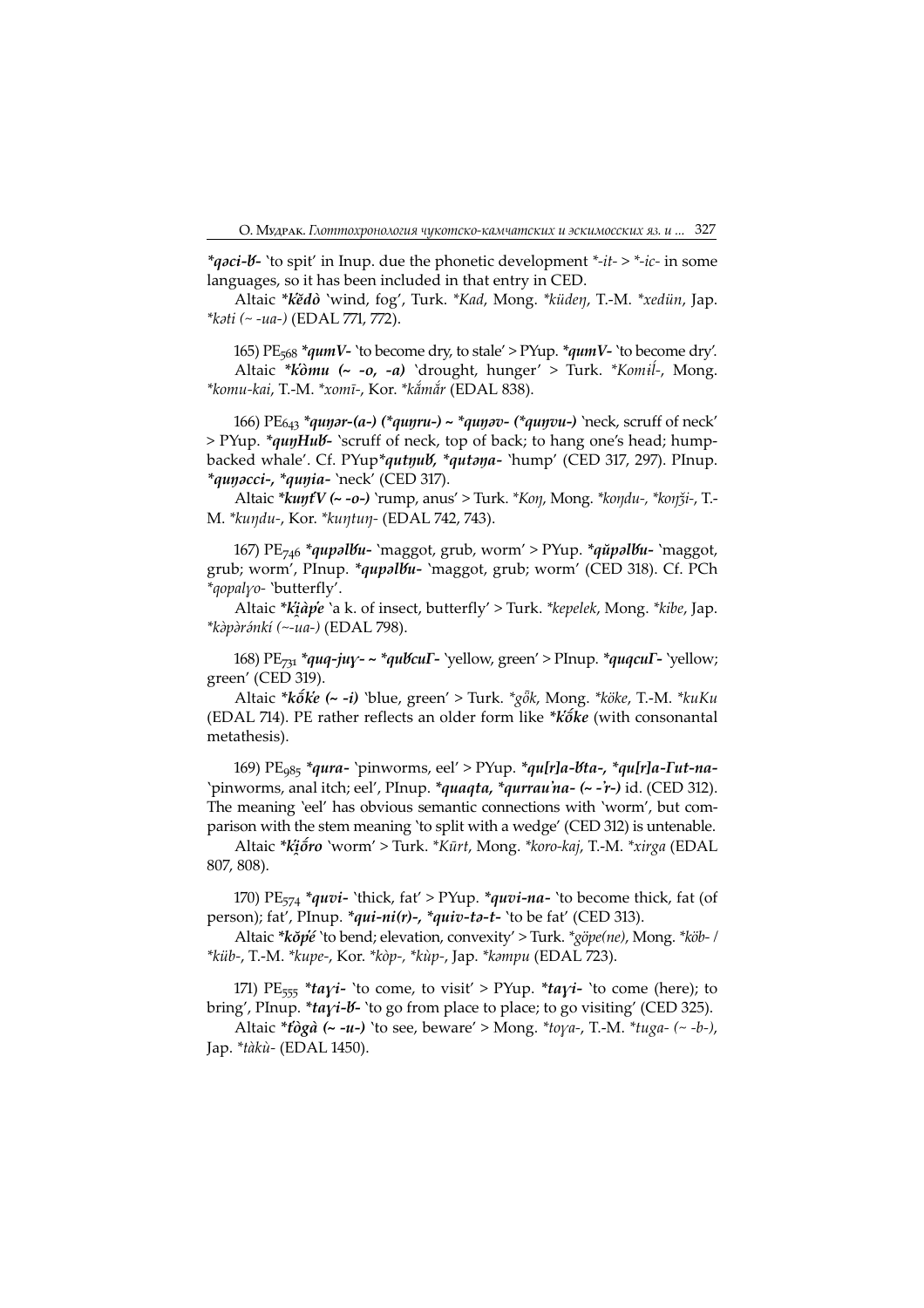\**qoci-b*- 'to spit' in Inup. due the phonetic development \*-*it->* \*-*ic-* in some languages, so it has been included in that entry in CED.

Altaic \*kĕdò 'wind, fog', Turk. \*Kad, Mong. \*küdeŋ, T.-M. \*xedün, Jap.  $*k\delta t$ i (~ -ua-) (EDAL 771, 772).

165) PE<sub>568</sub> \**qumV*- 'to become dry, to stale' > PYup. \**qumV*- 'to become dry'. Altaic \* $k\hat{o}mu$  (~ - $o$ , - $a$ ) 'drought, hunger' > Turk. \* $Komil$ -, Mong. \*komu-kai, T.-M. \*xomī-, Kor. \*kắmắr (EDAL 838).

166) PE<sub>643</sub> \**qunar-(a-) (\*qunru-) ~ \*qunav- (\*qunvu-)* 'neck, scruff of neck' > PYup. \*quyHub - 'scruff of neck, top of back; to hang one's head; humpbacked whale'. Cf. PYup\*qutyub, \*qutaya- 'hump' (CED 317, 297). PInup. \*qunacci-, \*qunia- 'neck' (CED 317).

Altaic \*kuŋtV (~ -o-) 'rump, anus' > Turk. \*Koŋ, Mong. \*koŋdu-, \*koŋǯi-, T.- M. \*kuŋdu-, Kor. \*kuŋtuŋ- (EDAL 742, 743).

167) PE<sub>746</sub> \*qupal<mark>bu-</mark> `maggot, grub, worm' > PYup. \*qŭpalbu- `maggot, grub; worm', PInup. \*qupalbu- `maggot, grub; worm' (CED 318). Cf. PCh \*gopalyo- 'butterfly'.

Altaic \**kiàpe* 'a k. of insect, butterfly' > Turk. \**kepelek*, Mong. \**kibe*, Jap. \*kàpàránkí (~-ua-) (EDAL 798).

168) PE<sub>731</sub> \*quq-juy- ~ \*qubcuF- `yellow, green' > PInup. \*quqcuF- `yellow; green' (CED 319).

Altaic \* $k\tilde{o}k\tilde{e}$  (~ -i) 'blue, green' > Turk. \* $g\tilde{o}k$ , Mong. \* $k\tilde{o}k\tilde{e}$ , T.-M. \* $kuKu$ (EDAL 714). PE rather reflects an older form like \* $k\acute{o}k\acute{e}$  (with consonantal metathesis).

169) PE<sub>985</sub> \*qura- `pinworms, eel' > PYup. \*qu[r]a-<mark>bta-, \*qu[r]a-Fut-na-</mark> 'pinworms, anal itch; eel', PInup. \*quaqta, \*qurrau'na- (~ -'r-) id. (CED 312). The meaning 'eel' has obvious semantic connections with 'worm', but comparison with the stem meaning 'to split with a wedge' (CED 312) is untenable.

Altaic \*kio ro 'worm' > Turk. \*Kūrt, Mong. \*koro-kaj, T.-M. \*xirga (EDAL 807, 808).

170) PE $_{574}$  \*quvi- 'thick, fat' > PYup. \*quvi-na- 'to become thick, fat (of person); fat', PInup.  $*$ qui-ni(r)-,  $*$ quiv-ta-t- 'to be fat' (CED 313).

Altaic \*kŏpé 'to bend; elevation, convexity' > Turk. \*göpe(ne), Mong. \*köb- / \*küb-, T.-M. \*kupe-, Kor. \*kòp-, \*kùp-, Jap. \*kmpu (EDAL 23).

171) PE<sub>555</sub> \*tayi- 'to come, to visit' > PYup. \*tayi- 'to come (here); to bring', PInup. \*tayi-b 'to go from place to place; to go visiting' (CED 325).

Altaic  $*\hat{t}$ ogà (~ -u-) 'to see, beware' > Mong.  $*\hat{t}$ oya-, T.-M.  $*\hat{t}$ uga- (~ -b-), Jap. \**tàkù-* (EDAL 1450).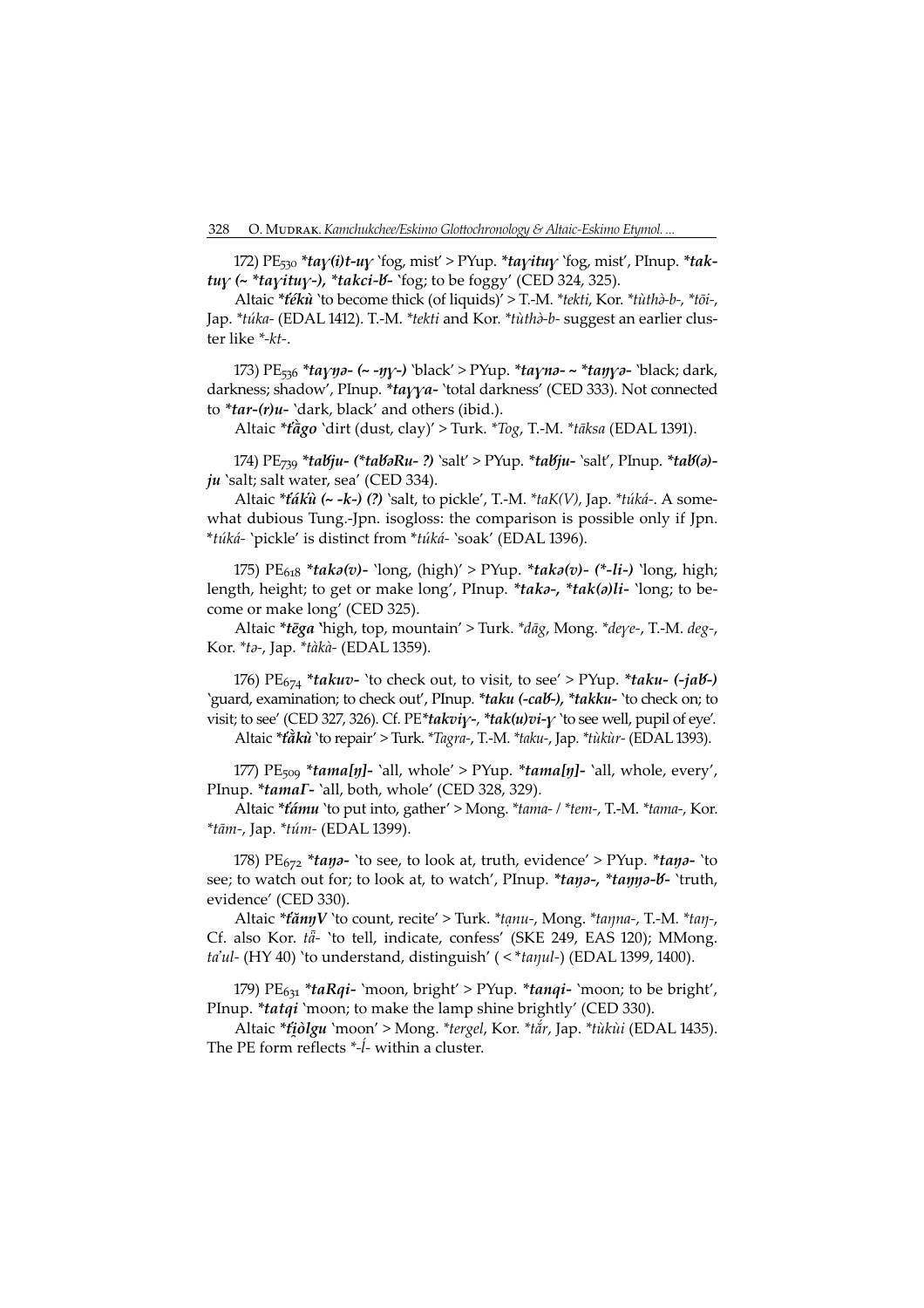172)  $PE_{530}$  \*tay(i)t-uy 'fog, mist' > PYup. \*tayituy 'fog, mist', PInup. \*taktuy ( $\sim$  \*tayituy-), \*takci-*b*- `fog; to be foggy' (CED 324, 325).

Altaic \*tékù 'to become thick (of liquids)' > T.-M. \*tekti, Kor. \*tùthà-b-, \*tōi-, Jap. \*túka- (EDAL 1412). T.-M. \*tekti and Kor. \*tùthà-b- suggest an earlier cluster like \*-kt-.

173) PE<sub>536</sub> \*tayna- (~ -ny-) 'black' > PYup. \*tayna- ~ \*tanya- 'black; dark, darkness; shadow', PInup. \*tayya- 'total darkness' (CED 333). Not connected to  $*tar-(r)u-$  `dark, black' and others (ibid.).

Altaic \*tago `dirt (dust, clay)' > Turk. \*Tog, T.-M. \*tāksa (EDAL 1391).

174)  $PE_{739}$  \*tabju- (\*tabaRu-?) `salt' > PYup. \*tabju- `salt', PInup. \*tab(a)ju 'salt; salt water, sea' (CED 334).

Altaic \*táku (~ -k-) (?) `salt, to pickle', T.-M. \*taK(V), Jap. \*túká-. A somewhat dubious Tung.-Jpn. isogloss: the comparison is possible only if Jpn. \*túká- 'pickle' is distinct from \*túká- 'soak' (EDAL 1396).

175) PE<sub>618</sub> \**taka(v*)- 'long, (high)' > PYup. \**taka(v*)- (\*-*li*-) 'long, high; length, height; to get or make long', PInup. \*taka-, \*tak(a)li- `long; to become or make long' (CED 325).

Altaic \*tēga 'high, top, mountain' > Turk. \*dāg, Mong. \*deye-, T.-M. deg-, Kor. \**ta-*, Jap. \**tàkà*- (EDAL 1359).

176)  $PE_{674}$  \**takuv*- 'to check out, to visit, to see' > PYup. \**taku-* (-*jab-*) 'guard, examination; to check out', PInup. \*taku (-cab-), \*takku- 'to check on; to visit; to see' (CED 327, 326). Cf. PE\*takviy-, \*tak $(u)v - v$  'to see well, pupil of eye'.

Altaic \*tàkù 'to repair' > Turk. \*Tagra-, T.-M. \*taku-, Jap. \*tùkùr- (EDAL 1393).

177)  $PE_{509}$  \*tama[ŋ]- `all, whole' > PYup. \*tama[ŋ]- `all, whole, every', PInup. \*tamaT- `all, both, whole' (CED 328, 329).

Altaic \*támu `to put into, gather' > Mong. \*tama- / \*tem-, T.-M. \*tama-, Kor. \*tām-, Jap. \*túm- (EDAL 1399).

178) PE<sub>672</sub> \*tana- 'to see, to look at, truth, evidence' > PYup. \*tana- 'to see; to watch out for; to look at, to watch', PInup. \*tano-, \*tanno-b- `truth, evidence' (CED 330).

Altaic \*tannV `to count, recite' > Turk. \*tanu-, Mong. \*tanna-, T.-M. \*tan-, Cf. also Kor. tā- 'to tell, indicate, confess' (SKE 249, EAS 120); MMong. ta'ul- (HY 40) 'to understand, distinguish' (<\*tanul-) (EDAL 1399, 1400).

179)  $PE_{631}$  \**taRqi*- 'moon, bright' > PYup. \**tanqi*- 'moon; to be bright', PInup. \**tatqi* 'moon; to make the lamp shine brightly' (CED 330).

Altaic \**tiolgu* `moon' > Mong. \*tergel, Kor. \*tår, Jap. \*tùkùi (EDAL 1435). The PE form reflects  $*-\hat{l}$ - within a cluster.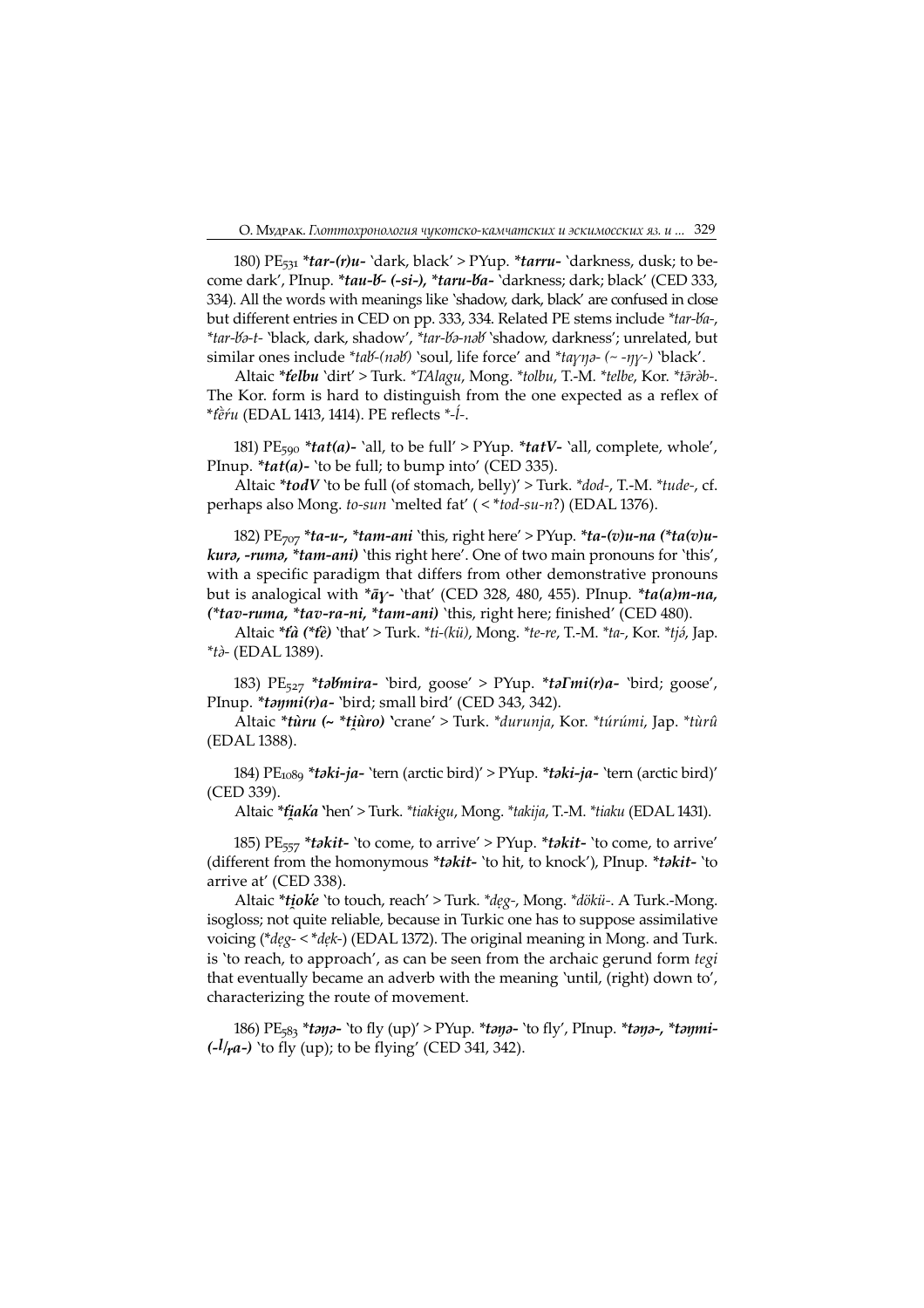180)  $PE_{531}$  \*tar-(r)u- 'dark, black' > PYup. \*tarru- 'darkness, dusk; to become dark', PInup. \*tau-b- (-si-), \*taru-ba- `darkness; dark; black' (CED 333, 334). All the words with meanings like 'shadow, dark, black' are confused in close but different entries in CED on pp. 333, 334. Related PE stems include \*tar-ba-, \*tar-Va-t- 'black, dark, shadow', \*tar-Va-naV 'shadow, darkness'; unrelated, but similar ones include \*tab-(nəb) `soul, life force' and \*ta $\gamma\eta$ -(~ - $\eta\gamma$ -) `black'.

Altaic \*telbu 'dirt' > Turk. \*TAlagu, Mong. \*tolbu, T.-M. \*telbe, Kor. \*tāràb-. The Kor. form is hard to distinguish from the one expected as a reflex of \*tèŕu (EDAL 1413, 1414). PE reflects \*-ĺ-.

181) PE<sub>590</sub> \*tat(a)- 'all, to be full' > PYup. \*tatV- 'all, complete, whole', PInup.  $*ta(ta)$ - 'to be full; to bump into' (CED 335).

Altaic \*todV 'to be full (of stomach, belly)' > Turk. \*dod-, T.-M. \*tude-, cf. perhaps also Mong. to-sun 'melted fat'  $(\langle *tod-su-n? \rangle)$  (EDAL 1376).

182) PE<sub>707</sub> \*ta-u-, \*tam-ani 'this, right here' > PYup. \*ta-(v)u-na (\*ta(v)ukura, -ruma, \*tam-ani) 'this right here'. One of two main pronouns for 'this', with a specific paradigm that differs from other demonstrative pronouns but is analogical with  $*\bar{a}\gamma$ - 'that' (CED 328, 480, 455). PInup.  $*\dot{t}a(a)m$ -na, (\*tav-ruma, \*tav-ra-ni, \*tam-ani) 'this, right here; finished' (CED 480).

Altaic  $*t\hat{a}$  (\* $t\hat{e}$ ) 'that' > Turk.  $*ti-(k\ddot{u})$ , Mong.  $*te-re$ , T.-M.  $*ta$ -, Kor.  $*ti\acute{o}$ , Jap.  $*$ tà- (EDAL 1389).

183) PE<sub>527</sub> \*tabmira- `bird, goose' > PYup. \*ta*Imi(r)a-* `bird; goose', PInup. \*taymi(r)a- `bird; small bird' (CED 343, 342).

Altaic \*tùru (~ \*tiùro) 'crane' > Turk. \*durunja, Kor. \*túrúmi, Jap. \*tùrû (EDAL 388).

184) PE<sub>1089</sub> \**taki-ja-* `tern (arctic bird)' > PYup. \**taki-ja-* `tern (arctic bird)' (CED 339).

Altaic \**tiaka* `hen' > Turk. \**tiakigu,* Mong. \**takija,* T.-M. \**tiaku* (EDAL 1431).

185) PE<sub>557</sub> \**takit*- 'to come, to arrive' > PYup. \**takit*- 'to come, to arrive' (different from the homonymous *\*takit-* 'to hit, to knock'), PInup. *\*takit-* 'to arrive at' (CED 338).

Altaic \*tioke 'to touch, reach' > Turk. \*deg-, Mong. \*dökü-. A Turk.-Mong. isogloss; not quite reliable, because in Turkic one has to suppose assimilative voicing (\*deg- < \*dek-) (EDAL 1372). The original meaning in Mong. and Turk. is 'to reach, to approach', as can be seen from the archaic gerund form tegi that eventually became an adverb with the meaning 'until, (right) down to', characterizing the route of movement.

186) PE<sub>583</sub> \*tana- 'to fly (up)' > PYup. \*tana- 'to fly', PInup. \*tana-, \*tanmi- $(-l/r a-)$  'to fly (up); to be flying' (CED 341, 342).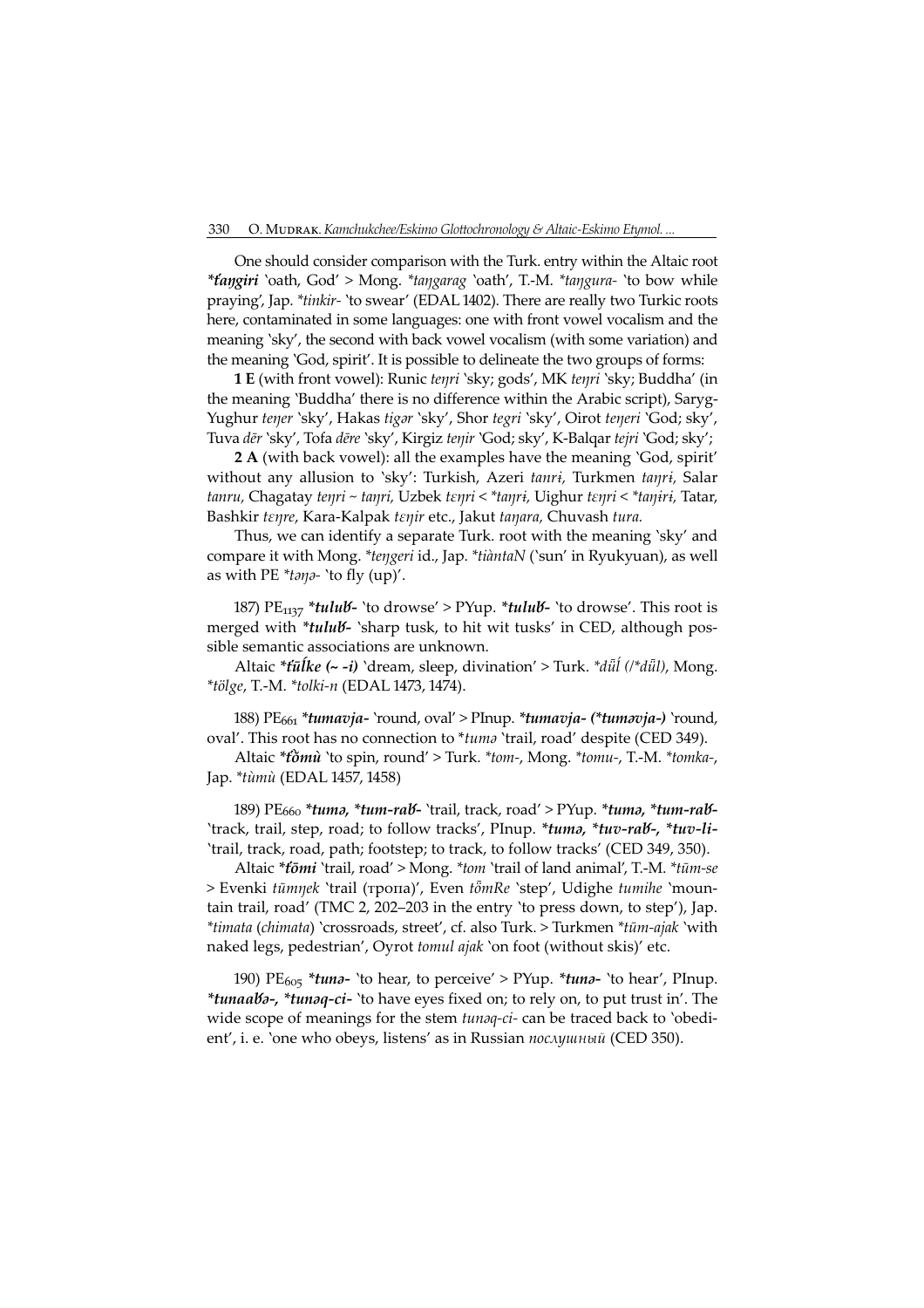One should consider comparison with the Turk. entry within the Altaic root \*taŋgiri 'oath, God' > Mong. \*taŋgarag 'oath', T.-M. \*taŋgura- 'to bow while praying', Jap. \*tinkir- 'to swear' (EDAL 1402). There are really two Turkic roots here, contaminated in some languages: one with front vowel vocalism and the meaning 'sky', the second with back vowel vocalism (with some variation) and the meaning 'God, spirit'. It is possible to delineate the two groups of forms:

 E (with front vowel): Runic teŋri 'sky; gods', MK teŋri 'sky; Buddha' (in the meaning 'Buddha' there is no difference within the Arabic script), Saryg-Yughur tener 'sky', Hakas tigar 'sky', Shor tegri 'sky', Oirot teneri 'God; sky', Tuva dēr 'sky', Tofa dēre 'sky', Kirgiz teŋir 'God; sky', K-Balqar tejri 'God; sky';

2 A (with back vowel): all the examples have the meaning 'God, spirit' without any allusion to 'sky': Turkish, Azeri tanri, Turkmen tanri, Salar tanru, Chagatay tenri ~ tanri, Uzbek tenri < \*tanri, Uighur tenri < \*taniri, Tatar, Bashkir tenre, Kara-Kalpak tenir etc., Jakut tanara, Chuvash tura.

Thus, we can identify a separate Turk. root with the meaning 'sky' and compare it with Mong. \*teŋgeri id., Jap. \*tiàntaN ('sun' in Ryukyuan), as well as with PE  $*tan\theta$ - 'to fly (up)'.

187) PE<sub>1137</sub> \*tulub - 'to drowse' > PYup. \*tulub - 'to drowse'. This root is merged with \*tulub - 'sharp tusk, to hit wit tusks' in CED, although possible semantic associations are unknown.

Altaic  $*$ tūlke (~ -i) 'dream, sleep, divination' > Turk.  $*$ dūl ( $*$ dūl), Mong.  $*$ tölge, T.-M.  $*$ tolki-n (EDAL 1473, 1474).

188)  $PE<sub>661</sub> *tumavja- 'round, oval' > Plnup. *tumavja- (*tumavja-) 'round,$ oval'. This root has no connection to \*tuma 'trail, road' despite (CED 349).

Altaic \*tomù 'to spin, round' > Turk. \*tom-, Mong. \*tomu-, T.-M. \*tomka-, Jap. \*tùmù (EDAL 1457, 1458)

189) PE<sub>660</sub> \*tum<mark>ə, \*tum-rab-</mark> `trail, track, road' > PYup. \*tumə, \*tum-rab-'track, trail, step, road; to follow tracks', PInup. \*tuma, \*tuv-rab-, \*tuv-li-`trail, track, road, path; footstep; to track, to follow tracks' (CED 349, 350).

Altaic \*tomi 'trail, road' > Mong. \*tom 'trail of land animal', T.-M. \*tūm-se > Evenki tūmnek 'trail (тропа)', Even tömRe 'step', Udighe tumihe 'mountain trail, road' (ТМС 2, 202–203 in the entry 'to press down, to step'), Jap. \*timata (chimata) 'crossroads, street', cf. also Turk. > Turkmen \*tūm-ajak 'with naked legs, pedestrian', Oyrot tomul ajak 'on foot (without skis)' etc.

190) PE<sub>605</sub> \*tuna- 'to hear, to perceive' > PYup. \*tuna- 'to hear', PInup. \*tunaabo-, \*tunoq-ci- 'to have eyes fixed on; to rely on, to put trust in'. The wide scope of meanings for the stem *tunaq-ci-* can be traced back to 'obedient', i. e. 'one who obeys, listens' as in Russian послушный (CED 350).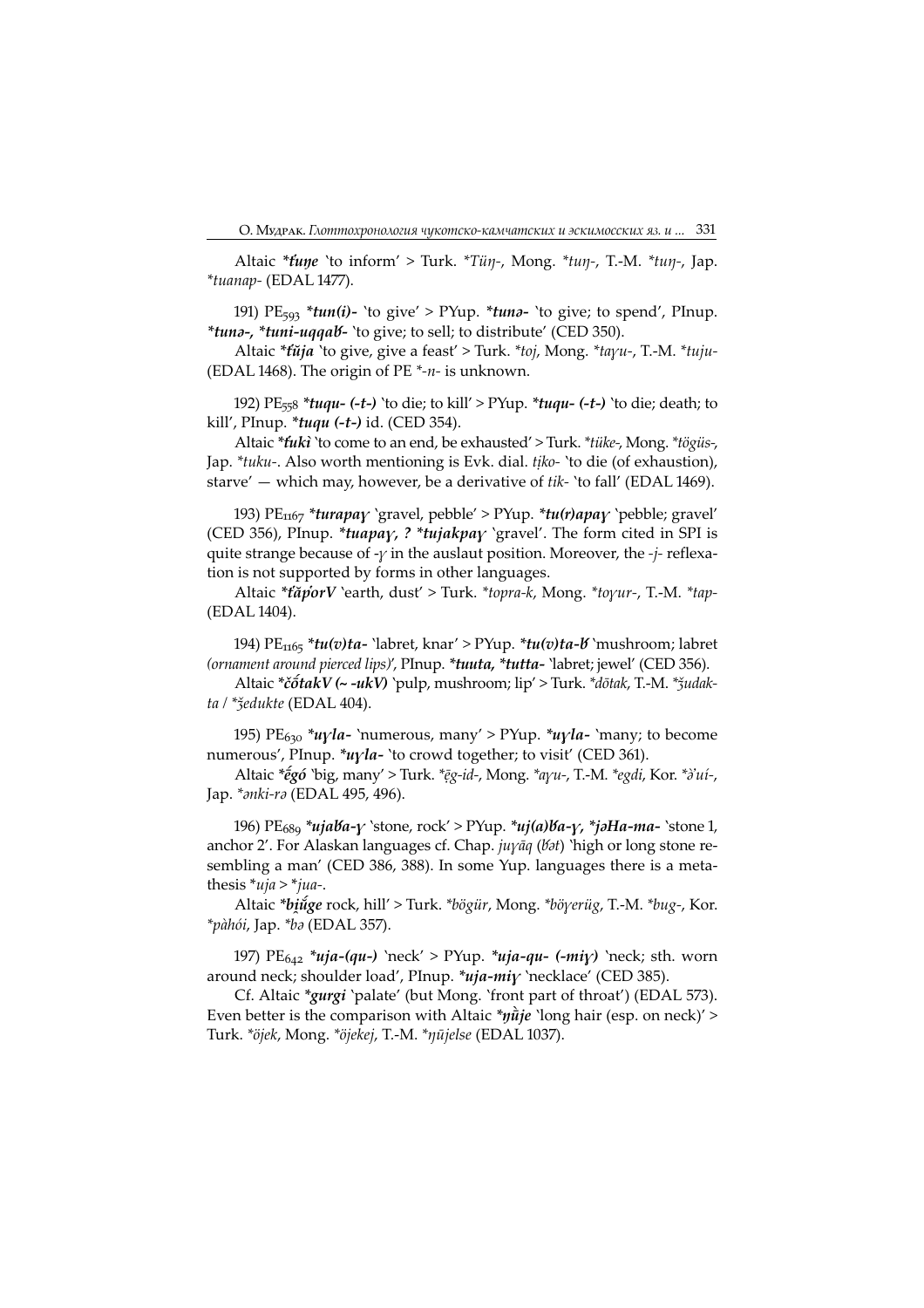Altaic  $*time$  'to inform' > Turk.  $*Time$ , Mong.  $*tmp$ , T.-M.  $*tmp$ , Jap.  $*$ tuanap- (EDAL 1477).

191) PE<sub>593</sub> \*tun(i)- 'to give' > PYup. \*tuna- 'to give; to spend', PInup. \*tuna-, \*tuni-uqqab- `to give; to sell; to distribute' (CED 350).

Altaic  $*t\tilde{u}j\tilde{a}$  'to give, give a feast' > Turk.  $*t\tilde{v}j$ , Mong.  $*t\tilde{a}j\tilde{u}l$ -, T.-M.  $*t\tilde{u}j\tilde{u}l$ -(EDAL 1468). The origin of PE  $*_{-n}$ - is unknown.

192) PE $_{558}$  \*tuqu- (-t-) 'to die; to kill' > PYup. \*tuqu- (-t-) 'to die; death; to kill', PInup. \**tuqu* (-*t*-) id. (CED 354).

Altaic \**fukì* 'to come to an end, be exhausted' > Turk. \**tüke-*, Mong. \**tögüs-*, Jap. \*tuku-. Also worth mentioning is Evk. dial. tịko- 'to die (of exhaustion), starve'  $-$  which may, however, be a derivative of tik- 'to fall' (EDAL 1469).

193) PE<sub>1167</sub> \*turapay 'gravel, pebble' > PYup. \*tu(r)apay 'pebble; gravel' (CED 356), PInup. \*tuapay, ? \*tujakpay 'gravel'. The form cited in SPI is quite strange because of  $-\gamma$  in the auslaut position. Moreover, the  $-\dot{i}$ - reflexation is not supported by forms in other languages.

Altaic \*tăporV `earth, dust' > Turk. \*topra-k, Mong. \*toyur-, T.-M. \*tap-(EDAL 1404).

194) PE<sub>1165</sub> \**tu(v)ta*- `labret, knar' > PYup. \**tu(v)ta-b* `mushroom; labret (ornament around pierced lips)', PInup. \*tuuta, \*tutta- 'labret; jewel' (CED 356).

Altaic \*č $\delta$ takV (~ -ukV) `pulp, mushroom; lip' > Turk. \*dōtak, T.-M. \* $\delta$ udakta / <sup>\*</sup>ǯedukte (EDAL 404).

195) PE<sub>630</sub> \**u* $\gamma$ *la*- 'numerous, many' > PYup. \**u* $\gamma$ *la*- 'many; to become numerous', PInup. \*uyla- 'to crowd together; to visit' (CED 361).

Altaic \*egó 'big, many' > Turk. \*eg-id-, Mong. \*ayu-, T.-M. \*egdi, Kor. \*i'uí-, Jap. \**ənki-rə* (EDAL 495, 496).

196) PE<sub>689</sub> \*ujaba-y `stone, rock' > PYup. \*uj(a)ba-y, \*jəHa-ma- `stone 1, anchor 2'. For Alaskan languages cf. Chap.  $j\psi$ *aq* ( $\theta$  $i$ t) 'high or long stone resembling a man' (CED 386, 388). In some Yup. languages there is a metathesis  $*uja > *jua-.$ 

Altaic \*binge rock, hill' > Turk. \*bögür, Mong. \*böyerüg, T.-M. \*bug-, Kor. \*pàhói, Jap. \*bə (EDAL 357).

197) PE $_{642}$  \*uja-(qu-) 'neck' > PYup. \*uja-qu- (-miy) 'neck; sth. worn around neck; shoulder load', PInup.  $*$ uja-miy 'necklace' (CED 385).

Cf. Altaic \*gurgi `palate' (but Mong. `front part of throat') (EDAL 573). Even better is the comparison with Altaic  $\pi \vec{u}$  ie 'long hair (esp. on neck)' > Turk. \*öjek, Mong. \*öjekej, T.-M. \*nūjelse (EDAL 1037).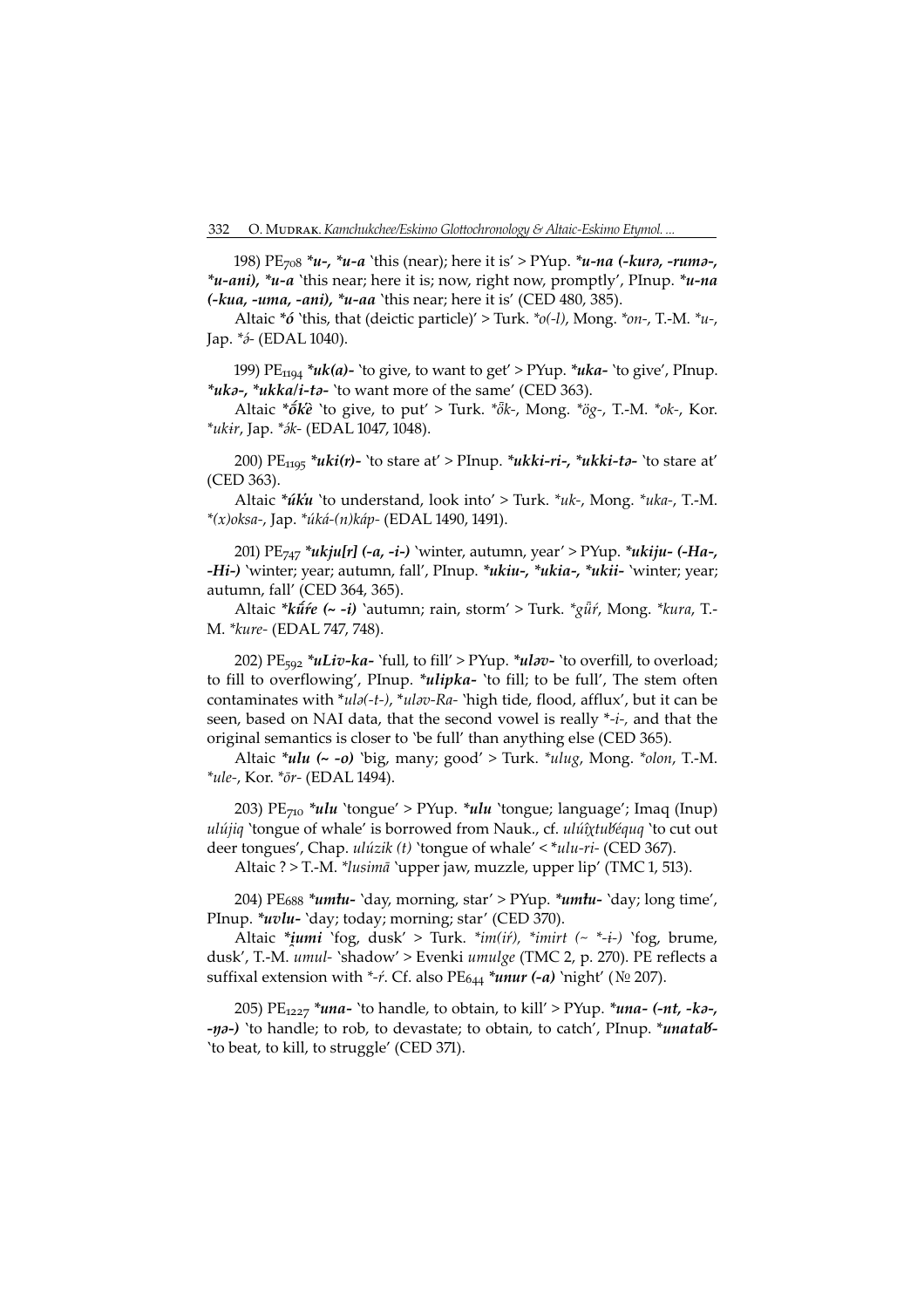198)  $PE_{708} * u_{7} * u_{-} a$  'this (near); here it is' > PYup.  $*u_{-}na$  (-kura, -ruma-, \**u-ani*), \**u-a* 'this near; here it is; now, right now, promptly', PInup. \**u-na*  $(-kua, -uma, -ani), *u - aa$  'this near; here it is' (CED 480, 385).

Altaic \*6 'this, that (deictic particle)' > Turk. \*o(-l), Mong. \*on-, T.-M. \*u-, Jap.  $*_{\partial}$ - (EDAL 1040).

199)  $PE_{1194} * u k(a)$ - 'to give, to want to get' > PYup. \* $u k a$ - 'to give', PInup. \*uka-, \*ukka/i-ta- `to want more of the same' (CED 363).

Altaic \* $\acute{\sigma}k\acute{e}$  'to give, to put' > Turk. \* $\ddot{\partial}k$ -, Mong. \* $\partial g$ -, T.-M. \* $ok$ -, Kor. \*ukir, Jap. \* ók - (EDAL 1047, 1048).

200)  $PE_{1195}$  \*uki(r)- 'to stare at' > PInup. \*ukki-ri-, \*ukki-ta- 'to stare at' (CED 363).

Altaic \*uku `to understand, look into' > Turk. \*uk-, Mong. \*uka-, T.-M. \*(x)oksa-, Jap. \*úká-(n)káp- (EDAL 1490, 1491).

201) PE<sub>747</sub> \**ukju[r]* (-*a*, -*i*-) `winter, autumn, year' > PYup. \**ukiju*- (-*Ha*-, -Hi-) 'winter; year; autumn, fall', PInup. \*ukiu-, \*ukia-, \*ukii- 'winter; year; autumn, fall' (CED 364, 365).

Altaic \*kū́re (~ -i) `autumn; rain, storm' > Turk. \*gū̃r, Mong. \*kura, T.-M. \* kure- (EDAL 747, 748).

202) PE<sub>592</sub> \**uLiv-ka-* `full, to fill' > PYup. \**ulav-* `to overfill, to overload; to fill to overflowing', PInup. \**ulipka*- 'to fill; to be full', The stem often contaminates with \*ula(-t-), \*ulav-Ra- 'high tide, flood, afflux', but it can be seen, based on NAI data, that the second vowel is really \*-i-, and that the original semantics is closer to 'be full' than anything else (CED 365).

Altaic  $*ulu$  (~ -o) `big, many; good' > Turk.  $*ulug$ , Mong.  $*olon$ , T.-M. \*ule-, Kor. \*ōr- (EDAL 1494).

203)  $PE_{710}$  \*ulu 'tongue' > PYup. \*ulu 'tongue; language'; Imaq (Inup) ulújiq 'tongue of whale' is borrowed from Nauk., cf. ulúîxtubéquq 'to cut out deer tongues', Chap.  $ulúzik(t)$  'tongue of whale' < \* $ulu-ri$ - (CED 367).

Altaic ? > T.-M. \*lusimā `upper jaw, muzzle, upper lip' (TMC 1, 513).

204) PE<sub>688</sub> \**umtu*- `day, morning, star' > PYup. \**umtu*- `day; long time', PInup. \**uvlu*- 'day; today; morning; star' (CED 370).

Altaic \**iumi* `fog, dusk' > Turk. \**im(if)*, \**imirt* (~ \*-*i*-) `fog, brume, dusk', T.-M. umul- `shadow' > Evenki umulge (TMC 2, p. 270). PE reflects a suffixal extension with \*-*ŕ*. Cf. also PE<sub>644</sub> \**unur* (-*a*) `night' ( $N_2$  207).

205) PE<sub>1227</sub> \**una*- 'to handle, to obtain, to kill' > PYup. \**una-* (-*nt*, -*ka*-, -na-) `to handle; to rob, to devastate; to obtain, to catch', PInup. \**unatab*-'to beat, to kill, to struggle' (CED 371).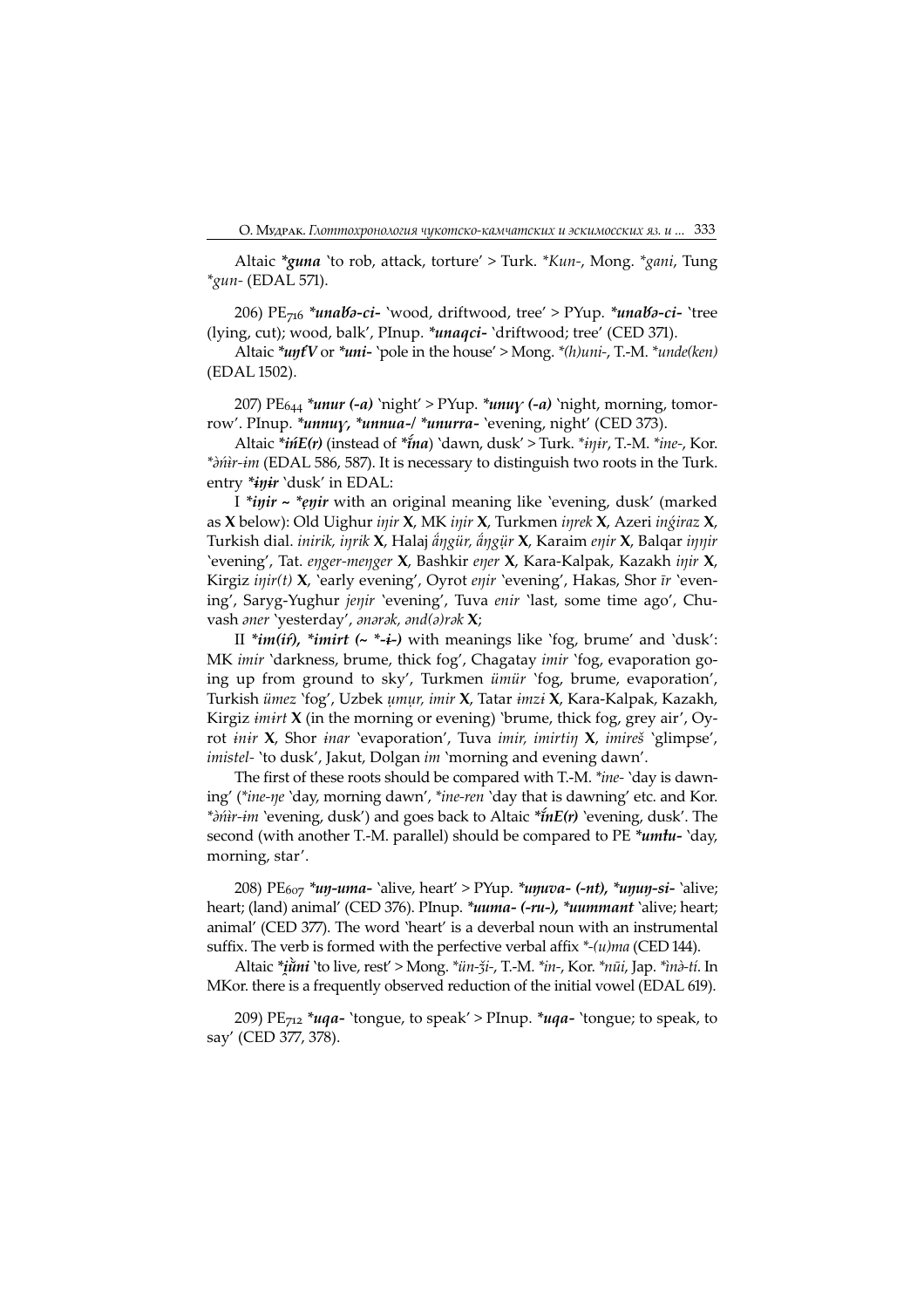Altaic \*guna 'to rob, attack, torture' > Turk. \*Kun-, Mong. \*gani, Tung  $*$ gun- (EDAL 571).

206) PE<sub>716</sub> \*unaba-ci- 'wood, driftwood, tree' > PYup. \*unaba-ci- 'tree (lying, cut); wood, balk', PInup. \**unaqci*- 'driftwood; tree' (CED 371).

Altaic  $*unfV$  or  $*uni$ - 'pole in the house' > Mong.  $*(h)uni$ -, T.-M.  $*undelken)$ (EDAL 1502).

207) PE $_{644}$  \*unur (-a) 'night' > PYup. \*unuy (-a) 'night, morning, tomorrow'. PInup. \*unnuy, \*unnua-/ \*unurra- 'evening, night' (CED 373).

Altaic \**ińE(r)* (instead of \**ĩna*) `dawn, dusk' > Turk. \**iŋir*, T.-M. \**ine-,* Kor. \*dni r-im (EDAL 586, 587). It is necessary to distinguish two roots in the Turk. entry \**inir* 'dusk' in EDAL:

I \*inir ~ \*enir with an original meaning like 'evening, dusk' (marked as X below): Old Uighur iŋir X, MK iŋir X, Turkmen iŋrek X, Azeri inǵiraz X, Turkish dial. inirik, inrik X, Halaj ängür, ängür X, Karaim enir X, Balqar innir 'evening', Tat. eŋger-meŋger X, Bashkir eŋer X, Kara-Kalpak, Kazakh iŋir X, Kirgiz  $\text{inir}(t)$  **X**, 'early evening', Oyrot enir 'evening', Hakas, Shor  $\text{tr}$  'evening', Saryg-Yughur jenir 'evening', Tuva enir 'last, some time ago', Chuvash aner 'yesterday', anarak, and(a)rak X;

II \**im(if)*, \**imirt* ( $\sim$  \*-*i*-) with meanings like 'fog, brume' and 'dusk': MK imir 'darkness, brume, thick fog', Chagatay imir 'fog, evaporation going up from ground to sky', Turkmen ümür 'fog, brume, evaporation', Turkish ümez 'fog', Uzbek ụmụr, imir X, Tatar imzi X, Kara-Kalpak, Kazakh, Kirgiz *imirt*  $X$  (in the morning or evening) 'brume, thick fog, grey air', Oyrot inir X, Shor inar 'evaporation', Tuva imir, imirtin X, imireš 'glimpse', imistel- 'to dusk', Jakut, Dolgan im 'morning and evening dawn'.

The first of these roots should be compared with T.-M. \*ine- 'day is dawning' (\*ine-ŋe 'day, morning dawn', \*ine-ren 'day that is dawning' etc. and Kor. \* $\partial \hat{n}$ ir-im `evening, dusk') and goes back to Altaic \* $\hat{n}E(r)$  `evening, dusk'. The second (with another T.-M. parallel) should be compared to PE  $*$ umtu- 'day, morning, star'.

208) PE<sub>607</sub> \**un-uma-* `alive, heart' > PYup. \**unuva-* (-*nt*), \**unun-si-* `alive; heart; (land) animal' (CED 376). PInup. \*uuma- (-ru-), \*uummant 'alive; heart; animal' (CED 377). The word 'heart' is a deverbal noun with an instrumental suffix. The verb is formed with the perfective verbal affix  $*(u)$ ma (CED 144).

Altaic \*iùni 'to live, rest' > Mong. \*ün-ži-, T.-M. \*in-, Kor. \*nūi, Jap. \*inà-tí. In MKor. there is a frequently observed reduction of the initial vowel (EDAL 619).

209)  $PE<sub>712</sub> * uqa-'tongue, to speak' > Plnup. * uqa-'tongue; to speak, to$ say' (CED 377, 378).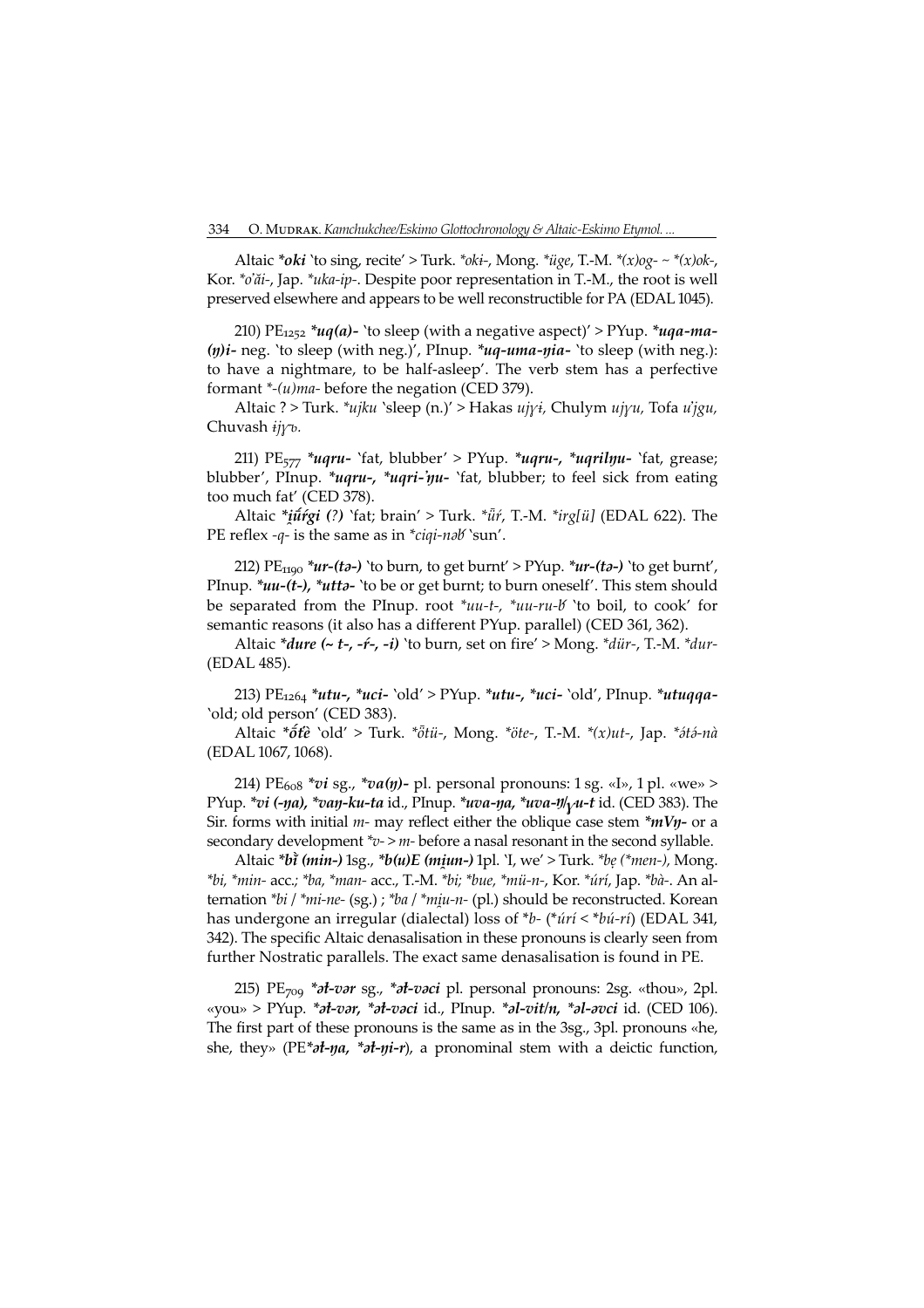Altaic \*oki 'to sing, recite' > Turk. \*oki-, Mong. \* $\ddot{u}$ ge, T.-M. \* $(x)$ og- ~ \* $(x)$ ok-, Kor. \*o'ăi-, Jap. \*uka-ip-. Despite poor representation in T.-M., the root is well preserved elsewhere and appears to be well reconstructible for PA (EDAL 1045).

210) PE<sub>1252</sub> \*uq(a)- 'to sleep (with a negative aspect)' > PYup. \*uqa-ma- $(n)i$ - neg. 'to sleep (with neg.)', PInup. \*uq-uma- $nia$ - 'to sleep (with neg.): to have a nightmare, to be half-asleep'. The verb stem has a perfective formant  $*(u)$ *ma*- before the negation (CED 379).

Altaic ? > Turk. \*ujku `sleep (n.)' > Hakas ujyi, Chulym ujyu, Tofa u'jgu, Chuvash  $ij\gamma b$ .

211) PE $_{577}$  \*uqru- 'fat, blubber' > PYup. \*uqru-, \*uqrilyu- 'fat, grease; blubber', PInup. \**uqru-,* \**uqri-'ŋu*- 'fat, blubber; to feel sick from eating too much fat' (CED 378).

Altaic  $*ij \pi'g i$  (?) 'fat; brain' > Turk.  $*ij \pi$ , T.-M.  $*irglii$ ] (EDAL 622). The PE reflex -q- is the same as in  $*ciqi$ -nab'sun'.

212) PE<sub>1190</sub> \*ur-(ta-) 'to burn, to get burnt' > PYup. \*ur-(ta-) 'to get burnt', PInup. \* $uu-(t-)$ , \* $utt-$  'to be or get burnt; to burn oneself'. This stem should be separated from the PInup. root  $*uu-t$ ,  $*uu-ru-b$  'to boil, to cook' for semantic reasons (it also has a different PYup. parallel) (CED 361, 362).

Altaic  $*$ *dure* (~ *t*-, -*f*-, -*i*) `to burn, set on fire' > Mong.  $*$ *dür*-, T.-M.  $*$ *dur*-(EDAL 485).

213)  $PE_{1264}$  \*utu-, \*uci- 'old' > PYup. \*utu-, \*uci- 'old', PInup. \*utuqqa-'old; old person' (CED 383).

Altaic  $*\delta t\hat{e}$  'old' > Turk.  $*\delta t\hat{u}$ -, Mong.  $*\delta t\hat{e}$ -, T.-M.  $*(x)ut$ -, Jap.  $*\delta t\hat{\partial}$ -nà (EDAL 1067, 1068).

214) PE<sub>608</sub> \*vi sg., \*va(ŋ)- pl. personal pronouns: 1 sg. «I», 1 pl. «we» > PYup. \*vi (-ŋa), \*vaŋ-ku-ta id., PInup. \*uva-ŋa, \*uva-ŋ/ $\gamma u$ -t id. (CED 383). The Sir. forms with initial  $m$ - may reflect either the oblique case stem  $*mV\eta$ - or a secondary development  $v > m$ - before a nasal resonant in the second syllable.

Altaic \*bī (min-)  $\log_{1}$  \*b(u)E (miun-) lpl. 'I, we' > Turk. \*be (\*men-), Mong. \*bi, \*min- acc.; \*ba, \*man- acc., T.-M. \*bi; \*bue, \*mü-n-, Kor. \*úrí, Jap. \*bà-. An alternation  $*bi$  /  $*mi-ne-(sg.)$ ;  $*ba$  /  $*miu-n-(pl.)$  should be reconstructed. Korean has undergone an irregular (dialectal) loss of \*b- (\**úrí* < \*b*ú-rí*) (EDAL 341, 342). The specific Altaic denasalisation in these pronouns is clearly seen from further Nostratic parallels. The exact same denasalisation is found in PE.

215) PE $_{709}$  \* $\partial t$ -v $\partial r$  sg., \* $\partial t$ -v $\partial c$ i pl. personal pronouns: 2sg. «thou», 2pl. «you» > PYup.  $*$ *d*-var,  $*$ *d*-vaci id., PInup.  $*$ *d-vit/n,*  $*$ *d-avci* id. (CED 106). The first part of these pronouns is the same as in the 3sg., 3pl. pronouns «he, she, they» ( $PE^*$ *at-* $\eta a$ *, \*at-* $\eta i$ *-r*), a pronominal stem with a deictic function,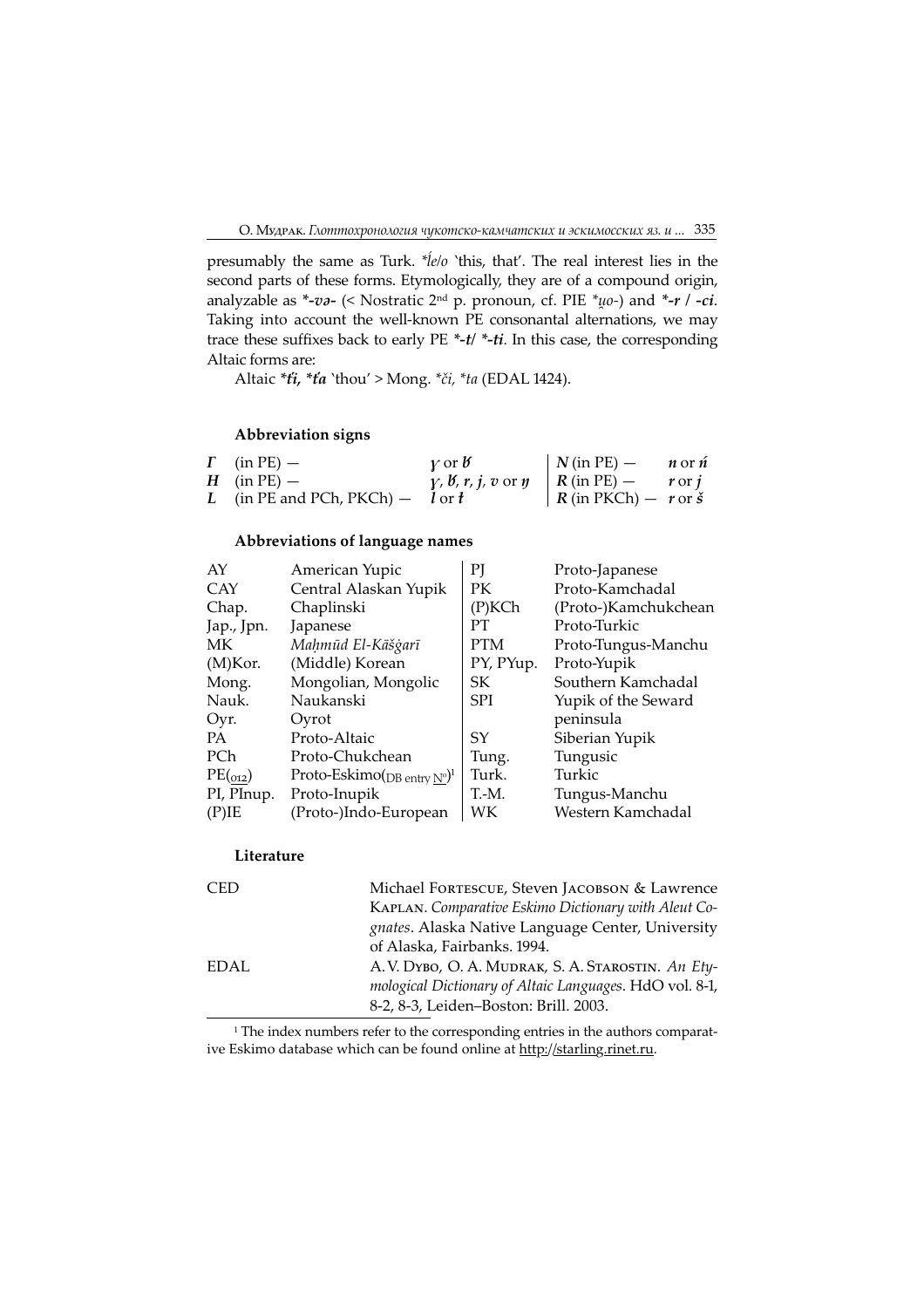presumably the same as Turk. \**le/o* 'this, that'. The real interest lies in the second parts of these forms. Etymologically, they are of a compound origin, analyzable as \*-va- (< Nostratic 2<sup>nd</sup> p. pronoun, cf. PIE \* $\mu$ o-) and \*-r / -ci. Taking into account the well-known PE consonantal alternations, we may trace these suffixes back to early PE  $*$ -t/ $*$ -ti. In this case, the corresponding Altaic forms are:

Altaic \*ti, \*ta 'thou' > Mong. \*či, \*ta (EDAL 1424).

## Abbreviation signs

| $\Gamma$ (in PE) –                   | $\gamma$ or $\beta$                                                                                        | $N(\text{in PE}) - n \text{ or } n$ |  |
|--------------------------------------|------------------------------------------------------------------------------------------------------------|-------------------------------------|--|
| $H$ (in PE) –                        | $\gamma$ , <i>b</i> , <i>r</i> , <i>j</i> , <i>v</i> or <i>y</i>   <i>R</i> (in PE) – <i>r</i> or <i>j</i> |                                     |  |
| L (in PE and PCh, PKCh) $-$ l or $t$ |                                                                                                            | $R$ (in PKCh) $- r$ or $\check{s}$  |  |

## Abbreviations of language names

| AY         | American Yupic                                      | PI         | Proto-Japanese       |
|------------|-----------------------------------------------------|------------|----------------------|
| <b>CAY</b> | Central Alaskan Yupik                               | PК         | Proto-Kamchadal      |
| Chap.      | Chaplinski                                          | $(P)$ KCh  | (Proto-)Kamchukchean |
| Jap., Jpn. | Japanese                                            | PТ         | Proto-Turkic         |
| МK         | Mahmūd El-Kāšģarī                                   | <b>PTM</b> | Proto-Tungus-Manchu  |
| $(M)$ Kor. | (Middle) Korean                                     | PY, PYup.  | Proto-Yupik          |
| Mong.      | Mongolian, Mongolic                                 | SK         | Southern Kamchadal   |
| Nauk.      | Naukanski                                           | <b>SPI</b> | Yupik of the Seward  |
| Oyr.       | Oyrot                                               |            | peninsula            |
| PA.        | Proto-Altaic                                        | SY         | Siberian Yupik       |
| PCh        | Proto-Chukchean                                     | Tung.      | Tungusic             |
| PE(012)    | Proto-Eskimo( <sub>DB entry N°</sub> ) <sup>1</sup> | Turk.      | Turkic               |
| PI, PInup. | Proto-Inupik                                        | T.-M.      | Tungus-Manchu        |
| $(P)$ IE   | (Proto-)Indo-European                               | WК         | Western Kamchadal    |
|            |                                                     |            |                      |

## Literature

| <b>CED</b> | Michael FORTESCUE, Steven JACOBSON & Lawrence           |
|------------|---------------------------------------------------------|
|            | KAPLAN. Comparative Eskimo Dictionary with Aleut Co-    |
|            | gnates. Alaska Native Language Center, University       |
|            | of Alaska, Fairbanks. 1994.                             |
| EDAL       | A.V. DYBO, O. A. MUDRAK, S. A. STAROSTIN. An Ety-       |
|            | mological Dictionary of Altaic Languages. HdO vol. 8-1, |
|            | 8-2, 8-3, Leiden-Boston: Brill. 2003.                   |
|            |                                                         |

<sup>1</sup> The index numbers refer to the corresponding entries in the authors comparative Eskimo database which can be found online at http://starling.rinet.ru.